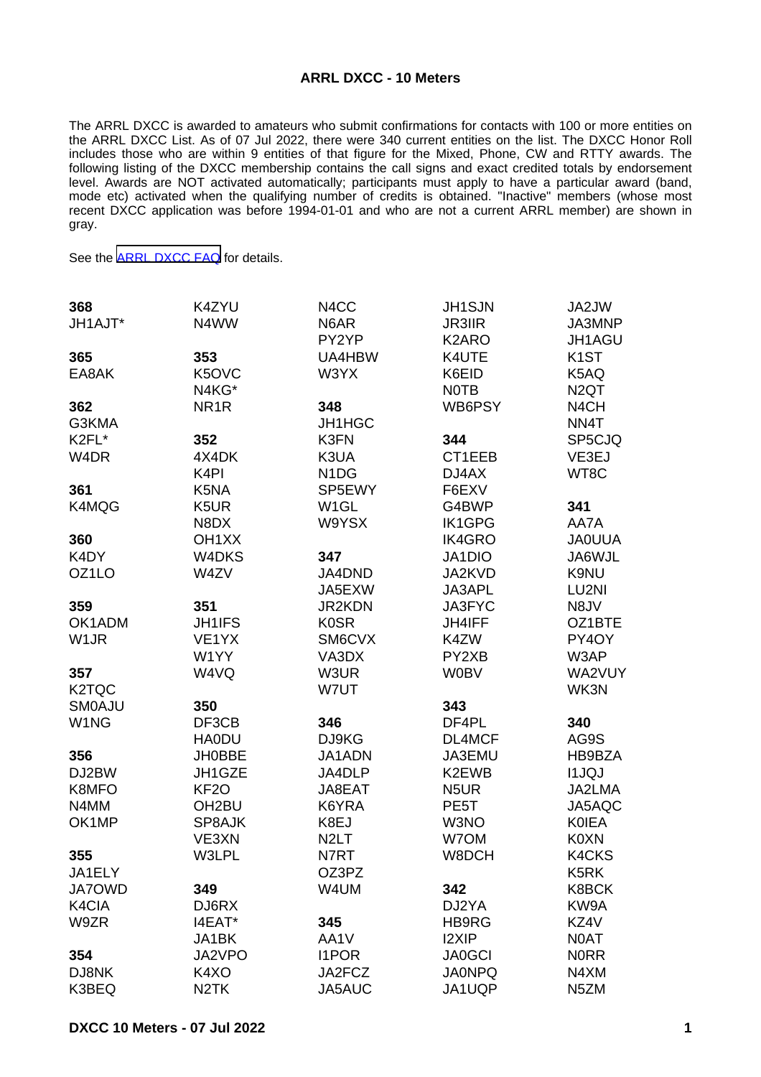## **ARRL DXCC - 10 Meters**

The ARRL DXCC is awarded to amateurs who submit confirmations for contacts with 100 or more entities on the ARRL DXCC List. As of 07 Jul 2022, there were 340 current entities on the list. The DXCC Honor Roll includes those who are within 9 entities of that figure for the Mixed, Phone, CW and RTTY awards. The following listing of the DXCC membership contains the call signs and exact credited totals by endorsement level. Awards are NOT activated automatically; participants must apply to have a particular award (band, mode etc) activated when the qualifying number of credits is obtained. "Inactive" members (whose most recent DXCC application was before 1994-01-01 and who are not a current ARRL member) are shown in gray.

See the [ARRL DXCC FAQ](http://www.arrl.org/dxcc-faq/) for details.

| 368                | K4ZYU              | N <sub>4</sub> CC             | <b>JH1SJN</b>      | JA2JW             |
|--------------------|--------------------|-------------------------------|--------------------|-------------------|
| JH1AJT*            | N4WW               | N6AR                          | <b>JR3IIR</b>      | JA3MNP            |
|                    |                    | PY2YP                         | K <sub>2</sub> ARO | JH1AGU            |
| 365                | 353                | UA4HBW                        | K4UTE              | K <sub>1</sub> ST |
| EA8AK              | K5OVC              | W3YX                          | K6EID              | K5AQ              |
|                    | N4KG*              |                               | <b>NOTB</b>        | N <sub>2</sub> QT |
| 362                | NR <sub>1</sub> R  | 348                           | WB6PSY             | N <sub>4</sub> CH |
| G3KMA              |                    | JH1HGC                        |                    | NN4T              |
| K2FL*              | 352                | K3FN                          | 344                | SP5CJQ            |
| W <sub>4</sub> DR  | 4X4DK              | K3UA                          | CT1EEB             | VE3EJ             |
|                    | K <sub>4</sub> PI  | N <sub>1</sub> D <sub>G</sub> | DJ4AX              | WT8C              |
| 361                | K5NA               | SP5EWY                        | F6EXV              |                   |
| K4MQG              | K5UR               | W <sub>1</sub> GL             | G4BWP              | 341               |
|                    | N8DX               | W9YSX                         | <b>IK1GPG</b>      | AA7A              |
| 360                | OH <sub>1</sub> XX |                               | <b>IK4GRO</b>      | <b>JA0UUA</b>     |
| K4DY               | W4DKS              | 347                           | JA1DIO             | JA6WJL            |
| OZ <sub>1</sub> LO | W4ZV               | JA4DND                        | JA2KVD             | K9NU              |
|                    |                    | JA5EXW                        | JA3APL             | LU2NI             |
| 359                | 351                | <b>JR2KDN</b>                 | JA3FYC             | N8JV              |
| OK1ADM             | JH1IFS             | <b>K0SR</b>                   | JH4IFF             | OZ1BTE            |
| W <sub>1</sub> JR  | VE <sub>1</sub> YX | SM6CVX                        | K4ZW               | PY4OY             |
|                    | W1YY               | VA3DX                         | PY2XB              | W3AP              |
|                    |                    |                               |                    |                   |
| 357                | W4VQ               | W3UR                          | <b>W0BV</b>        | WA2VUY            |
| K2TQC              |                    | W7UT                          |                    | WK3N              |
| <b>SMOAJU</b>      | 350                |                               | 343                |                   |
| W1NG               | DF3CB              | 346                           | DF4PL              | 340               |
|                    | <b>HA0DU</b>       | DJ9KG                         | DL4MCF             | AG9S              |
| 356                | <b>JH0BBE</b>      | JA1ADN                        | JA3EMU             | HB9BZA            |
| DJ2BW              | JH1GZE             | JA4DLP                        | K2EWB              | <b>I1JQJ</b>      |
| K8MFO              | KF <sub>2</sub> O  | JA8EAT                        | N <sub>5</sub> UR  | JA2LMA            |
| N4MM               | OH <sub>2</sub> BU | K6YRA                         | PE <sub>5</sub> T  | JA5AQC            |
| OK1MP              | SP8AJK             | K8EJ                          | W3NO               | <b>KOIEA</b>      |
|                    | VE3XN              | N <sub>2</sub> LT             | W7OM               | K0XN              |
| 355                | W3LPL              | N7RT                          | W8DCH              | <b>K4CKS</b>      |
| JA1ELY             |                    | OZ3PZ                         |                    | K5RK              |
| <b>JA7OWD</b>      | 349                | W4UM                          | 342                | K8BCK             |
| K4CIA              | DJ6RX              |                               | DJ2YA              | KW9A              |
| W9ZR               | I4EAT*             | 345                           | HB9RG              | KZ4V              |
|                    | JA1BK              | AA1V                          | <b>I2XIP</b>       | N0AT              |
| 354                | JA2VPO             | <b>I1POR</b>                  | <b>JA0GCI</b>      | <b>NORR</b>       |
| DJ8NK              | K4XO               | JA2FCZ                        | <b>JA0NPQ</b>      | N4XM              |
| K3BEQ              | N <sub>2</sub> TK  | JA5AUC                        | JA1UQP             | N <sub>5</sub> ZM |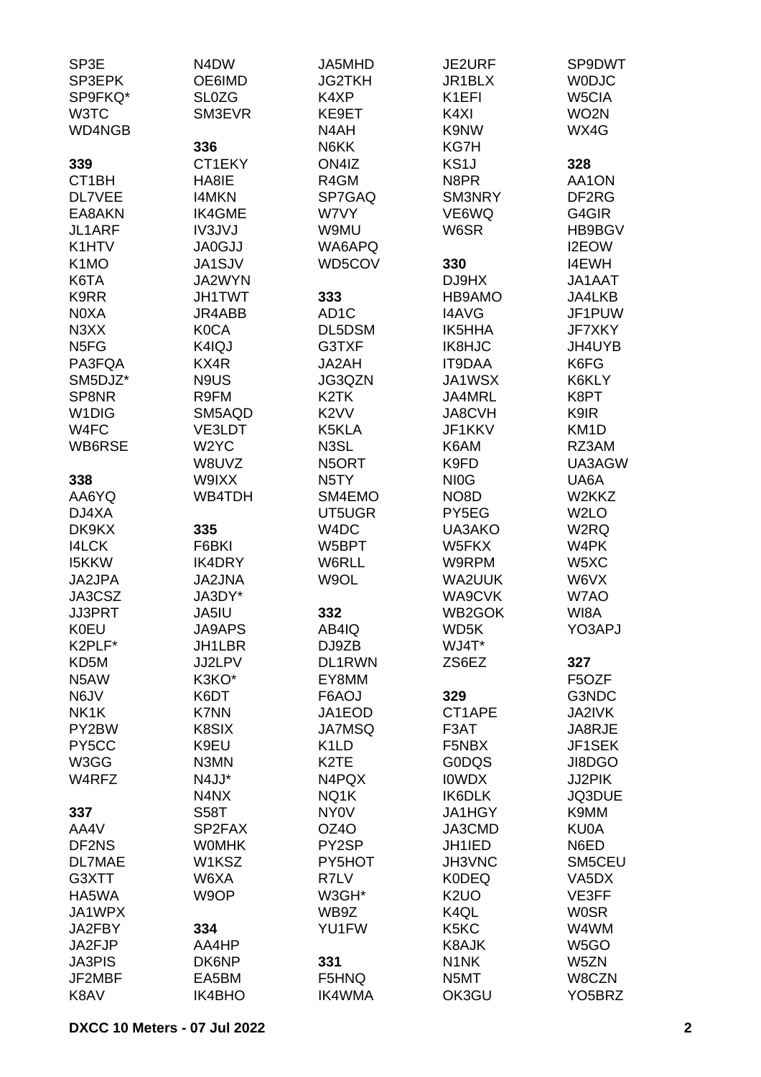| SP3E               | N <sub>4</sub> D <sub>W</sub> | JA5MHD            | <b>JE2URF</b>      | SP9DWT              |
|--------------------|-------------------------------|-------------------|--------------------|---------------------|
| SP3EPK             | OE6IMD                        | <b>JG2TKH</b>     | JR1BLX             | <b>WODJC</b>        |
| SP9FKQ*            | <b>SL0ZG</b>                  | K4XP              | K <sub>1</sub> EFI | W5CIA               |
| W3TC               | SM3EVR                        | KE9ET             | K4XI               | WO <sub>2N</sub>    |
| <b>WD4NGB</b>      |                               | N4AH              | K9NW               | WX4G                |
|                    | 336                           | N6KK              | KG7H               |                     |
|                    |                               |                   |                    |                     |
| 339                | CT1EKY                        | ON4IZ             | KS1J               | 328                 |
| CT <sub>1</sub> BH | HA8IE                         | R4GM              | N8PR               | AA1ON               |
| DL7VEE             | <b>I4MKN</b>                  | SP7GAQ            | SM3NRY             | DF2RG               |
| EA8AKN             | <b>IK4GME</b>                 | W7VY              | VE6WQ              | G4GIR               |
| JL1ARF             | <b>IV3JVJ</b>                 | W9MU              | W6SR               | HB9BGV              |
| K1HTV              | <b>JA0GJJ</b>                 | WA6APQ            |                    | I2EOW               |
| K <sub>1</sub> MO  | <b>JA1SJV</b>                 | WD5COV            | 330                | <b>I4EWH</b>        |
| K6TA               | JA2WYN                        |                   | DJ9HX              | JA1AAT              |
| K9RR               | <b>JH1TWT</b>                 | 333               | HB9AMO             | JA4LKB              |
| N0XA               | JR4ABB                        | AD <sub>1</sub> C | <b>I4AVG</b>       | JF1PUW              |
| N3XX               | <b>K0CA</b>                   | DL5DSM            | IK5HHA             | JF7XKY              |
| N <sub>5FG</sub>   | K4IQJ                         | G3TXF             | <b>IK8HJC</b>      | JH4UYB              |
| PA3FQA             | KX4R                          | JA2AH             | <b>IT9DAA</b>      | K6FG                |
| SM5DJZ*            | N9US                          | JG3QZN            | <b>JA1WSX</b>      | K6KLY               |
| SP8NR              | R9FM                          | K <sub>2</sub> TK | JA4MRL             | K8PT                |
| W <sub>1</sub> DIG | SM5AQD                        | K <sub>2</sub> VV | <b>JA8CVH</b>      | K9IR                |
|                    |                               |                   |                    |                     |
| W4FC               | VE3LDT                        | K5KLA             | JF1KKV             | KM <sub>1</sub> D   |
| WB6RSE             | W <sub>2</sub> YC             | N3SL              | K6AM               | RZ3AM               |
|                    | W8UVZ                         | N5ORT             | K9FD               | UA3AGW              |
| 338                | W9IXX                         | N <sub>5</sub> TY | NI <sub>O</sub> G  | UA6A                |
| AA6YQ              | WB4TDH                        | SM4EMO            | NO8D               | W2KKZ               |
| DJ4XA              |                               | UT5UGR            | PY5EG              | W <sub>2</sub> LO   |
| DK9KX              | 335                           | W4DC              | UA3AKO             | W <sub>2</sub> RQ   |
| <b>I4LCK</b>       | F6BKI                         | W5BPT             | W5FKX              | W4PK                |
| <b>I5KKW</b>       | <b>IK4DRY</b>                 | W6RLL             | W9RPM              | W5XC                |
| JA2JPA             | <b>JA2JNA</b>                 | W9OL              | <b>WA2UUK</b>      | W6VX                |
| JA3CSZ             | JA3DY*                        |                   | <b>WA9CVK</b>      | W7AO                |
| <b>JJ3PRT</b>      | JA5IU                         | 332               | WB2GOK             | WI8A                |
| <b>K0EU</b>        | JA9APS                        | AB4IQ             | WD5K               | YO3APJ              |
| K2PLF*             | <b>JH1LBR</b>                 | DJ9ZB             | WJ4T*              |                     |
| KD <sub>5</sub> M  | JJ2LPV                        | DL1RWN            | ZS6EZ              | 327                 |
| N5AW               | K3KO*                         | EY8MM             |                    | F5OZF               |
| N6JV               | K6DT                          | F6AOJ             | 329                | G3NDC               |
| NK1K               | <b>K7NN</b>                   | JA1EOD            | CT1APE             | <b>JA2IVK</b>       |
| PY2BW              | K8SIX                         | <b>JA7MSQ</b>     | F3AT               | JA8RJE              |
|                    | K9EU                          |                   |                    | JF1SEK              |
| PY5CC              |                               | K <sub>1</sub> LD | F5NBX              |                     |
| W3GG               | N3MN                          | K <sub>2</sub> TE | <b>GODQS</b>       | JI8DGO              |
| W4RFZ              | N4JJ*                         | N4PQX             | <b>IOWDX</b>       | JJ2PIK              |
|                    | N4NX                          | NQ1K              | <b>IK6DLK</b>      | JQ3DUE              |
| 337                | <b>S58T</b>                   | NY <sub>0</sub> V | <b>JA1HGY</b>      | K9MM                |
| AA4V               | SP2FAX                        | OZ4O              | JA3CMD             | KU0A                |
| DF2NS              | <b>WOMHK</b>                  | PY2SP             | JH1IED             | N6ED                |
| <b>DL7MAE</b>      | W1KSZ                         | PY5HOT            | <b>JH3VNC</b>      | SM5CEU              |
| G3XTT              | W6XA                          | R7LV              | <b>K0DEQ</b>       | VA5DX               |
| HA5WA              | W9OP                          | W3GH*             | K <sub>2</sub> UO  | VE3FF               |
| JA1WPX             |                               | WB9Z              | K4QL               | <b>WOSR</b>         |
| JA2FBY             | 334                           | YU1FW             | K5KC               | W4WM                |
| JA2FJP             | AA4HP                         |                   | K8AJK              | W <sub>5</sub> GO   |
| <b>JA3PIS</b>      | DK6NP                         | 331               | N <sub>1</sub> NK  | W5ZN                |
| JF2MBF             | EA5BM                         | F5HNQ             | N5MT               | W8CZN               |
| K8AV               | IK4BHO                        | IK4WMA            | OK3GU              | YO <sub>5</sub> BRZ |
|                    |                               |                   |                    |                     |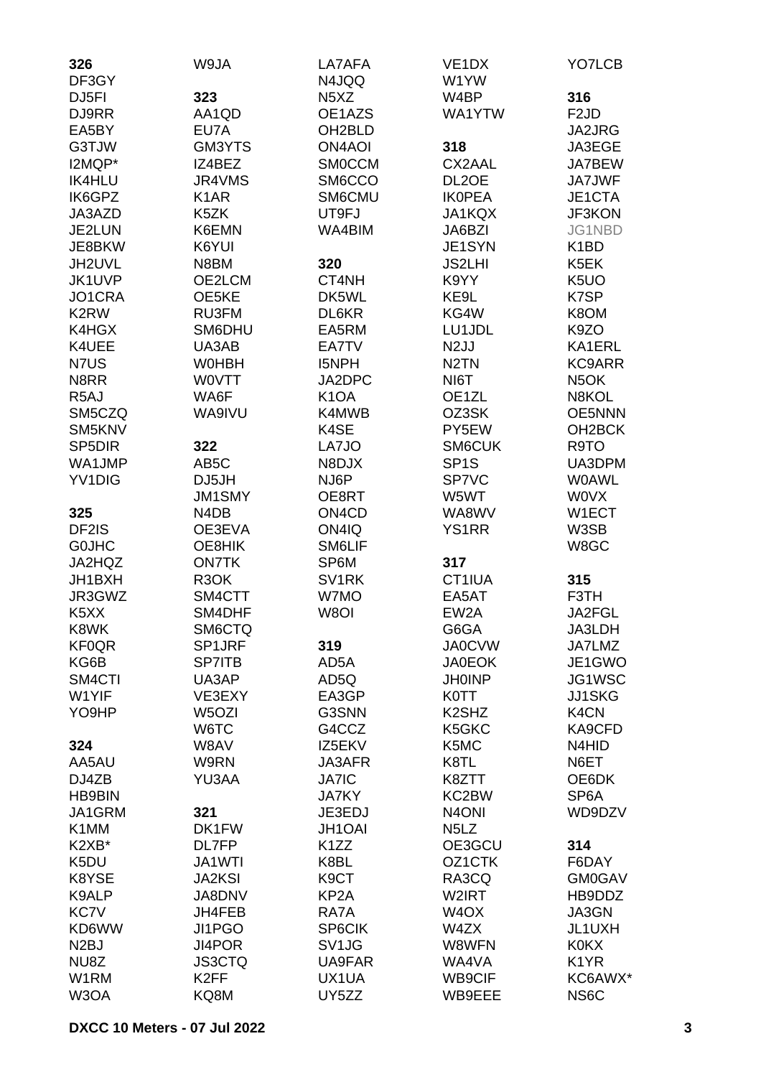| 326<br>DF3GY                  | W9JA               | LA7AFA<br>N4JQQ                | VE <sub>1</sub> DX<br>W1YW     | YO7LCB              |
|-------------------------------|--------------------|--------------------------------|--------------------------------|---------------------|
| DJ <sub>5FI</sub>             | 323                | N <sub>5</sub> X <sub>Z</sub>  | W4BP                           | 316                 |
| DJ9RR                         | AA1QD              | OE1AZS                         | WA1YTW                         | F <sub>2</sub> JD   |
| EA5BY                         | EU7A               | OH <sub>2</sub> BLD            |                                | JA2JRG              |
| G3TJW                         | GM3YTS             | <b>ON4AOI</b>                  | 318                            | JA3EGE              |
| I2MQP*                        | IZ4BEZ             | <b>SMOCCM</b>                  | CX2AAL                         | JA7BEW              |
| <b>IK4HLU</b>                 | JR4VMS             | SM6CCO                         | DL <sub>2</sub> OE             | <b>JA7JWF</b>       |
| IK6GPZ                        | K <sub>1</sub> AR  | SM6CMU                         | <b>IKOPEA</b>                  | JE1CTA              |
|                               | K5ZK               |                                |                                | JF3KON              |
| JA3AZD<br>JE2LUN              |                    | UT9FJ<br>WA4BIM                | <b>JA1KQX</b>                  |                     |
|                               | K6EMN              |                                | JA6BZI                         | JG1NBD              |
| JE8BKW                        | K6YUI              |                                | JE1SYN                         | K <sub>1</sub> BD   |
| JH2UVL                        | N8BM               | 320                            | <b>JS2LHI</b>                  | K5EK                |
| JK1UVP                        | OE2LCM             | CT4NH                          | K9YY                           | K <sub>5</sub> UO   |
| JO1CRA                        | OE5KE              | DK5WL                          | KE9L                           | K7SP                |
| K <sub>2</sub> RW             | RU3FM              | DL6KR                          | KG4W                           | K8OM                |
| K4HGX                         | SM6DHU             | EA5RM                          | LU1JDL                         | K9ZO                |
| K4UEE                         | UA3AB              | EA7TV                          | N <sub>2</sub> JJ              | KA1ERL              |
| N7US                          | <b>WOHBH</b>       | <b>I5NPH</b>                   | N <sub>2</sub> TN              | KC9ARR              |
| N8RR                          | <b>WOVTT</b>       | JA2DPC                         | NI6T                           | N <sub>5</sub> OK   |
| R <sub>5</sub> AJ             | WA6F               | K <sub>1</sub> OA              | OE1ZL                          | N8KOL               |
| SM5CZQ                        | WA9IVU             | K4MWB                          | OZ3SK                          | <b>OE5NNN</b>       |
| SM5KNV                        |                    | K4SE                           | PY5EW                          | OH <sub>2</sub> BCK |
| SP <sub>5</sub> DIR           | 322                | LA7JO                          | SM6CUK                         | R9TO                |
| WA1JMP                        | AB <sub>5</sub> C  | N8DJX                          | SP <sub>1</sub> S              | UA3DPM              |
| YV <sub>1</sub> DIG           | DJ5JH              | NJ6P                           | SP7VC                          | <b>WOAWL</b>        |
|                               | <b>JM1SMY</b>      | OE8RT                          | W5WT                           | <b>WOVX</b>         |
| 325                           | N4DB               | ON <sub>4</sub> C <sub>D</sub> | WA8WV                          | W1ECT               |
| DF2IS                         | OE3EVA             | ON4IQ                          | <b>YS1RR</b>                   | W3SB                |
| <b>GOJHC</b>                  | OE8HIK             | SM6LIF                         |                                | W8GC                |
| JA2HQZ                        | <b>ON7TK</b>       | SP6M                           | 317                            |                     |
| JH1BXH                        | R <sub>3</sub> OK  | SV <sub>1</sub> RK             | CT1IUA                         | 315                 |
| JR3GWZ                        | SM4CTT             | W7MO                           | EA5AT                          | F3TH                |
| K <sub>5</sub> X <sub>X</sub> | SM4DHF             | W8OI                           | EW <sub>2</sub> A              | JA2FGL              |
| K8WK                          | SM6CTQ             |                                | G6GA                           | JA3LDH              |
| <b>KF0QR</b>                  | SP1JRF             | 319                            | <b>JA0CVW</b>                  | JA7LMZ              |
| KG6B                          | <b>SP7ITB</b>      | AD5A                           | <b>JA0EOK</b>                  | JE1GWO              |
| SM4CTI                        | UA3AP              | AD5Q                           | <b>JH0INP</b>                  | JG1WSC              |
| W1YIF                         | VE3EXY             | EA3GP                          | <b>K0TT</b>                    | <b>JJ1SKG</b>       |
| YO9HP                         | W <sub>5</sub> OZI | G3SNN                          | K <sub>2</sub> SH <sub>Z</sub> | K4CN                |
|                               | W6TC               | G4CCZ                          | K5GKC                          | KA9CFD              |
| 324                           | W8AV               | IZ5EKV                         | K5MC                           | N4HID               |
| AA5AU                         | W9RN               | JA3AFR                         | K8TL                           | N6ET                |
| DJ4ZB                         | YU3AA              | <b>JA7IC</b>                   | K8ZTT                          | OE6DK               |
| <b>HB9BIN</b>                 |                    | <b>JA7KY</b>                   | KC2BW                          | SP <sub>6</sub> A   |
| JA1GRM                        | 321                | JE3EDJ                         | N <sub>4</sub> ONI             | WD9DZV              |
| K1MM                          | DK1FW              | <b>JH1OAI</b>                  | N <sub>5</sub> L <sub>Z</sub>  |                     |
| K2XB*                         | DL7FP              | K <sub>1</sub> ZZ              | OE3GCU                         | 314                 |
| K5DU                          | JA1WTI             | K8BL                           | OZ1CTK                         | F6DAY               |
| K8YSE                         | <b>JA2KSI</b>      | K <sub>9</sub> CT              | RA3CQ                          | <b>GM0GAV</b>       |
| K9ALP                         | JA8DNV             | KP <sub>2</sub> A              | W2IRT                          | HB9DDZ              |
| KC7V                          | JH4FEB             | RA7A                           | W <sub>4</sub> OX              | JA3GN               |
| KD6WW                         | JI1PGO             | SP6CIK                         | W4ZX                           | JL1UXH              |
| N <sub>2</sub> BJ             | JI4POR             | SV <sub>1</sub> JG             | W8WFN                          | <b>K0KX</b>         |
| NU8Z                          | <b>JS3CTQ</b>      | UA9FAR                         | WA4VA                          | K <sub>1</sub> YR   |
| W1RM                          | K <sub>2</sub> FF  | UX1UA                          | WB9CIF                         | KC6AWX*             |
| W3OA                          | KQ8M               | UY5ZZ                          | WB9EEE                         | NS6C                |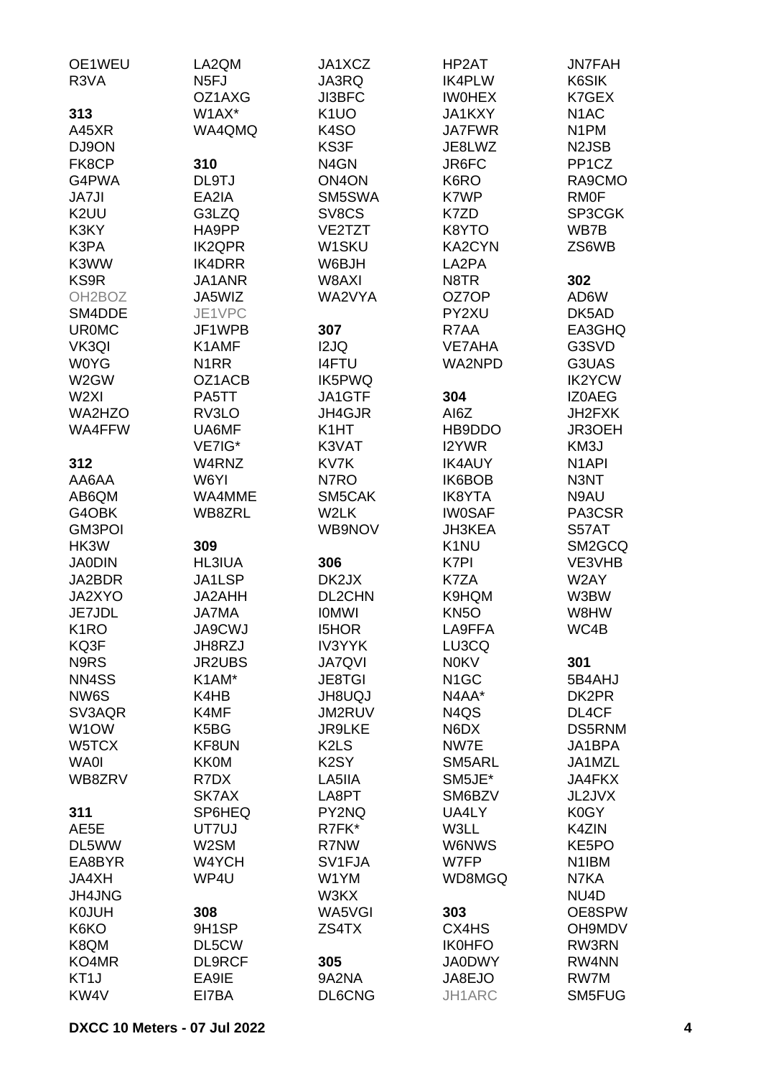| OE1WEU                    | LA2QM                         | JA1XCZ                        | HP2AT                      | <b>JN7FAH</b>         |
|---------------------------|-------------------------------|-------------------------------|----------------------------|-----------------------|
| R3VA                      | N <sub>5</sub> FJ             | JA3RQ                         | <b>IK4PLW</b>              | K6SIK                 |
|                           | OZ1AXG                        | <b>JI3BFC</b>                 | <b>IWOHEX</b>              | K7GEX                 |
| 313                       | W1AX*                         | K <sub>1</sub> UO             | <b>JA1KXY</b>              | N <sub>1</sub> AC     |
| A45XR                     | WA4QMQ                        | K <sub>4</sub> SO             | <b>JA7FWR</b>              | N <sub>1</sub> PM     |
| DJ9ON                     |                               | KS3F                          | JE8LWZ                     | N <sub>2</sub> JSB    |
| FK8CP                     | 310                           | N <sub>4</sub> GN             | JR6FC                      | PP <sub>1</sub> CZ    |
| G4PWA                     | DL9TJ<br>EA2IA                | ON <sub>4</sub> ON            | K6RO                       | RA9CMO                |
| <b>JA7JI</b>              |                               | SM5SWA                        | K7WP                       | <b>RMOF</b><br>SP3CGK |
| K <sub>2</sub> UU<br>K3KY | G3LZQ<br>HA9PP                | SV8CS<br>VE2TZT               | K7ZD<br>K8YTO              | WB7B                  |
| K3PA                      | <b>IK2QPR</b>                 | W <sub>1</sub> SKU            | KA2CYN                     | ZS6WB                 |
| K3WW                      | IK4DRR                        | W6BJH                         | LA2PA                      |                       |
| KS9R                      | JA1ANR                        | W8AXI                         | N8TR                       | 302                   |
| OH <sub>2</sub> BOZ       | JA5WIZ                        | WA2VYA                        | OZ7OP                      | AD6W                  |
| SM4DDE                    | JE1VPC                        |                               | PY2XU                      | DK5AD                 |
| <b>UR0MC</b>              | JF1WPB                        | 307                           | R7AA                       | EA3GHQ                |
| VK3QI                     | K1AMF                         | I2JQ                          | <b>VE7AHA</b>              | G3SVD                 |
| <b>WOYG</b>               | N <sub>1</sub> RR             | <b>I4FTU</b>                  | <b>WA2NPD</b>              | G3UAS                 |
| W2GW                      | OZ1ACB                        | IK5PWQ                        |                            | <b>IK2YCW</b>         |
| W <sub>2XI</sub>          | PA5TT                         | JA1GTF                        | 304                        | <b>IZOAEG</b>         |
| WA2HZO                    | RV3LO                         | JH4GJR                        | AI6Z                       | JH2FXK                |
| WA4FFW                    | UA6MF                         | K <sub>1</sub> HT             | HB9DDO                     | JR3OEH                |
|                           | VE7IG*                        | K3VAT                         | I2YWR                      | KM3J                  |
| 312                       | W4RNZ                         | KV7K                          | <b>IK4AUY</b>              | N <sub>1</sub> API    |
| AA6AA                     | W6YI                          | N7RO                          | IK6BOB                     | N3NT                  |
| AB6QM                     | WA4MME                        | SM5CAK                        | <b>IK8YTA</b>              | N9AU                  |
| G4OBK                     | WB8ZRL                        | W2LK                          | <b>IW0SAF</b>              | PA3CSR                |
| <b>GM3POI</b>             |                               | WB9NOV                        | <b>JH3KEA</b>              | S57AT                 |
| HK3W                      | 309                           |                               | K <sub>1</sub> NU          | SM2GCQ                |
| <b>JA0DIN</b>             | <b>HL3IUA</b>                 | 306                           | K7PI                       | VE3VHB                |
| JA2BDR                    | JA1LSP                        | DK2JX                         | K7ZA                       | W2AY                  |
| JA2XYO<br>JE7JDL          | JA2AHH                        | <b>DL2CHN</b>                 | K9HQM                      | W3BW<br>W8HW          |
| K <sub>1</sub> RO         | <b>JA7MA</b><br><b>JA9CWJ</b> | <b>IOMWI</b><br><b>I5HOR</b>  | KN <sub>50</sub><br>LA9FFA | WC4B                  |
| KQ3F                      | JH8RZJ                        | <b>IV3YYK</b>                 | LU3CQ                      |                       |
| N9RS                      | <b>JR2UBS</b>                 | <b>JA7QVI</b>                 | <b>NOKV</b>                | 301                   |
| NN4SS                     | K1AM*                         | <b>JE8TGI</b>                 | N <sub>1</sub> GC          | 5B4AHJ                |
| NW6S                      | K4HB                          | <b>UQUBHL</b>                 | N4AA*                      | DK2PR                 |
| SV3AQR                    | K4MF                          | JM2RUV                        | N4QS                       | DL4CF                 |
| W <sub>1</sub> OW         | K5BG                          | <b>JR9LKE</b>                 | N6DX                       | DS5RNM                |
| W5TCX                     | KF8UN                         | K <sub>2</sub> L <sub>S</sub> | NW7E                       | JA1BPA                |
| <b>WA0I</b>               | <b>KK0M</b>                   | K <sub>2</sub> SY             | SM5ARL                     | JA1MZL                |
| WB8ZRV                    | R7DX                          | LA5IIA                        | SM5JE*                     | <b>JA4FKX</b>         |
|                           | SK7AX                         | LA8PT                         | SM6BZV                     | JL2JVX                |
| 311                       | SP6HEQ                        | PY2NQ                         | UA4LY                      | K0GY                  |
| AE5E                      | UT7UJ                         | R7FK*                         | W3LL                       | K4ZIN                 |
| DL5WW                     | W2SM                          | R7NW                          | W6NWS                      | KE5PO                 |
| EA8BYR                    | W4YCH                         | SV1FJA                        | W7FP                       | N1IBM                 |
| JA4XH                     | WP4U                          | W1YM                          | WD8MGQ                     | N7KA                  |
| JH4JNG                    |                               | W3KX                          |                            | NU <sub>4</sub> D     |
| <b>K0JUH</b>              | 308                           | WA5VGI                        | 303                        | OE8SPW                |
| K6KO                      | 9H1SP                         | ZS4TX                         | CX4HS                      | OH9MDV                |
| K8QM                      | DL5CW                         |                               | <b>IK0HFO</b>              | RW3RN                 |
| KO4MR                     | <b>DL9RCF</b>                 | 305                           | <b>JA0DWY</b>              | RW4NN                 |
| KT <sub>1</sub> J         | EA9IE                         | 9A2NA                         | JA8EJO                     | RW7M                  |
| KW4V                      | EI7BA                         | DL6CNG                        | JH1ARC                     | SM5FUG                |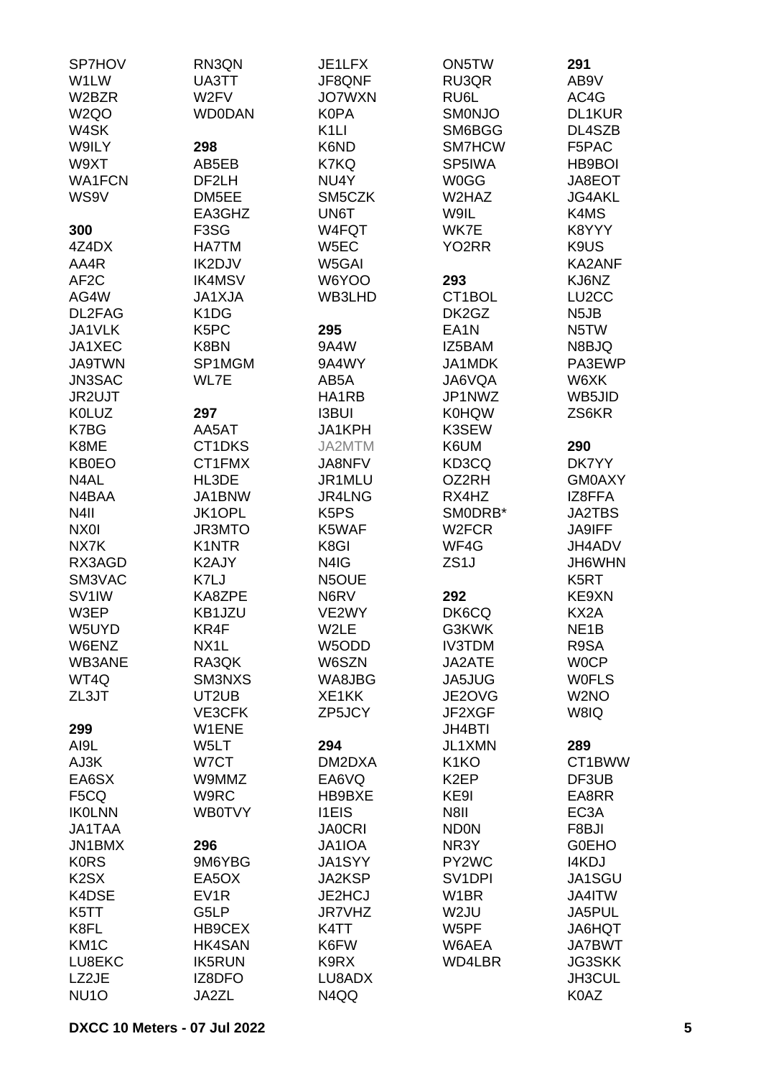| <b>SP7HOV</b>                 | RN3QN                         | JE1LFX            | ON5TW               | 291                |
|-------------------------------|-------------------------------|-------------------|---------------------|--------------------|
| W1LW                          | UA3TT                         | JF8QNF            | RU3QR               | AB9V               |
| W2BZR                         | W2FV                          | <b>JO7WXN</b>     | RU6L                | AC4G               |
| W <sub>2</sub> QO             | <b>WD0DAN</b>                 | <b>K0PA</b>       | <b>SMONJO</b>       | DL1KUR             |
| W4SK                          |                               | K <sub>1</sub> LI | SM6BGG              | DL4SZB             |
| W9ILY                         | 298                           | K6ND              | SM7HCW              | F5PAC              |
| W9XT                          | AB5EB                         | K7KQ              | SP5IWA              | <b>HB9BOI</b>      |
| <b>WA1FCN</b>                 | DF2LH                         | NU4Y              | <b>W0GG</b>         | JA8EOT             |
| WS9V                          | DM5EE                         | SM5CZK            | W2HAZ               | <b>JG4AKL</b>      |
|                               | EA3GHZ                        | UN6T              | W9IL                | K4MS               |
| 300                           | F <sub>3</sub> SG             | W4FQT             | WK7E                | K8YYY              |
| 4Z4DX                         | <b>HA7TM</b>                  | W5EC              | YO2RR               | K9US               |
| AA4R                          | IK2DJV                        | W5GAI             |                     | KA2ANF             |
| AF <sub>2</sub> C             | <b>IK4MSV</b>                 | W6YOO             | 293                 | KJ6NZ              |
| AG4W                          | <b>JA1XJA</b>                 | WB3LHD            | CT1BOL              | LU <sub>2</sub> CC |
| DL2FAG                        | K <sub>1</sub> D <sub>G</sub> |                   | DK2GZ               | N <sub>5</sub> JB  |
|                               |                               |                   |                     |                    |
| JA1VLK                        | K <sub>5</sub> PC             | 295               | EA <sub>1</sub> N   | N <sub>5</sub> TW  |
| JA1XEC                        | K8BN                          | 9A4W              | IZ5BAM              | N8BJQ              |
| <b>JA9TWN</b>                 | SP1MGM                        | 9A4WY             | JA1MDK              | PA3EWP             |
| JN3SAC                        | WL7E                          | AB5A              | JA6VQA              | W6XK               |
| JR2UJT                        |                               | HA1RB             | JP1NWZ              | WB5JID             |
| <b>K0LUZ</b>                  | 297                           | <b>I3BUI</b>      | <b>K0HQW</b>        | ZS6KR              |
| K7BG                          | AA5AT                         | JA1KPH            | K3SEW               |                    |
| K8ME                          | CT1DKS                        | JA2MTM            | K6UM                | 290                |
| <b>KB0EO</b>                  | CT1FMX                        | JA8NFV            | KD3CQ               | DK7YY              |
| N4AL                          | HL3DE                         | JR1MLU            | OZ2RH               | <b>GM0AXY</b>      |
| N4BAA                         | JA1BNW                        | JR4LNG            | RX4HZ               | IZ8FFA             |
| N <sub>4</sub> II             | JK1OPL                        | K <sub>5</sub> PS | SMODRB*             | <b>JA2TBS</b>      |
| NX01                          | <b>JR3MTO</b>                 | K5WAF             | W <sub>2</sub> FCR  | <b>JA9IFF</b>      |
| NX7K                          | <b>K1NTR</b>                  | K8GI              | WF4G                | JH4ADV             |
| RX3AGD                        | K2AJY                         | N4IG              | ZS <sub>1</sub> J   | JH6WHN             |
| SM3VAC                        | K7LJ                          | N5OUE             |                     | K <sub>5</sub> RT  |
| SV <sub>1</sub> IW            | KA8ZPE                        | N6RV              | 292                 | KE9XN              |
| W3EP                          | KB1JZU                        | VE2WY             | DK6CQ               | KX2A               |
| W5UYD                         | KR4F                          | W2LE              | G3KWK               | NE <sub>1</sub> B  |
| W6ENZ                         | NX1L                          | W5ODD             | <b>IV3TDM</b>       | R9SA               |
| WB3ANE                        | RA3QK                         | W6SZN             | JA2ATE              | <b>WOCP</b>        |
| WT4Q                          | SM3NXS                        | WA8JBG            | JA5JUG              | <b>WOFLS</b>       |
| ZL3JT                         | UT2UB                         | XE1KK             | JE2OVG              | W <sub>2</sub> NO  |
|                               | VE3CFK                        | ZP5JCY            | JF2XGF              | W8IQ               |
| 299                           | W1ENE                         |                   | <b>JH4BTI</b>       |                    |
| AI9L                          | W <sub>5</sub> LT             | 294               | JL1XMN              | 289                |
| AJ3K                          | W7CT                          | DM2DXA            | K <sub>1</sub> KO   | CT1BWW             |
| EA6SX                         | W9MMZ                         | EA6VQ             | K <sub>2</sub> EP   | DF3UB              |
| F <sub>5</sub> CQ             | W9RC                          | HB9BXE            | KE9I                | EA8RR              |
| <b>IKOLNN</b>                 | <b>WB0TVY</b>                 | <b>I1EIS</b>      | N8II                | EC <sub>3</sub> A  |
| <b>JA1TAA</b>                 |                               | <b>JA0CRI</b>     | <b>ND0N</b>         | F8BJI              |
| JN1BMX                        | 296                           | JA1IOA            | NR3Y                | <b>GOEHO</b>       |
| <b>KORS</b>                   | 9M6YBG                        | JA1SYY            | PY2WC               | I4KDJ              |
| K <sub>2</sub> S <sub>X</sub> | EA5OX                         | <b>JA2KSP</b>     | SV <sub>1</sub> DPI | JA1SGU             |
| K4DSE                         | EV <sub>1</sub> R             | JE2HCJ            | W <sub>1</sub> BR   | JA4ITW             |
| K5TT                          | G5LP                          | <b>JR7VHZ</b>     | W2JU                | JA5PUL             |
| K8FL                          | HB9CEX                        | K4TT              | W5PF                | JA6HQT             |
| KM <sub>1</sub> C             | <b>HK4SAN</b>                 | K6FW              | W6AEA               | <b>JA7BWT</b>      |
|                               |                               |                   |                     | JG3SKK             |
| LU8EKC                        | <b>IK5RUN</b>                 | K9RX              | WD4LBR              |                    |
| LZ2JE                         | IZ8DFO                        | LU8ADX            |                     | JH3CUL             |
| NU <sub>10</sub>              | JA2ZL                         | N4QQ              |                     | K0AZ               |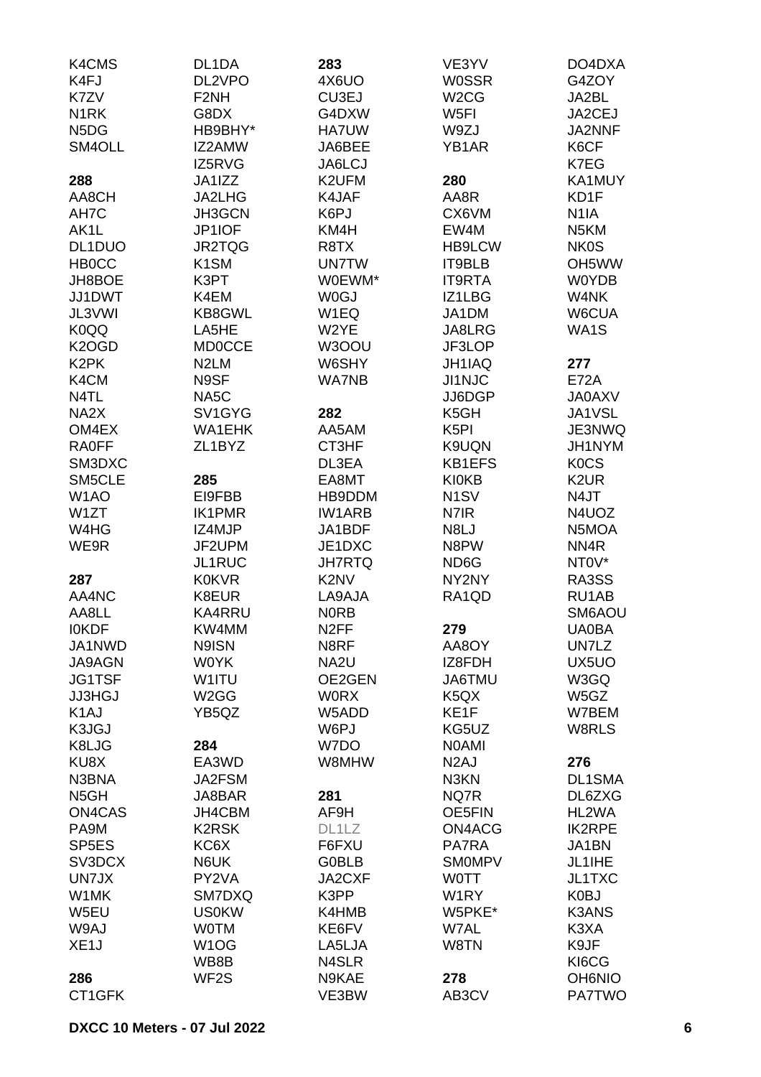| K4CMS                         | DL1DA             | 283                           | VE3YV                         | DO4DXA            |
|-------------------------------|-------------------|-------------------------------|-------------------------------|-------------------|
| K4FJ                          | DL2VPO            | 4X6UO                         | <b>WOSSR</b>                  | G4ZOY             |
| K7ZV                          | F <sub>2</sub> NH | CU3EJ                         | W <sub>2</sub> CG             | JA2BL             |
| N <sub>1</sub> RK             | G8DX              | G4DXW                         | W <sub>5FI</sub>              | JA2CEJ            |
| N <sub>5</sub> D <sub>G</sub> | HB9BHY*           | <b>HA7UW</b>                  | W9ZJ                          | JA2NNF            |
| SM4OLL                        | IZ2AMW            | JA6BEE                        | YB1AR                         | K6CF              |
|                               | IZ5RVG            | JA6LCJ                        |                               | K7EG              |
| 288                           | JA1IZZ            | K2UFM                         | 280                           | KA1MUY            |
| AA8CH                         | JA2LHG            | K4JAF                         | AA8R                          | KD1F              |
| AH7C                          | <b>JH3GCN</b>     | K6PJ                          | CX6VM                         | N <sub>1</sub> IA |
| AK <sub>1</sub> L             | JP1IOF            | KM4H                          | EW4M                          | N <sub>5</sub> KM |
| DL1DUO                        | JR2TQG            | R8TX                          | <b>HB9LCW</b>                 | <b>NK0S</b>       |
| <b>HB0CC</b>                  | K <sub>1</sub> SM | <b>UN7TW</b>                  | IT9BLB                        | OH5WW             |
| JH8BOE                        | K3PT              | W0EWM*                        | <b>IT9RTA</b>                 | <b>W0YDB</b>      |
| JJ1DWT                        | K4EM              | <b>WOGJ</b>                   | IZ1LBG                        | W4NK              |
| JL3VWI                        | <b>KB8GWL</b>     | W1EQ                          | JA1DM                         | W6CUA             |
| K0QQ                          | LA5HE             | W2YE                          | JA8LRG                        | WA1S              |
| K <sub>2</sub> OGD            | <b>MD0CCE</b>     | W3OOU                         | JF3LOP                        |                   |
| K <sub>2</sub> PK             | N <sub>2</sub> LM | W6SHY                         | JH1IAQ                        | 277               |
| K4CM                          | N9SF              | <b>WA7NB</b>                  | <b>JI1NJC</b>                 | <b>E72A</b>       |
| N4TL                          | NA <sub>5</sub> C |                               | JJ6DGP                        | <b>JA0AXV</b>     |
| NA <sub>2</sub> X             | SV1GYG            | 282                           | K <sub>5</sub> GH             | JA1VSL            |
| OM4EX                         | <b>WA1EHK</b>     | AA5AM                         | K <sub>5</sub> PI             | JE3NWQ            |
| <b>RA0FF</b>                  | ZL1BYZ            | CT3HF                         | K9UQN                         | JH1NYM            |
| SM3DXC                        |                   | DL3EA                         | KB1EFS                        | <b>KOCS</b>       |
| SM5CLE                        | 285               | EA8MT                         | <b>KI0KB</b>                  | K <sub>2</sub> UR |
| W <sub>1</sub> AO             | EI9FBB            | HB9DDM                        | N <sub>1</sub> SV             | N4JT              |
| W1ZT                          | <b>IK1PMR</b>     | <b>IW1ARB</b>                 | N7IR                          | N4UOZ             |
| W4HG                          | IZ4MJP            | JA1BDF                        | N8LJ                          | N5MOA             |
| WE9R                          | JF2UPM            | JE1DXC                        | N8PW                          | NN4R              |
|                               | <b>JL1RUC</b>     | <b>JH7RTQ</b>                 | ND <sub>6</sub> G             | NTOV*             |
| 287                           | <b>K0KVR</b>      | K <sub>2</sub> N <sub>V</sub> | NY2NY                         | RA3SS             |
| AA4NC                         | K8EUR             | LA9AJA                        | RA1QD                         | RU1AB             |
| AA8LL                         | <b>KA4RRU</b>     | <b>NORB</b>                   |                               | SM6AOU            |
| <b>IOKDF</b>                  | KW4MM             | N <sub>2</sub> FF             | 279                           | <b>UA0BA</b>      |
| JA1NWD                        | N9ISN             | N8RF                          | AA8OY                         | UN7LZ             |
| JA9AGN                        | <b>WOYK</b>       | NA <sub>2U</sub>              | IZ8FDH                        | UX5UO             |
| <b>JG1TSF</b>                 | W1ITU             | OE2GEN                        | JA6TMU                        | W3GQ              |
| <b>JJ3HGJ</b>                 | W <sub>2</sub> GG | <b>WORX</b>                   | K <sub>5</sub> Q <sub>X</sub> | W5GZ              |
| K <sub>1</sub> AJ             | YB5QZ             | W5ADD                         | KE1F                          | W7BEM             |
| K3JGJ                         |                   | W6PJ                          | KG5UZ                         | W8RLS             |
| K8LJG                         | 284               | W7DO                          | <b>NOAMI</b>                  |                   |
| KU8X                          | EA3WD             | W8MHW                         | N <sub>2</sub> AJ             | 276               |
| N3BNA                         | JA2FSM            |                               | N3KN                          | DL1SMA            |
| N <sub>5</sub> GH             | JA8BAR            | 281                           | NQ7R                          | DL6ZXG            |
| ON4CAS                        | JH4CBM            | AF9H                          | OE5FIN                        | HL2WA             |
| PA9M                          | <b>K2RSK</b>      | DL1LZ                         | ON4ACG                        | <b>IK2RPE</b>     |
| SP <sub>5E</sub> S            | KC6X              | F6FXU                         | PA7RA                         | JA1BN             |
| SV3DCX                        | N6UK              | <b>G0BLB</b>                  | <b>SMOMPV</b>                 | JL1IHE            |
| UN7JX                         | PY2VA             | JA2CXF                        | <b>WOTT</b>                   | JL1TXC            |
| W1MK                          | SM7DXQ            | K3PP                          | W <sub>1</sub> RY             | K0BJ              |
| W5EU                          | <b>US0KW</b>      | K4HMB                         | W5PKE*                        | <b>K3ANS</b>      |
| W9AJ                          | <b>WOTM</b>       | KE6FV                         | W7AL                          | K3XA              |
| XE <sub>1</sub> J             | W <sub>1</sub> OG | LA5LJA                        | W8TN                          | K9JF              |
|                               | WB8B              | N4SLR                         |                               | KI6CG             |
| 286                           | WF <sub>2</sub> S | N9KAE                         | 278                           | <b>OH6NIO</b>     |
| CT1GFK                        |                   | VE3BW                         | AB3CV                         | <b>PA7TWO</b>     |
|                               |                   |                               |                               |                   |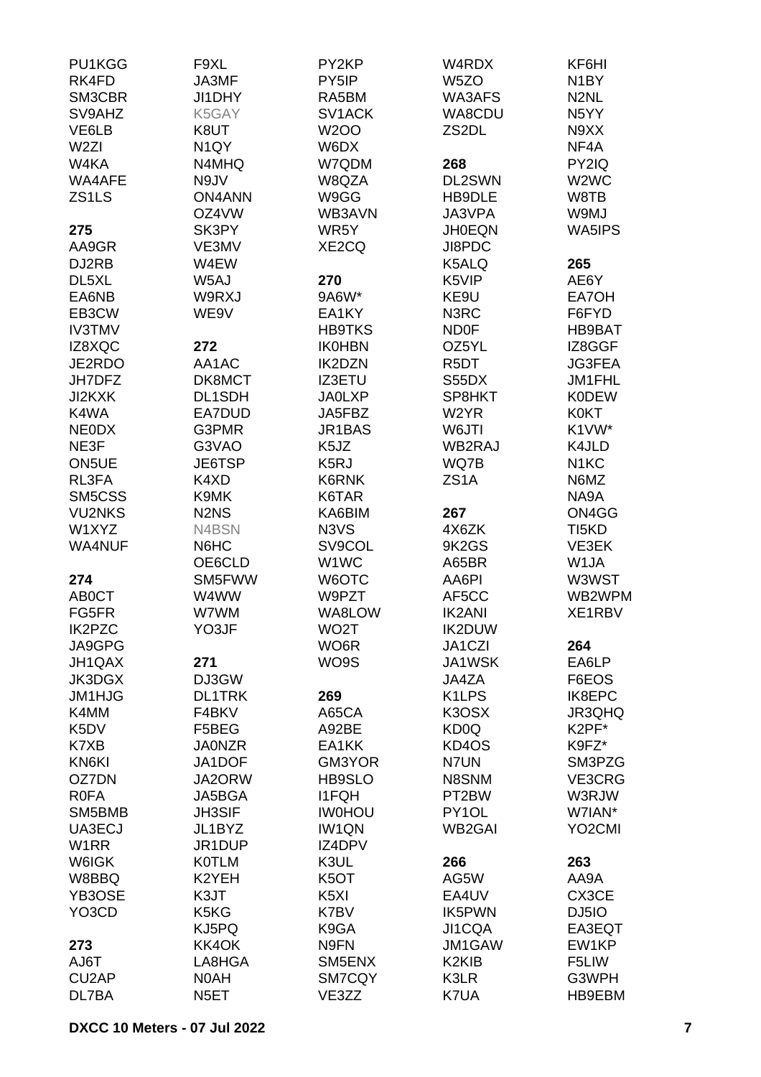| PU1KGG             | F9XL                          | PY2KP             | W4RDX                          | KF6HI                         |
|--------------------|-------------------------------|-------------------|--------------------------------|-------------------------------|
| RK4FD              | JA3MF                         | PY5IP             | W <sub>5</sub> ZO              | N <sub>1</sub> BY             |
| SM3CBR             | JI1DHY                        | RA5BM             | WA3AFS                         | N <sub>2</sub> NL             |
| SV9AHZ             | K5GAY                         | SV1ACK            | WA8CDU                         | N <sub>5</sub> YY             |
| VE6LB              | K8UT                          | <b>W2OO</b>       | ZS2DL                          | N9XX                          |
| W <sub>2ZI</sub>   | N <sub>1</sub> QY             | W6DX              |                                | NF4A                          |
| W4KA               | N4MHQ                         | W7QDM             | 268                            | PY2IQ                         |
| WA4AFE             | N9JV                          | W8QZA             | DL2SWN                         | W <sub>2</sub> W <sub>C</sub> |
| ZS <sub>1</sub> LS | <b>ON4ANN</b>                 | W9GG              | HB9DLE                         | W8TB                          |
|                    |                               |                   |                                |                               |
|                    | OZ4VW                         | WB3AVN            | JA3VPA                         | W9MJ                          |
| 275                | SK3PY                         | WR5Y              | <b>JH0EQN</b>                  | WA5IPS                        |
| AA9GR              | VE3MV                         | XE2CQ             | JI8PDC                         |                               |
| DJ2RB              | W4EW                          |                   | K5ALQ                          | 265                           |
| DL5XL              | W5AJ                          | 270               | K5VIP                          | AE6Y                          |
| EA6NB              | W9RXJ                         | 9A6W*             | KE9U                           | EA7OH                         |
| EB3CW              | WE9V                          | EA1KY             | N3RC                           | F6FYD                         |
| <b>IV3TMV</b>      |                               | <b>HB9TKS</b>     | <b>ND0F</b>                    | HB9BAT                        |
| IZ8XQC             | 272                           | <b>IK0HBN</b>     | OZ5YL                          | IZ8GGF                        |
| JE2RDO             | AA1AC                         | IK2DZN            | R <sub>5</sub> DT              | <b>JG3FEA</b>                 |
| JH7DFZ             | DK8MCT                        | <b>IZ3ETU</b>     | S55DX                          | JM1FHL                        |
| JI2KXK             | DL1SDH                        | <b>JA0LXP</b>     | SP8HKT                         | <b>K0DEW</b>                  |
| K4WA               | EA7DUD                        | JA5FBZ            | W <sub>2</sub> YR              | <b>K0KT</b>                   |
| <b>NEODX</b>       | G3PMR                         | JR1BAS            | W6JTI                          | K1VW*                         |
| NE3F               | G3VAO                         | K5JZ              | WB2RAJ                         | K4JLD                         |
| ON5UE              | JE6TSP                        | K5RJ              | WQ7B                           | N <sub>1</sub> KC             |
| RL3FA              | K4XD                          | K6RNK             | ZS <sub>1</sub> A              | N6MZ                          |
| SM5CSS             | K9MK                          |                   |                                | NA9A                          |
|                    |                               | K6TAR             |                                |                               |
| <b>VU2NKS</b>      | N <sub>2</sub> N <sub>S</sub> | KA6BIM            | 267                            | ON4GG                         |
| W1XYZ              | N4BSN                         | N3VS              | 4X6ZK                          | TI5KD                         |
| <b>WA4NUF</b>      | N6HC                          | SV9COL            | 9K2GS                          | VE3EK                         |
|                    | OE6CLD                        | W1WC              | A65BR                          | W1JA                          |
| 274                | SM5FWW                        | W6OTC             | AA6PI                          | W3WST                         |
| AB0CT              | W4WW                          | W9PZT             | AF5CC                          | WB2WPM                        |
| FG5FR              | W7WM                          | WA8LOW            | <b>IK2ANI</b>                  | XE1RBV                        |
| <b>IK2PZC</b>      | YO3JF                         | WO <sub>2</sub> T | IK2DUW                         |                               |
| JA9GPG             |                               | WO6R              | JA1CZI                         | 264                           |
| JH1QAX             | 271                           | WO9S              | JA1WSK                         | EA6LP                         |
| JK3DGX             | DJ3GW                         |                   | JA4ZA                          | F6EOS                         |
| <b>JM1HJG</b>      | <b>DL1TRK</b>                 | 269               | K <sub>1</sub> LPS             | <b>IK8EPC</b>                 |
| K4MM               | F4BKV                         | A65CA             | K3OSX                          | JR3QHQ                        |
| K <sub>5</sub> DV  | F5BEG                         | A92BE             | KD <sub>0</sub> Q              | K2PF*                         |
| K7XB               | <b>JA0NZR</b>                 | EA1KK             | KD4OS                          | K9FZ*                         |
| KN6KI              | JA1DOF                        | GM3YOR            | N7UN                           | SM3PZG                        |
| OZ7DN              | JA2ORW                        | <b>HB9SLO</b>     | N8SNM                          | VE3CRG                        |
| <b>ROFA</b>        | JA5BGA                        | <b>I1FQH</b>      | PT2BW                          | W3RJW                         |
| SM5BMB             | <b>JH3SIF</b>                 | <b>IWOHOU</b>     | PY1OL                          | W7IAN*                        |
| UA3ECJ             | JL1BYZ                        | IW1QN             | <b>WB2GAI</b>                  | YO <sub>2</sub> CMI           |
| W <sub>1</sub> RR  | JR1DUP                        | IZ4DPV            |                                |                               |
| W6IGK              | <b>KOTLM</b>                  | K3UL              | 266                            | 263                           |
| W8BBQ              | K2YEH                         | K5OT              | AG5W                           | AA9A                          |
|                    |                               |                   |                                |                               |
| YB3OSE             | K3JT                          | K5XI              | EA4UV                          | CX3CE                         |
| YO3CD              | K5KG                          | K7BV              | IK5PWN                         | DJ5IO                         |
|                    | KJ5PQ                         | K9GA              | JI1CQA                         | EA3EQT                        |
| 273                | KK4OK                         | N9FN              | JM1GAW                         | EW1KP                         |
| AJ6T               | LA8HGA                        | SM5ENX            | K <sub>2</sub> KI <sub>B</sub> | F5LIW                         |
| CU <sub>2</sub> AP | N0AH                          | SM7CQY            | K3LR                           | G3WPH                         |
| DL7BA              | N <sub>5</sub> ET             | VE3ZZ             | K7UA                           | HB9EBM                        |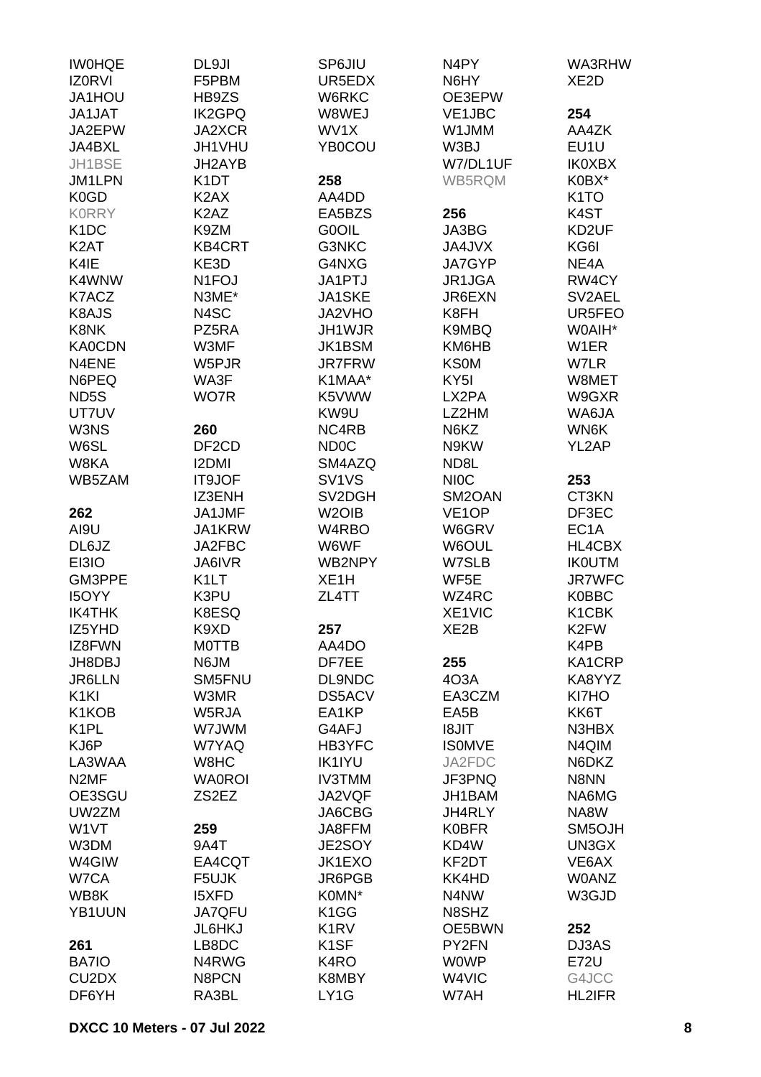| <b>IWOHQE</b>                  | DL9JI                         | SP6JIU                         | N <sub>4</sub> PY  | WA3RHW             |
|--------------------------------|-------------------------------|--------------------------------|--------------------|--------------------|
| <b>IZ0RVI</b>                  | F5PBM                         | UR5EDX                         | N6HY               | XE <sub>2</sub> D  |
| JA1HOU                         | HB9ZS                         | W6RKC                          | OE3EPW             |                    |
| JA1JAT                         | <b>IK2GPQ</b>                 | W8WEJ                          | VE1JBC             | 254                |
| JA2EPW                         | JA2XCR                        | WV1X                           | W1JMM              | AA4ZK              |
| JA4BXL                         | JH1VHU                        | YB0COU                         | W3BJ               | EU1U               |
|                                |                               |                                |                    |                    |
| JH1BSE                         | JH2AYB                        |                                | W7/DL1UF           | <b>IK0XBX</b>      |
| JM1LPN                         | K <sub>1</sub> DT             | 258                            | WB5RQM             | K0BX*              |
| K <sub>0</sub> G <sub>D</sub>  | K <sub>2</sub> AX             | AA4DD                          |                    | K <sub>1</sub> TO  |
| <b>KORRY</b>                   | K <sub>2</sub> A <sub>Z</sub> | EA5BZS                         | 256                | K <sub>4</sub> ST  |
| K <sub>1</sub> DC              | K9ZM                          | <b>GOOIL</b>                   | JA3BG              | KD2UF              |
| K <sub>2</sub> AT              | <b>KB4CRT</b>                 | G3NKC                          | JA4JVX             | KG6I               |
| K4IE                           | KE3D                          | G4NXG                          | JA7GYP             | NE4A               |
| K4WNW                          | N <sub>1</sub> FOJ            | JA1PTJ                         | JR1JGA             | RW4CY              |
| K7ACZ                          | N3ME*                         | JA1SKE                         | JR6EXN             | SV2AEL             |
| K8AJS                          | N4SC                          | JA2VHO                         | K8FH               | UR5FEO             |
| K8NK                           | PZ5RA                         | JH1WJR                         | K9MBQ              | W0AIH*             |
| <b>KA0CDN</b>                  | W3MF                          | JK1BSM                         | KM6HB              | W <sub>1</sub> ER  |
| N4ENE                          | W5PJR                         | <b>JR7FRW</b>                  | <b>KS0M</b>        | W7LR               |
| N6PEQ                          | WA3F                          | K1MAA*                         | KY <sub>5</sub> I  | W8MET              |
| ND5S                           | WO7R                          | K5VWW                          | LX2PA              | W9GXR              |
| UT7UV                          |                               | KW9U                           | LZ2HM              | WA6JA              |
|                                |                               |                                |                    |                    |
| W3NS                           | 260                           | NC4RB                          | N6KZ               | WN6K               |
| W6SL                           | DF <sub>2</sub> CD            | ND <sub>0</sub> C              | N9KW               | YL2AP              |
| W8KA                           | <b>I2DMI</b>                  | SM4AZQ                         | ND8L               |                    |
| WB5ZAM                         | IT9JOF                        | SV <sub>1</sub> V <sub>S</sub> | <b>NIOC</b>        | 253                |
|                                | IZ3ENH                        | SV2DGH                         | SM2OAN             | CT3KN              |
| 262                            | JA1JMF                        | W <sub>2</sub> OIB             | VE <sub>1</sub> OP | DF3EC              |
| AI9U                           | JA1KRW                        | W4RBO                          | W6GRV              | EC <sub>1</sub> A  |
| DL6JZ                          | JA2FBC                        | W6WF                           | W6OUL              | HL4CBX             |
| EI3IO                          | JA6IVR                        | WB2NPY                         | W7SLB              | <b>IKOUTM</b>      |
| GM3PPE                         | K <sub>1</sub> LT             | XE <sub>1</sub> H              | WF5E               | <b>JR7WFC</b>      |
| <b>I5OYY</b>                   | K3PU                          | ZL4TT                          | WZ4RC              | <b>K0BBC</b>       |
| <b>IK4THK</b>                  | K8ESQ                         |                                | XE1VIC             | K <sub>1</sub> CBK |
| IZ5YHD                         | K9XD                          | 257                            | XE2B               | K2FW               |
| IZ8FWN                         | <b>MOTTB</b>                  | AA4DO                          |                    | K4PB               |
| JH8DBJ                         | N6JM                          | DF7EE                          | 255                | KA1CRP             |
| <b>JR6LLN</b>                  | SM5FNU                        | DL9NDC                         | 4O3A               | KA8YYZ             |
| K <sub>1</sub> KI              | W3MR                          | DS5ACV                         | EA3CZM             | KI7HO              |
| K1KOB                          | W5RJA                         | EA1KP                          | EA5B               | KK6T               |
|                                |                               |                                |                    |                    |
| K <sub>1</sub> PL              | W7JWM                         | G4AFJ                          | <b>TIL8I</b>       | N3HBX              |
| KJ6P                           | W7YAQ                         | HB3YFC                         | <b>ISOMVE</b>      | N4QIM              |
| LA3WAA                         | W8HC                          | <b>IK1IYU</b>                  | JA2FDC             | N6DKZ              |
| N <sub>2</sub> MF              | <b>WA0ROI</b>                 | <b>IV3TMM</b>                  | JF3PNQ             | N8NN               |
| OE3SGU                         | ZS2EZ                         | JA2VQF                         | JH1BAM             | NA6MG              |
| UW2ZM                          |                               | JA6CBG                         | JH4RLY             | NA8W               |
| W1VT                           | 259                           | JA8FFM                         | <b>K0BFR</b>       | SM5OJH             |
| W3DM                           | 9A4T                          | JE2SOY                         | KD4W               | UN3GX              |
| W4GIW                          | EA4CQT                        | JK1EXO                         | KF2DT              | VE6AX              |
| W7CA                           | F5UJK                         | JR6PGB                         | KK4HD              | <b>WOANZ</b>       |
| WB8K                           | <b>I5XFD</b>                  | K0MN*                          | N4NW               | W3GJD              |
| YB1UUN                         | <b>JA7QFU</b>                 | K1GG                           | N8SHZ              |                    |
|                                | <b>JL6HKJ</b>                 | K <sub>1</sub> R <sub>V</sub>  | OE5BWN             | 252                |
| 261                            | LB8DC                         | K <sub>1</sub> SF              | PY2FN              | DJ3AS              |
| BA7IO                          | N4RWG                         | K <sub>4</sub> RO              | <b>WOWP</b>        | <b>E72U</b>        |
| CU <sub>2</sub> D <sub>X</sub> | N8PCN                         | K8MBY                          | W4VIC              | G4JCC              |
| DF6YH                          | RA3BL                         | LY1G                           | W7AH               | <b>HL2IFR</b>      |
|                                |                               |                                |                    |                    |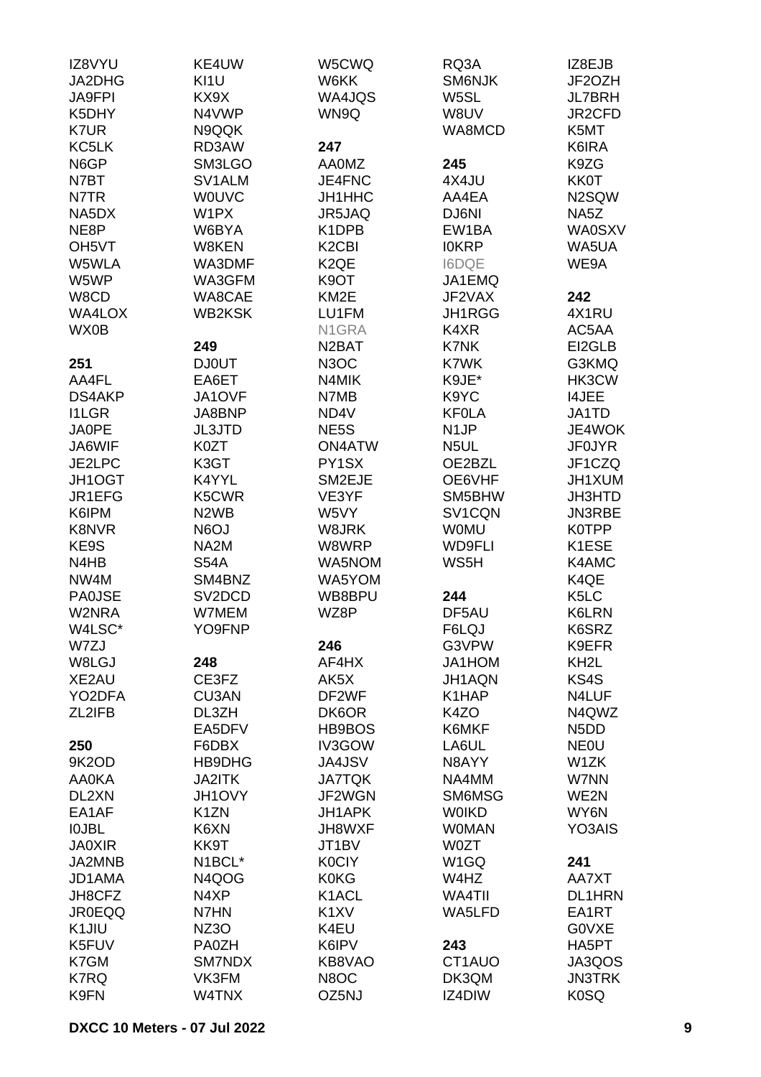| IZ8VYU             | KE4UW                         | W5CWQ                          | RQ3A              | IZ8EJB                        |
|--------------------|-------------------------------|--------------------------------|-------------------|-------------------------------|
| JA2DHG             | KI1U                          | W6KK                           | SM6NJK            | JF2OZH                        |
| <b>JA9FPI</b>      | KX9X                          | WA4JQS                         | W5SL              | <b>JL7BRH</b>                 |
| K5DHY              | N4VWP                         | WN9Q                           | W8UV              | JR2CFD                        |
| K7UR               | N9QQK                         |                                | WA8MCD            | K5MT                          |
| KC5LK              | RD3AW                         | 247                            |                   | K6IRA                         |
| N6GP               | SM3LGO                        | <b>AA0MZ</b>                   | 245               | K9ZG                          |
| N7BT               | SV1ALM                        | JE4FNC                         | 4X4JU             | <b>KK0T</b>                   |
| N7TR               | <b>WOUVC</b>                  | JH1HHC                         | AA4EA             | N2SQW                         |
| NA5DX              | W1PX                          | JR5JAQ                         | DJ6NI             | NA5Z                          |
| NE8P               | W6BYA                         | K1DPB                          | EW1BA             | <b>WA0SXV</b>                 |
| OH <sub>5</sub> VT | W8KEN                         | K <sub>2</sub> C <sub>BI</sub> | <b>IOKRP</b>      | WA5UA                         |
| W5WLA              | WA3DMF                        | K <sub>2</sub> QE              | <b>I6DQE</b>      | WE9A                          |
| W5WP               | WA3GFM                        | K9OT                           | JA1EMQ            |                               |
| W8CD               | WA8CAE                        | KM <sub>2</sub> E              | JF2VAX            | 242                           |
| WA4LOX             | <b>WB2KSK</b>                 |                                | JH1RGG            | 4X1RU                         |
|                    |                               | LU1FM                          |                   |                               |
| WX0B               |                               | N1GRA                          | K4XR              | AC5AA                         |
|                    | 249                           | N <sub>2</sub> BAT             | K7NK              | EI2GLB                        |
| 251                | <b>DJ0UT</b>                  | <b>N3OC</b>                    | <b>K7WK</b>       | G3KMQ                         |
| AA4FL              | EA6ET                         | N4MIK                          | K9JE*             | HK3CW                         |
| <b>DS4AKP</b>      | JA1OVF                        | N7MB                           | K9YC              | <b>I4JEE</b>                  |
| <b>I1LGR</b>       | JA8BNP                        | ND4V                           | <b>KF0LA</b>      | JA1TD                         |
| <b>JA0PE</b>       | <b>JL3JTD</b>                 | NE5S                           | N <sub>1</sub> JP | JE4WOK                        |
| JA6WIF             | K0ZT                          | <b>ON4ATW</b>                  | N5UL              | <b>JF0JYR</b>                 |
| JE2LPC             | K3GT                          | PY1SX                          | OE2BZL            | JF1CZQ                        |
| JH1OGT             | K4YYL                         | SM2EJE                         | OE6VHF            | JH1XUM                        |
| JR1EFG             | K5CWR                         | VE3YF                          | SM5BHW            | <b>JH3HTD</b>                 |
| K6IPM              | N <sub>2</sub> W <sub>B</sub> | W5VY                           | SV1CQN            | JN3RBE                        |
| K8NVR              | N6OJ                          | W8JRK                          | <b>WOMU</b>       | <b>K0TPP</b>                  |
| KE9S               | NA2M                          | W8WRP                          | <b>WD9FLI</b>     | K1ESE                         |
| N4HB               | <b>S54A</b>                   | WA5NOM                         | WS5H              | K4AMC                         |
| NW4M               | SM4BNZ                        | WA5YOM                         |                   | K4QE                          |
| <b>PA0JSE</b>      | SV <sub>2</sub> DCD           | WB8BPU                         | 244               | K <sub>5</sub> LC             |
| W2NRA              | W7MEM                         | WZ8P                           | DF5AU             | K6LRN                         |
| W4LSC*             | YO9FNP                        |                                | F6LQJ             | K6SRZ                         |
| W7ZJ               |                               | 246                            | G3VPW             | K9EFR                         |
| W8LGJ              | 248                           | AF4HX                          | JA1HOM            | KH <sub>2</sub> L             |
| XE2AU              | CE3FZ                         | AK5X                           | JH1AQN            | KS4S                          |
| YO2DFA             | <b>CU3AN</b>                  | DF2WF                          | K1HAP             | N4LUF                         |
| ZL2IFB             | DL3ZH                         | DK6OR                          | K4ZO              | N4QWZ                         |
|                    | EA5DFV                        | HB9BOS                         | K6MKF             | N <sub>5</sub> D <sub>D</sub> |
| 250                | F6DBX                         | IV3GOW                         | LA6UL             | <b>NEOU</b>                   |
| 9K2OD              | HB9DHG                        | <b>JA4JSV</b>                  | N8AYY             | W1ZK                          |
| <b>AA0KA</b>       | <b>JA2ITK</b>                 | <b>JA7TQK</b>                  | NA4MM             | W7NN                          |
| DL2XN              | JH1OVY                        | JF2WGN                         | SM6MSG            | WE2N                          |
| EA1AF              | K <sub>1</sub> ZN             | JH1APK                         | <b>WOIKD</b>      | WY6N                          |
| <b>IOJBL</b>       | K6XN                          | JH8WXF                         | <b>WOMAN</b>      | YO3AIS                        |
| <b>JA0XIR</b>      | KK9T                          | JT1BV                          | <b>W0ZT</b>       |                               |
| JA2MNB             | N1BCL*                        | <b>K0CIY</b>                   | W <sub>1</sub> GQ | 241                           |
| JD1AMA             | N4QOG                         | K0KG                           | W4HZ              | AA7XT                         |
| JH8CFZ             | N4XP                          | K1ACL                          | WA4TII            | <b>DL1HRN</b>                 |
| <b>JR0EQQ</b>      | N7HN                          | K <sub>1</sub> XV              | WA5LFD            | EA1RT                         |
| K1JIU              | NZ3O                          | K4EU                           |                   | G0VXE                         |
| K5FUV              | PA0ZH                         | K6IPV                          | 243               | HA5PT                         |
| K7GM               | SM7NDX                        | KB8VAO                         | CT1AUO            | JA3QOS                        |
| K7RQ               | VK3FM                         | N8OC                           | DK3QM             | <b>JN3TRK</b>                 |
| K9FN               | W4TNX                         | OZ5NJ                          | IZ4DIW            | K0SQ                          |
|                    |                               |                                |                   |                               |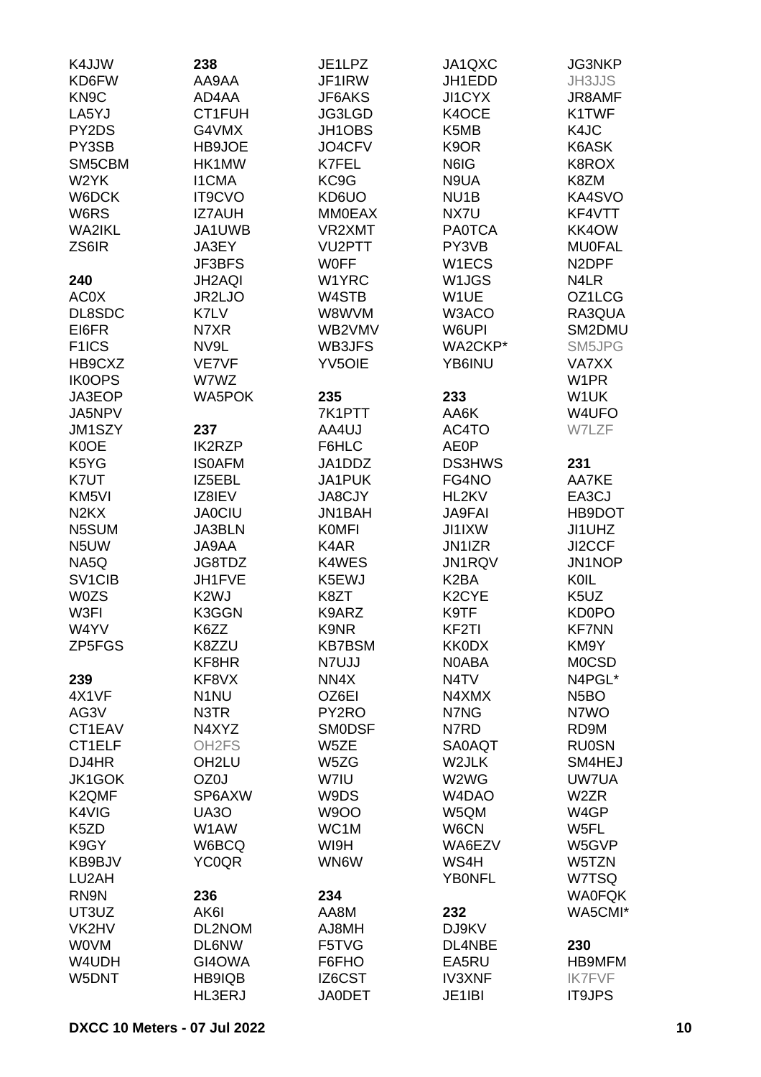| K4JJW                         | 238                | JE1LPZ        | JA1QXC             | <b>JG3NKP</b>                 |
|-------------------------------|--------------------|---------------|--------------------|-------------------------------|
| KD6FW                         | AA9AA              | JF1IRW        | JH1EDD             | <b>JH3JJS</b>                 |
| KN <sub>9</sub> C             | AD4AA              | JF6AKS        | <b>JI1CYX</b>      | JR8AMF                        |
| LA5YJ                         | CT1FUH             | JG3LGD        | K4OCE              | K1TWF                         |
| PY2DS                         | G4VMX              | JH1OBS        | K5MB               | K4JC                          |
| PY3SB                         | HB9JOE             | JO4CFV        | K9OR               | K6ASK                         |
| SM5CBM                        | HK1MW              | K7FEL         | N6IG               | K8ROX                         |
| W2YK                          | <b>I1CMA</b>       | KC9G          | N9UA               | K8ZM                          |
| W6DCK                         | <b>IT9CVO</b>      | KD6UO         | NU <sub>1</sub> B  | KA4SVO                        |
| W6RS                          | <b>IZ7AUH</b>      | <b>MM0EAX</b> | NX7U               | KF4VTT                        |
| WA2IKL                        | JA1UWB             | VR2XMT        | <b>PA0TCA</b>      | KK4OW                         |
| ZS6IR                         | JA3EY              | VU2PTT        | PY3VB              | <b>MU0FAL</b>                 |
|                               | JF3BFS             | <b>WOFF</b>   | W1ECS              | N <sub>2</sub> DPF            |
| 240                           | <b>JH2AQI</b>      | W1YRC         | W <sub>1</sub> JGS | N4LR                          |
| <b>AC0X</b>                   | JR2LJO             | W4STB         | W1UE               | OZ1LCG                        |
| DL8SDC                        | K7LV               | W8WVM         | W3ACO              | RA3QUA                        |
| EI6FR                         | N7XR               | WB2VMV        | W6UPI              | SM2DMU                        |
| F <sub>1</sub> ICS            | NV9L               | WB3JFS        | WA2CKP*            | SM5JPG                        |
| HB9CXZ                        | VE7VF              | <b>YV5OIE</b> | YB6INU             | VA7XX                         |
| <b>IK0OPS</b>                 | W7WZ               |               |                    | W1PR                          |
| JA3EOP                        | <b>WA5POK</b>      | 235           | 233                | W <sub>1</sub> UK             |
| JA5NPV                        |                    | 7K1PTT        | AA6K               | W4UFO                         |
| JM1SZY                        | 237                | AA4UJ         | AC4TO              | W7LZF                         |
| K0OE                          | <b>IK2RZP</b>      | F6HLC         | <b>AE0P</b>        |                               |
| K5YG                          | <b>ISOAFM</b>      | JA1DDZ        | <b>DS3HWS</b>      | 231                           |
| K7UT                          | IZ5EBL             | JA1PUK        | FG4NO              | AA7KE                         |
| KM <sub>5VI</sub>             | IZ8IEV             | <b>JA8CJY</b> | HL2KV              | EA3CJ                         |
| N <sub>2</sub> K <sub>X</sub> | <b>JA0CIU</b>      | JN1BAH        | <b>JA9FAI</b>      | HB9DOT                        |
| N5SUM                         | JA3BLN             | <b>KOMFI</b>  | <b>JI1IXW</b>      | JI1UHZ                        |
| N <sub>5</sub> UW             | JA9AA              | K4AR          | JN1IZR             | JI2CCF                        |
| NA5Q                          | JG8TDZ             | K4WES         | JN1RQV             | JN1NOP                        |
| SV <sub>1CIB</sub>            | JH1FVE             | K5EWJ         | K <sub>2</sub> BA  | KOIL                          |
| <b>W0ZS</b>                   | K <sub>2</sub> WJ  | K8ZT          | K <sub>2</sub> CYE | K <sub>5</sub> U <sub>Z</sub> |
| W3FI                          | K3GGN              | K9ARZ         | K9TF               | <b>KD0PO</b>                  |
| W4YV                          | K6ZZ               | K9NR          | KF2TI              | <b>KF7NN</b>                  |
| ZP5FGS                        | K8ZZU              | <b>KB7BSM</b> | <b>KK0DX</b>       | KM9Y                          |
|                               | KF8HR              | N7UJJ         | N0ABA              | <b>MOCSD</b>                  |
| 239                           | KF8VX              | NN4X          | N <sub>4</sub> TV  | N4PGL*                        |
| 4X1VF                         | N <sub>1</sub> NU  | OZ6EI         | N4XMX              | N <sub>5</sub> BO             |
| AG3V                          | N3TR               | PY2RO         | N7NG               | N7WO                          |
| CT1EAV                        | N4XYZ              | <b>SMODSF</b> | N7RD               | RD9M                          |
| CT1ELF                        | OH <sub>2</sub> FS | W5ZE          | <b>SA0AQT</b>      | <b>RU0SN</b>                  |
| DJ4HR                         | OH <sub>2LU</sub>  | W5ZG          | W2JLK              | SM4HEJ                        |
| JK1GOK                        | OZ0J               | W7IU          | W2WG               | UW7UA                         |
| K <sub>2</sub> QMF            | SP6AXW             | W9DS          | W4DAO              | W2ZR                          |
| K4VIG                         | UA3O               | <b>W9OO</b>   | W5QM               | W4GP                          |
| K <sub>5</sub> ZD             | W1AW               | WC1M          | W6CN               | W5FL                          |
| K9GY                          | W6BCQ              | WI9H          | WA6EZV             | W5GVP                         |
| KB9BJV                        | <b>YC0QR</b>       | WN6W          | WS4H               | W5TZN                         |
| LU2AH                         |                    |               | <b>YBONFL</b>      | W7TSQ                         |
| RN9N                          | 236                | 234           |                    | <b>WA0FQK</b>                 |
| UT3UZ                         | AK6I               | AA8M          | 232                | WA5CMI*                       |
| VK2HV                         | DL2NOM             | HM8LA         | DJ9KV              |                               |
| <b>WOVM</b>                   | <b>DL6NW</b>       | F5TVG         | DL4NBE             | 230                           |
| W4UDH                         | GI4OWA             | F6FHO         | EA5RU              | <b>HB9MFM</b>                 |
| W5DNT                         | HB9IQB             | IZ6CST        | <b>IV3XNF</b>      | <b>IK7FVF</b>                 |
|                               | HL3ERJ             | <b>JA0DET</b> | JE1IBI             | <b>IT9JPS</b>                 |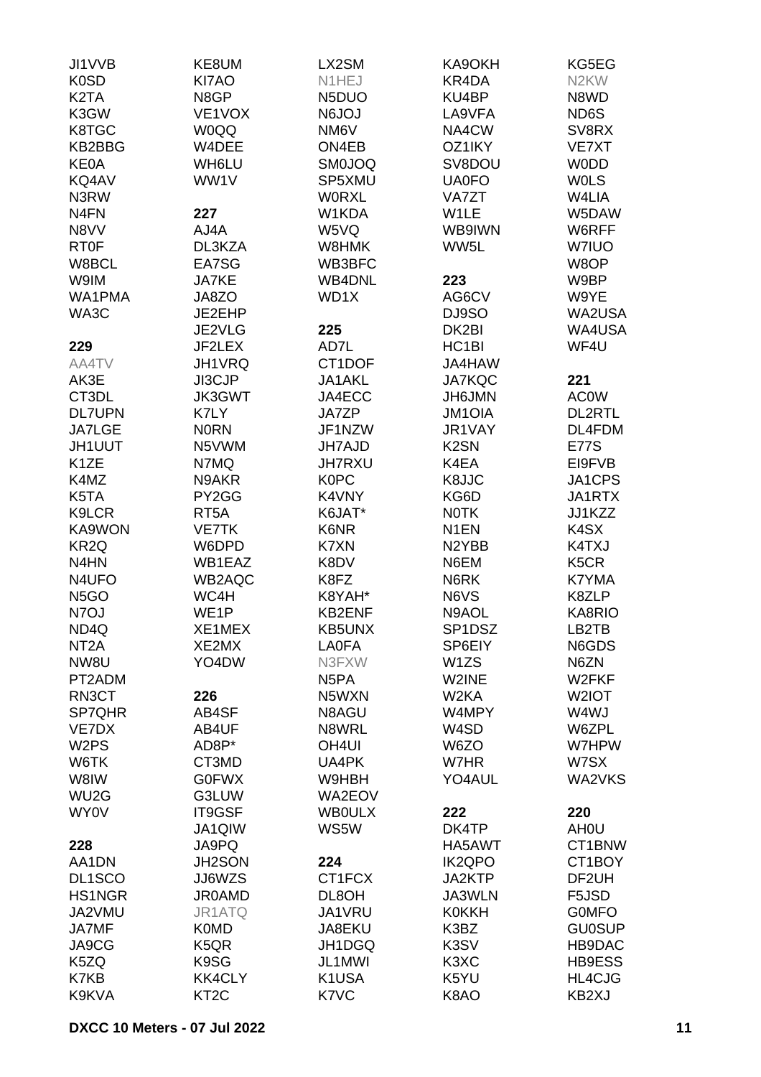| JI1VVB                        | KE8UM             | LX2SM             | KA9OKH             | KG5EG              |
|-------------------------------|-------------------|-------------------|--------------------|--------------------|
| <b>K0SD</b>                   | KI7AO             | N1HEJ             | KR4DA              | N <sub>2</sub> KW  |
| K <sub>2</sub> T <sub>A</sub> | N8GP              | N5DUO             | KU4BP              | N8WD               |
| K3GW                          | VE1VOX            | <b>N6JOJ</b>      | LA9VFA             | ND6S               |
| K8TGC                         | <b>WOQQ</b>       | NM6V              | NA4CW              | SV8RX              |
| KB2BBG                        | W4DEE             | ON4EB             | OZ1IKY             | VE7XT              |
|                               |                   |                   |                    |                    |
| <b>KE0A</b>                   | WH6LU             | <b>SM0JOQ</b>     | SV8DOU             | <b>WODD</b>        |
| KQ4AV                         | WW1V              | SP5XMU            | <b>UA0FO</b>       | <b>WOLS</b>        |
| N3RW                          |                   | <b>WORXL</b>      | VA7ZT              | W4LIA              |
| N <sub>4</sub> FN             | 227               | W1KDA             | W1LE               | W5DAW              |
| N8VV                          | AJ4A              | W5VQ              | WB9IWN             | W6RFF              |
| <b>RT0F</b>                   | DL3KZA            | W8HMK             | WW5L               | W7IUO              |
| W8BCL                         | EA7SG             | WB3BFC            |                    | W8OP               |
| W9IM                          | <b>JA7KE</b>      | <b>WB4DNL</b>     | 223                | W9BP               |
| WA1PMA                        | JA8ZO             | WD1X              | AG6CV              | W9YE               |
| WA3C                          | JE2EHP            |                   | DJ9SO              | WA2USA             |
|                               | JE2VLG            | 225               | DK2BI              | <b>WA4USA</b>      |
| 229                           | JF2LEX            | AD7L              | HC <sub>1</sub> BI | WF4U               |
| AA4TV                         | JH1VRQ            | CT1DOF            | JA4HAW             |                    |
| AK3E                          | JI3CJP            | JA1AKL            | <b>JA7KQC</b>      | 221                |
| CT3DL                         | JK3GWT            | JA4ECC            | JH6JMN             | <b>AC0W</b>        |
| <b>DL7UPN</b>                 | K7LY              | JA7ZP             | <b>JM1OIA</b>      | DL2RTL             |
| <b>JA7LGE</b>                 | <b>NORN</b>       | JF1NZW            | JR1VAY             | DL4FDM             |
| <b>JH1UUT</b>                 | N5VWM             | <b>JH7AJD</b>     | K <sub>2</sub> SN  | <b>E77S</b>        |
| K <sub>1</sub> ZE             | N7MQ              | <b>JH7RXU</b>     | K4EA               | EI9FVB             |
| K4MZ                          | N9AKR             | <b>K0PC</b>       | K8JJC              | JA1CPS             |
| K5TA                          | PY2GG             | K4VNY             | KG6D               | JA1RTX             |
| K9LCR                         | RT <sub>5</sub> A | K6JAT*            | <b>NOTK</b>        | JJ1KZZ             |
| KA9WON                        | <b>VE7TK</b>      | K6NR              | N <sub>1</sub> EN  | K4SX               |
|                               |                   |                   |                    |                    |
| KR <sub>2Q</sub>              | W6DPD             | K7XN              | N <sub>2</sub> YBB | K4TXJ              |
| N4HN                          | WB1EAZ            | K8DV              | N6EM               | K5CR               |
| N4UFO                         | WB2AQC            | K8FZ              | N6RK               | K7YMA              |
| N <sub>5</sub> GO             | WC4H              | K8YAH*            | N6VS               | K8ZLP              |
| N7OJ                          | WE <sub>1</sub> P | <b>KB2ENF</b>     | N9AOL              | KA8RIO             |
| ND4Q                          | XE1MEX            | KB5UNX            | SP1DSZ             | LB2TB              |
| NT <sub>2</sub> A             | XE2MX             | <b>LA0FA</b>      | SP6EIY             | N6GDS              |
| NW8U                          | YO4DW             | N3FXW             | W <sub>1</sub> ZS  | N6ZN               |
| PT2ADM                        |                   | N <sub>5</sub> PA | W2INE              | W2FKF              |
| RN3CT                         | 226               | N5WXN             | W <sub>2</sub> KA  | W2IOT              |
| SP7QHR                        | AB4SF             | N8AGU             | W4MPY              | W4WJ               |
| VE7DX                         | AB4UF             | N8WRL             | W4SD               | W6ZPL              |
| W <sub>2</sub> PS             | AD8P*             | OH <sub>4UI</sub> | W6ZO               | W7HPW              |
| W6TK                          | CT3MD             | UA4PK             | W7HR               | W7SX               |
| W8IW                          | <b>G0FWX</b>      | W9HBH             | YO4AUL             | WA2VKS             |
| WU <sub>2</sub> G             | G3LUW             | WA2EOV            |                    |                    |
| <b>WY0V</b>                   | IT9GSF            | <b>WBOULX</b>     | 222                | 220                |
|                               | JA1QIW            | WS5W              | DK4TP              | AH <sub>0</sub> U  |
| 228                           | JA9PQ             |                   | HA5AWT             | CT1BNW             |
| AA1DN                         | <b>JH2SON</b>     | 224               | <b>IK2QPO</b>      | CT1BOY             |
| DL1SCO                        | JJ6WZS            | CT1FCX            | JA2KTP             | DF <sub>2</sub> UH |
| <b>HS1NGR</b>                 | <b>JR0AMD</b>     | DL8OH             | JA3WLN             | F5JSD              |
| JA2VMU                        | JR1ATQ            | JA1VRU            | <b>K0KKH</b>       | <b>GOMFO</b>       |
| JA7MF                         | <b>K0MD</b>       | JA8EKU            | K3BZ               | <b>GU0SUP</b>      |
| JA9CG                         | K <sub>5</sub> QR | JH1DGQ            | K3SV               | HB9DAC             |
| K5ZQ                          | K9SG              | JL1MWI            | K3XC               | <b>HB9ESS</b>      |
| K7KB                          | <b>KK4CLY</b>     | K1USA             | K5YU               | HL4CJG             |
| K9KVA                         | KT <sub>2</sub> C | K7VC              | K8AO               | KB2XJ              |
|                               |                   |                   |                    |                    |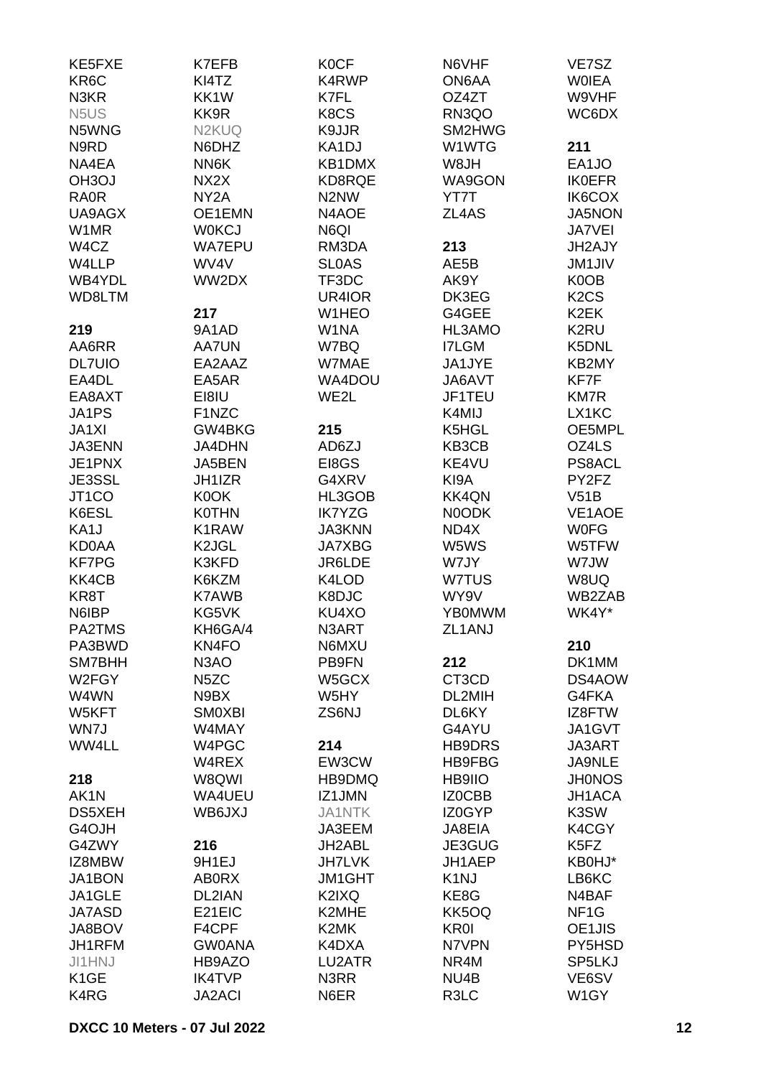| KE5FXE                        | K7EFB                      | <b>KOCF</b>                   | N6VHF                   | VE7SZ                         |
|-------------------------------|----------------------------|-------------------------------|-------------------------|-------------------------------|
| KR6C                          | KI4TZ                      | K4RWP                         | ON6AA                   | <b>WOIEA</b>                  |
| N <sub>3</sub> KR             | KK1W                       | K7FL                          | OZ4ZT                   | W9VHF                         |
| N <sub>5</sub> U <sub>S</sub> | KK9R                       | K8CS                          | RN3QO                   | WC6DX                         |
| N5WNG                         | N <sub>2</sub> KUQ         | K9JJR                         | SM2HWG                  |                               |
| N9RD                          | N6DHZ                      | KA1DJ                         | W1WTG                   | 211                           |
| NA4EA                         | NN6K                       | KB1DMX                        | W8JH                    | EA1JO                         |
| OH <sub>3</sub> OJ            | NX2X                       | KD8RQE                        | WA9GON                  | <b>IK0EFR</b>                 |
| <b>RA0R</b>                   | NY <sub>2</sub> A          | N <sub>2</sub> N <sub>W</sub> | YT7T                    | IK6COX                        |
| UA9AGX                        | OE1EMN                     | N4AOE                         | ZL4AS                   | JA5NON                        |
| W1MR                          | <b>W0KCJ</b>               | N6QI                          |                         | <b>JA7VEI</b>                 |
| W4CZ                          | <b>WA7EPU</b>              | RM3DA                         | 213                     | JH2AJY                        |
| W4LLP                         | WV4V                       | <b>SLOAS</b>                  | AE5B                    | <b>JM1JIV</b>                 |
| WB4YDL                        | WW2DX                      | TF3DC                         | AK9Y                    | K0OB                          |
| WD8LTM                        |                            | UR4IOR                        | DK3EG                   | K <sub>2</sub> C <sub>S</sub> |
|                               | 217                        | W1HEO                         | G4GEE                   | K <sub>2</sub> EK             |
| 219                           | 9A1AD                      | W1NA                          | HL3AMO                  | K2RU                          |
| AA6RR                         | <b>AA7UN</b>               | W7BQ                          | <b>I7LGM</b>            | K5DNL                         |
| <b>DL7UIO</b>                 | EA2AAZ                     | W7MAE                         | JA1JYE                  | KB2MY                         |
| EA4DL                         | EA5AR                      | WA4DOU                        | JA6AVT                  | KF7F                          |
| EA8AXT                        | EI8IU                      | WE2L                          | JF1TEU                  | <b>KM7R</b>                   |
| JA1PS                         | F1NZC                      |                               | K4MIJ                   | LX1KC                         |
| JA1XI                         | GW4BKG                     | 215                           | K5HGL                   | OE5MPL                        |
| <b>JA3ENN</b>                 | <b>JA4DHN</b>              | AD6ZJ                         | KB3CB                   | OZ4LS                         |
| JE1PNX                        | JA5BEN                     | EI8GS                         | KE4VU                   | PS8ACL                        |
| JE3SSL                        | JH1IZR                     | G4XRV                         | KI9A                    | PY2FZ                         |
| JT1CO                         | K0OK                       | HL3GOB                        | <b>KK4QN</b>            | V51B                          |
| K6ESL                         | <b>K0THN</b>               | <b>IK7YZG</b>                 | N0ODK                   | VE1AOE                        |
| KA1J                          | K1RAW                      | <b>JA3KNN</b>                 | ND4X                    | <b>WOFG</b>                   |
| <b>KD0AA</b>                  | K <sub>2</sub> JGL         |                               | W5WS                    |                               |
| <b>KF7PG</b>                  | K3KFD                      | <b>JA7XBG</b><br>JR6LDE       | W7JY                    | W5TFW<br>W7JW                 |
| KK4CB                         | K6KZM                      | K4LOD                         | W7TUS                   | W8UQ                          |
| KR8T                          | <b>K7AWB</b>               | K8DJC                         | WY9V                    | WB2ZAB                        |
| N6IBP                         | KG5VK                      | KU4XO                         | <b>YB0MWM</b>           | WK4Y*                         |
| PA2TMS                        | KH6GA/4                    | N3ART                         | ZL1ANJ                  |                               |
| PA3BWD                        |                            |                               |                         |                               |
| SM7BHH                        | KN4FO<br>N <sub>3</sub> AO | N6MXU<br>PB9FN                | 212                     | 210<br>DK1MM                  |
| W2FGY                         |                            |                               | CT3CD                   | DS4AOW                        |
|                               | N <sub>5</sub> ZC          | W5GCX                         |                         |                               |
| W4WN                          | N9BX                       | W5HY                          | DL2MIH                  | G4FKA                         |
| W5KFT                         | <b>SMOXBI</b>              | ZS6NJ                         | DL6KY                   | IZ8FTW                        |
| WN7J                          | W4MAY                      |                               | G4AYU                   | JA1GVT                        |
| WW4LL                         | W4PGC<br>W4REX             | 214<br>EW3CW                  | <b>HB9DRS</b><br>HB9FBG | JA3ART                        |
|                               | W8QWI                      |                               |                         | JA9NLE                        |
| 218                           |                            | HB9DMQ                        | HB9IIO                  | <b>JH0NOS</b>                 |
| AK1N                          | WA4UEU                     | IZ1JMN                        | IZ0CBB                  | <b>JH1ACA</b>                 |
| DS5XEH                        | WB6JXJ                     | <b>JA1NTK</b>                 | IZ0GYP                  | K3SW                          |
| G4OJH                         |                            | JA3EEM                        | JA8EIA                  | K4CGY                         |
| G4ZWY                         | 216                        | JH2ABL                        | JE3GUG                  | K5FZ                          |
| IZ8MBW                        | 9H1EJ                      | <b>JH7LVK</b>                 | JH1AEP                  | KB0HJ*                        |
| JA1BON                        | <b>AB0RX</b>               | <b>JM1GHT</b>                 | K <sub>1</sub> NJ       | LB6KC                         |
| JA1GLE                        | DL2IAN                     | K2IXQ                         | KE8G                    | N4BAF                         |
| <b>JA7ASD</b>                 | E21EIC                     | K2MHE                         | KK5OQ                   | NF <sub>1</sub> G             |
| JA8BOV                        | F4CPF                      | K2MK                          | <b>KR0I</b>             | OE1JIS                        |
| JH1RFM                        | <b>GW0ANA</b>              | K4DXA                         | N7VPN                   | PY5HSD                        |
| <b>JI1HNJ</b>                 | HB9AZO                     | LU2ATR                        | NR4M                    | SP5LKJ                        |
| K <sub>1</sub> GE             | <b>IK4TVP</b>              | N3RR                          | NU4B                    | VE6SV                         |
| K4RG                          | <b>JA2ACI</b>              | N6ER                          | R3LC                    | W1GY                          |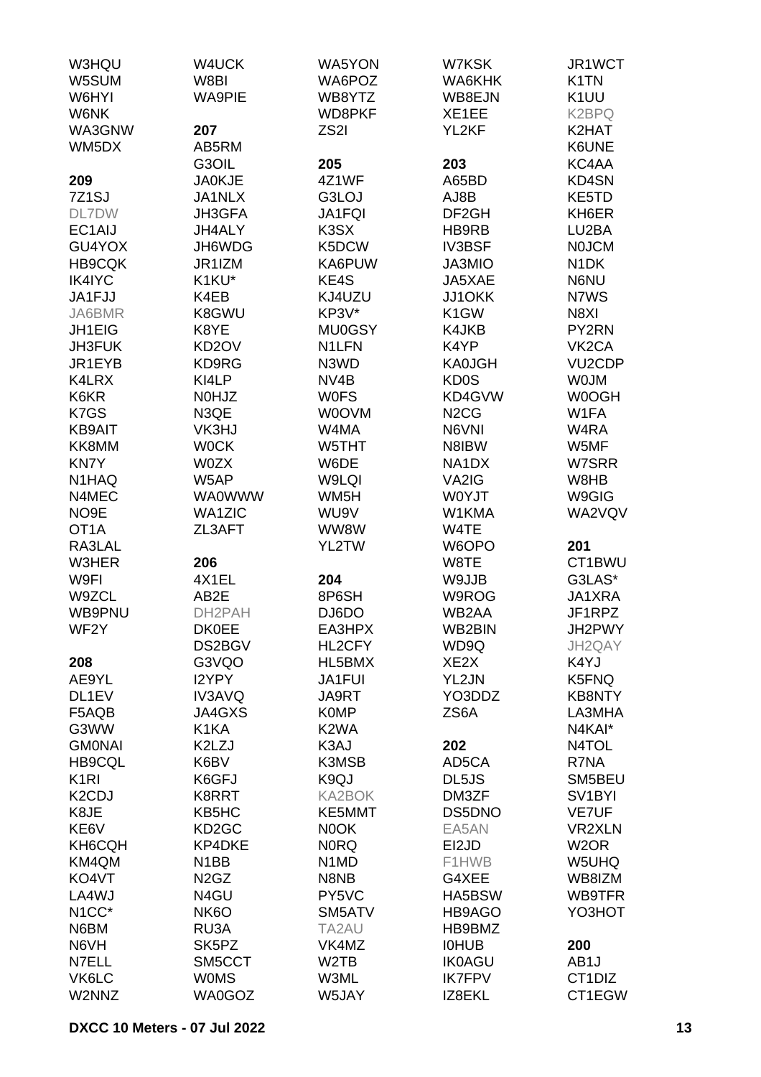| W3HQU                           | W4UCK                         | <b>WA5YON</b>                 | W7KSK                         | JR1WCT                        |
|---------------------------------|-------------------------------|-------------------------------|-------------------------------|-------------------------------|
| W5SUM                           | W8BI                          | WA6POZ                        | WA6KHK                        | K <sub>1</sub> TN             |
| W6HYI                           | <b>WA9PIE</b>                 | WB8YTZ                        | WB8EJN                        | K <sub>1</sub> UU             |
| W6NK                            |                               | WD8PKF                        | XE1EE                         | K <sub>2</sub> BPQ            |
| WA3GNW                          | 207                           | ZS <sub>2</sub> I             | YL2KF                         | K2HAT                         |
| WM5DX                           | AB5RM                         |                               |                               | K6UNE                         |
|                                 | G3OIL                         | 205                           | 203                           | KC4AA                         |
| 209                             | <b>JA0KJE</b>                 | 4Z1WF                         | A65BD                         | <b>KD4SN</b>                  |
| 7Z <sub>1</sub> SJ              | JA1NLX                        | G3LOJ                         | AJ8B                          | KE5TD                         |
|                                 |                               |                               |                               |                               |
| DL7DW                           | JH3GFA                        | JA1FQI                        | DF <sub>2GH</sub>             | KH6ER                         |
| EC1AIJ                          | JH4ALY                        | K3SX                          | HB9RB                         | LU2BA                         |
| GU4YOX                          | JH6WDG                        | K5DCW                         | <b>IV3BSF</b>                 | <b>NOJCM</b>                  |
| <b>HB9CQK</b>                   | JR1IZM                        | KA6PUW                        | JA3MIO                        | N <sub>1</sub> DK             |
| IK4IYC                          | K1KU*                         | KE4S                          | JA5XAE                        | N6NU                          |
| JA1FJJ                          | K4EB                          | KJ4UZU                        | JJ1OKK                        | N7WS                          |
| JA6BMR                          | K8GWU                         | KP3V*                         | K <sub>1</sub> GW             | N8XI                          |
| JH1EIG                          | K8YE                          | <b>MU0GSY</b>                 | K4JKB                         | PY2RN                         |
| <b>JH3FUK</b>                   | KD <sub>2</sub> OV            | N1LFN                         | K4YP                          | VK <sub>2</sub> CA            |
| JR1EYB                          | KD9RG                         | N3WD                          | <b>KA0JGH</b>                 | <b>VU2CDP</b>                 |
| K4LRX                           | KI4LP                         | NV <sub>4</sub> B             | KD <sub>0</sub> S             | <b>WOJM</b>                   |
| K6KR                            | <b>NOHJZ</b>                  | <b>WOFS</b>                   | KD4GVW                        | W0OGH                         |
| K7GS                            | N3QE                          | <b>WOOVM</b>                  | N <sub>2</sub> C <sub>G</sub> | W1FA                          |
| <b>KB9AIT</b>                   | VK3HJ                         | W4MA                          | N6VNI                         | W4RA                          |
| KK8MM                           | <b>WOCK</b>                   | W5THT                         | N8IBW                         | W5MF                          |
| KN7Y                            | W0ZX                          | W6DE                          | NA1DX                         | W7SRR                         |
| N <sub>1</sub> H <sub>AQ</sub>  | W5AP                          | W9LQI                         | VA2IG                         | W8HB                          |
| N4MEC                           | <b>WA0WWW</b>                 | WM5H                          | <b>WOYJT</b>                  | W9GIG                         |
| NO <sub>9E</sub>                | <b>WA1ZIC</b>                 | WU9V                          | W1KMA                         | WA2VQV                        |
| OT <sub>1</sub> A               | ZL3AFT                        | WW8W                          | W4TE                          |                               |
| RA3LAL                          |                               | YL2TW                         | W6OPO                         | 201                           |
| <b>W3HER</b>                    | 206                           |                               | W8TE                          | CT1BWU                        |
| W9FI                            | 4X1EL                         | 204                           | W9JJB                         | G3LAS*                        |
| W9ZCL                           | AB2E                          | 8P6SH                         | W9ROG                         | JA1XRA                        |
| WB9PNU                          | DH2PAH                        | DJ6DO                         | WB2AA                         | JF1RPZ                        |
| WF2Y                            | <b>DK0EE</b>                  | EA3HPX                        | WB2BIN                        | JH2PWY                        |
|                                 | DS2BGV                        | HL2CFY                        | WD9Q                          | JH2QAY                        |
| 208                             | G3VQO                         | HL5BMX                        | XE <sub>2</sub> X             | K4YJ                          |
| AE9YL                           | I2YPY                         | <b>JA1FUI</b>                 | YL2JN                         | K5FNQ                         |
| DL1EV                           | IV3AVQ                        | JA9RT                         | YO3DDZ                        | <b>KB8NTY</b>                 |
| F5AQB                           | JA4GXS                        | <b>K0MP</b>                   | ZS6A                          | LA3MHA                        |
| G3WW                            | K1KA                          | K <sub>2</sub> WA             |                               | N4KAI*                        |
| <b>GMONAI</b>                   | K2LZJ                         | K3AJ                          | 202                           | N4TOL                         |
| <b>HB9CQL</b>                   | K6BV                          | K3MSB                         | AD5CA                         | R7NA                          |
| K <sub>1</sub> RI               |                               | K <sub>9</sub> QJ             |                               |                               |
|                                 | K6GFJ                         |                               | DL5JS<br>DM3ZF                | SM5BEU<br>SV <sub>1</sub> BYI |
| K <sub>2</sub> C <sub>D</sub> J | K8RRT                         | <b>KA2BOK</b>                 |                               |                               |
| K8JE                            | KB5HC                         | KE5MMT                        | DS5DNO                        | <b>VE7UF</b>                  |
| KE6V                            | KD <sub>2</sub> GC            | N0OK                          | EA5AN                         | <b>VR2XLN</b>                 |
| KH6CQH                          | <b>KP4DKE</b>                 | <b>NORQ</b>                   | EI2JD                         | W <sub>2</sub> OR             |
| KM4QM                           | N <sub>1</sub> BB             | N <sub>1</sub> M <sub>D</sub> | F1HWB                         | W5UHQ                         |
| KO4VT                           | N <sub>2</sub> G <sub>Z</sub> | N8NB                          | G4XEE                         | WB8IZM                        |
| LA4WJ                           | N4GU                          | PY5VC                         | HA5BSW                        | WB9TFR                        |
| N <sub>1</sub> CC <sup>*</sup>  | NK <sub>6</sub> O             | SM5ATV                        | HB9AGO                        | YO3HOT                        |
| N6BM                            | RU3A                          | TA2AU                         | HB9BMZ                        |                               |
| N6VH                            | SK <sub>5</sub> PZ            | VK4MZ                         | <b>IOHUB</b>                  | 200                           |
| N7ELL                           | SM5CCT                        | W <sub>2</sub> TB             | <b>IK0AGU</b>                 | AB1J                          |
| VK6LC                           | <b>WOMS</b>                   | W3ML                          | <b>IK7FPV</b>                 | CT1DIZ                        |
| W2NNZ                           | WA0GOZ                        | W5JAY                         | IZ8EKL                        | CT1EGW                        |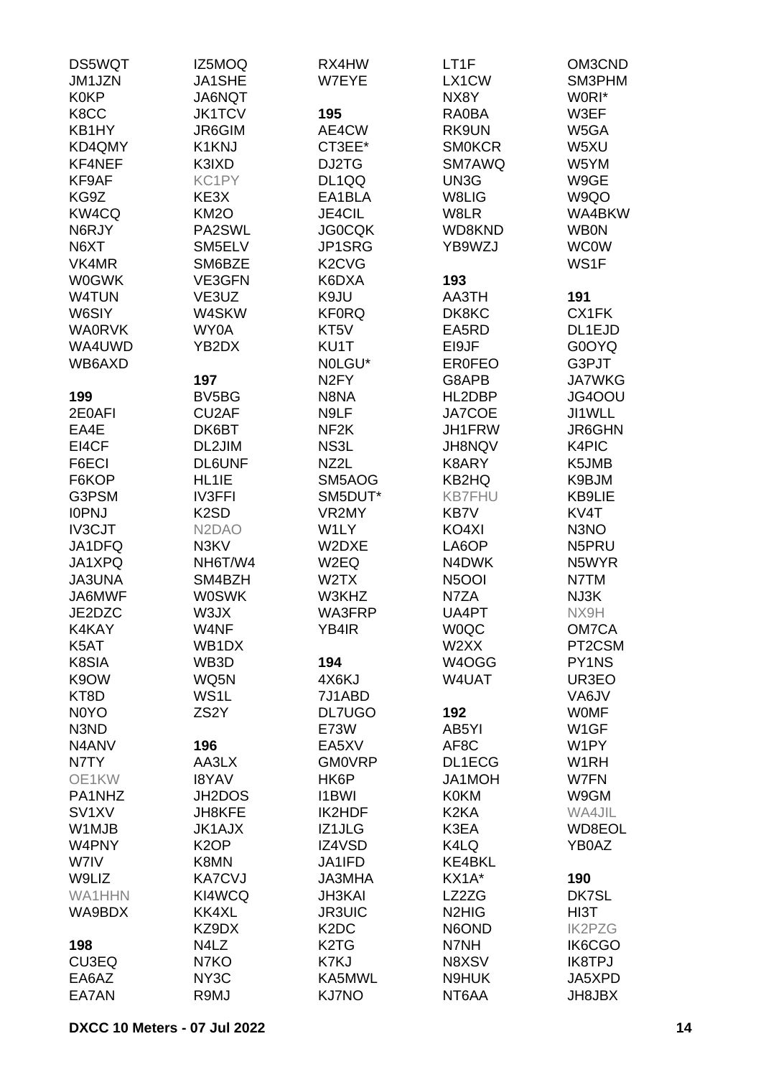| DS5WQT                        | IZ5MOQ                          | RX4HW                           | LT <sub>1</sub> F              | OM3CND            |
|-------------------------------|---------------------------------|---------------------------------|--------------------------------|-------------------|
| JM1JZN                        | <b>JA1SHE</b>                   | W7EYE                           | LX1CW                          | SM3PHM            |
| <b>K0KP</b>                   | JA6NQT                          |                                 | NX8Y                           | W0RI*             |
| K8CC                          | <b>JK1TCV</b>                   | 195                             | <b>RA0BA</b>                   | W3EF              |
| KB1HY                         | <b>JR6GIM</b>                   | AE4CW                           | RK9UN                          | W5GA              |
| KD4QMY                        | K1KNJ                           | CT3EE*                          | <b>SMOKCR</b>                  | W5XU              |
| KF4NEF                        | K3IXD                           | DJ2TG                           | SM7AWQ                         | W5YM              |
| KF9AF                         | KC1PY                           | DL1QQ                           | UN3G                           | W9GE              |
| KG9Z                          | KE3X                            | EA1BLA                          | W8LIG                          | W9QO              |
| KW4CQ                         | <b>KM20</b>                     | JE4CIL                          | W8LR                           | WA4BKW            |
| N6RJY                         | PA2SWL                          | <b>JG0CQK</b>                   | WD8KND                         | <b>WB0N</b>       |
| N6XT                          | SM5ELV                          | JP1SRG                          | YB9WZJ                         | <b>WC0W</b>       |
| VK4MR                         | SM6BZE                          | K <sub>2</sub> C <sub>V</sub> G |                                | WS1F              |
| <b>W0GWK</b>                  |                                 |                                 |                                |                   |
|                               | VE3GFN                          | K6DXA                           | 193                            |                   |
| W4TUN                         | VE3UZ                           | K9JU                            | AA3TH                          | 191               |
| W6SIY                         | W4SKW                           | <b>KF0RQ</b>                    | DK8KC                          | CX1FK             |
| <b>WA0RVK</b>                 | WY0A                            | KT5V                            | EA5RD                          | DL1EJD            |
| WA4UWD                        | YB2DX                           | KU1T                            | EI9JF                          | G0OYQ             |
| WB6AXD                        |                                 | NOLGU*                          | <b>ER0FEO</b>                  | G3PJT             |
|                               | 197                             | N <sub>2</sub> FY               | G8APB                          | <b>JA7WKG</b>     |
| 199                           | BV5BG                           | N8NA                            | HL2DBP                         | JG4OOU            |
| 2E0AFI                        | CU2AF                           | N9LF                            | JA7COE                         | JI1WLL            |
| EA4E                          | DK6BT                           | NF <sub>2K</sub>                | JH1FRW                         | <b>JR6GHN</b>     |
| EI4CF                         | DL2JIM                          | NS3L                            | JH8NQV                         | K4PIC             |
| F6ECI                         | <b>DL6UNF</b>                   | NZ2L                            | K8ARY                          | K5JMB             |
| F6KOP                         | HL1IE                           | SM5AOG                          | KB2HQ                          | K9BJM             |
| G3PSM                         | <b>IV3FFI</b>                   | SM5DUT*                         | <b>KB7FHU</b>                  | KB9LIE            |
| <b>IOPNJ</b>                  | K <sub>2</sub> SD               | VR2MY                           | KB7V                           | KV4T              |
| <b>IV3CJT</b>                 | N <sub>2</sub> D <sub>A</sub> O | W1LY                            | KO4XI                          | N <sub>3</sub> NO |
| JA1DFQ                        | N3KV                            | W2DXE                           | LA6OP                          | N5PRU             |
| JA1XPQ                        | NH6T/W4                         | W2EQ                            | N4DWK                          | N5WYR             |
| <b>JA3UNA</b>                 | SM4BZH                          | W2TX                            | N <sub>5</sub> OOI             | N7TM              |
| JA6MWF                        | <b>W0SWK</b>                    | W3KHZ                           | N7ZA                           | NJ3K              |
| JE2DZC                        | W3JX                            | WA3FRP                          | UA4PT                          | NX9H              |
| K4KAY                         | W4NF                            | YB4IR                           | <b>WOQC</b>                    | OM7CA             |
| K5AT                          | WB1DX                           |                                 | W2XX                           | PT2CSM            |
| K8SIA                         | WB3D                            | 194                             | W4OGG                          | PY1NS             |
| K9OW                          | WQ5N                            | 4X6KJ                           | W4UAT                          | UR3EO             |
| KT8D                          | WS1L                            | 7J1ABD                          |                                | VA6JV             |
| N <sub>0</sub> Y <sub>O</sub> | ZS <sub>2</sub> Y               | <b>DL7UGO</b>                   | 192                            | <b>WOMF</b>       |
| N3ND                          |                                 | E73W                            | AB5YI                          | W <sub>1</sub> GF |
| N4ANV                         | 196                             | EA5XV                           | AF8C                           | W1PY              |
| N7TY                          | AA3LX                           | <b>GM0VRP</b>                   | DL1ECG                         | W <sub>1</sub> RH |
| OE1KW                         | <b>I8YAV</b>                    | HK6P                            | JA1MOH                         | W7FN              |
| PA1NHZ                        | JH2DOS                          | <b>I1BWI</b>                    | <b>K0KM</b>                    | W9GM              |
| SV <sub>1</sub> XV            | JH8KFE                          | IK2HDF                          | K <sub>2</sub> KA              | WA4JIL            |
| W1MJB                         | <b>JK1AJX</b>                   | IZ1JLG                          | K3EA                           | WD8EOL            |
| W4PNY                         | K <sub>2</sub> OP               | IZ4VSD                          | K4LQ                           | YB0AZ             |
| W7IV                          | K8MN                            | JA1IFD                          | <b>KE4BKL</b>                  |                   |
| W9LIZ                         | <b>KA7CVJ</b>                   | <b>JA3MHA</b>                   | KX1A*                          | 190               |
| WA1HHN                        | KI4WCQ                          | <b>JH3KAI</b>                   | LZ2ZG                          | DK7SL             |
| WA9BDX                        | KK4XL                           | <b>JR3UIC</b>                   | N <sub>2</sub> H <sub>IG</sub> | HI3T              |
|                               | KZ9DX                           | K <sub>2</sub> D <sub>C</sub>   | N6OND                          | <b>IK2PZG</b>     |
| 198                           | N4LZ                            | K <sub>2</sub> T <sub>G</sub>   | N7NH                           | IK6CGO            |
| CU3EQ                         | N7KO                            | K7KJ                            | N8XSV                          | <b>IK8TPJ</b>     |
| EA6AZ                         | NY3C                            | KA5MWL                          | N9HUK                          | JA5XPD            |
| EA7AN                         | R9MJ                            | <b>KJ7NO</b>                    | NT6AA                          | JH8JBX            |
|                               |                                 |                                 |                                |                   |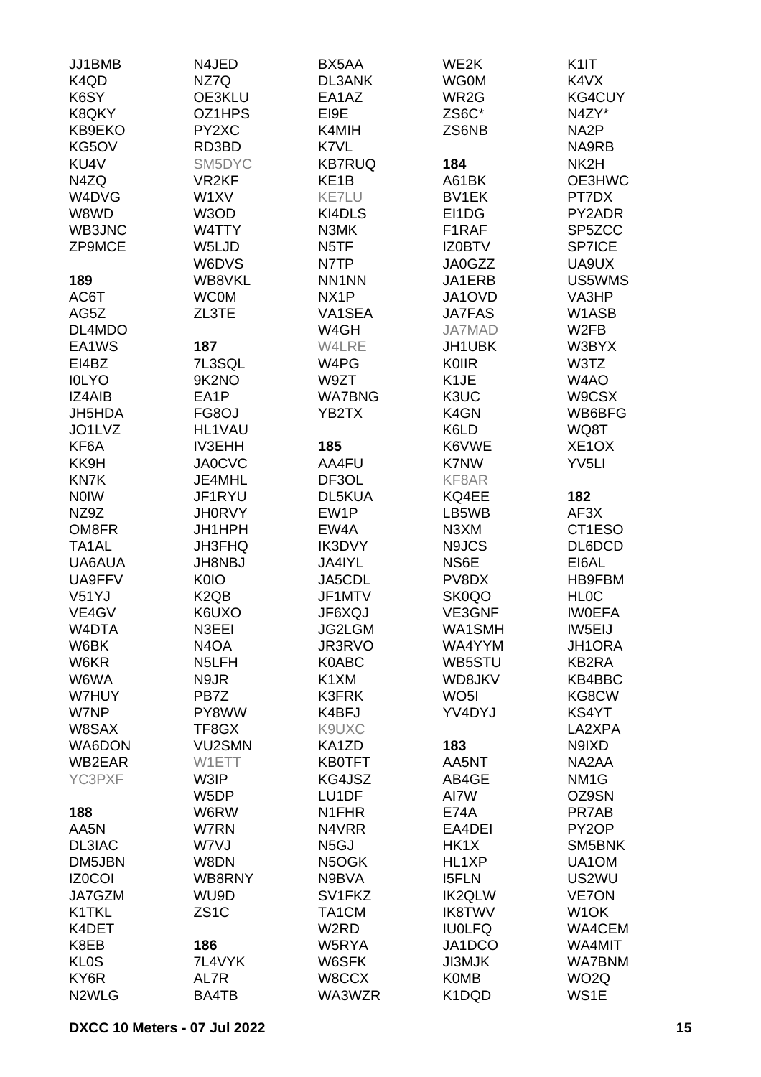| JJ1BMB             | N4JED                         | BX5AA              | WE2K              | K <sub>1</sub>     |
|--------------------|-------------------------------|--------------------|-------------------|--------------------|
| K4QD               | NZ7Q                          | <b>DL3ANK</b>      | <b>WG0M</b>       | K4VX               |
| K6SY               | OE3KLU                        | EA1AZ              | WR2G              | <b>KG4CUY</b>      |
| K8QKY              | OZ1HPS                        | EI9E               | ZS6C*             | N4ZY*              |
| KB9EKO             | PY2XC                         | K4MIH              | ZS6NB             | NA <sub>2</sub> P  |
|                    | RD3BD                         |                    |                   | NA9RB              |
| KG5OV              |                               | K7VL               |                   |                    |
| KU4V               | SM5DYC                        | <b>KB7RUQ</b>      | 184               | NK <sub>2</sub> H  |
| N4ZQ               | VR <sub>2KF</sub>             | KE <sub>1</sub> B  | A61BK             | OE3HWC             |
| W4DVG              | W1XV                          | <b>KE7LU</b>       | <b>BV1EK</b>      | PT7DX              |
| W8WD               | W3OD                          | KI4DLS             | EI1DG             | PY2ADR             |
| WB3JNC             | W4TTY                         | N3MK               | F1RAF             | SP5ZCC             |
| ZP9MCE             | W5LJD                         | N <sub>5</sub> TF  | <b>IZ0BTV</b>     | <b>SP7ICE</b>      |
|                    | W6DVS                         | N7TP               | JA0GZZ            | UA9UX              |
| 189                | WB8VKL                        | NN1NN              | JA1ERB            | US5WMS             |
| AC6T               | <b>WC0M</b>                   | NX <sub>1</sub> P  | JA1OVD            | VA3HP              |
| AG5Z               | ZL3TE                         | VA1SEA             | <b>JA7FAS</b>     | W1ASB              |
| DL4MDO             |                               | W4GH               | <b>JA7MAD</b>     | W <sub>2</sub> FB  |
| EA1WS              |                               | W4LRE              |                   |                    |
|                    | 187                           |                    | JH1UBK            | W3BYX              |
| EI4BZ              | 7L3SQL                        | W4PG               | <b>K0IIR</b>      | W3TZ               |
| <b>IOLYO</b>       | 9K2NO                         | W9ZT               | K <sub>1</sub> JE | W4AO               |
| IZ4AIB             | EA1P                          | <b>WA7BNG</b>      | K3UC              | W9CSX              |
| JH5HDA             | FG8OJ                         | YB2TX              | K4GN              | WB6BFG             |
| JO1LVZ             | HL1VAU                        |                    | K6LD              | WQ8T               |
| KF6A               | <b>IV3EHH</b>                 | 185                | K6VWE             | XE <sub>1</sub> OX |
| KK9H               | <b>JA0CVC</b>                 | AA4FU              | K7NW              | YV <sub>5LI</sub>  |
| KN7K               | JE4MHL                        | DF3OL              | KF8AR             |                    |
| <b>NOIW</b>        | JF1RYU                        | DL5KUA             | KQ4EE             | 182                |
| NZ9Z               | <b>JH0RVY</b>                 | EW1P               | LB5WB             | AF3X               |
| OM8FR              | JH1HPH                        | EW4A               | N3XM              | CT1ESO             |
| TA <sub>1</sub> AL | <b>JH3FHQ</b>                 | IK3DVY             | N9JCS             | DL6DCD             |
| UA6AUA             | JH8NBJ                        | JA4IYL             | NS6E              | EI6AL              |
|                    |                               |                    |                   |                    |
| UA9FFV             | K0IO                          | JA5CDL             | PV8DX             | <b>HB9FBM</b>      |
| V51YJ              | K <sub>2</sub> Q <sub>B</sub> | JF1MTV             | SK0QO             | <b>HLOC</b>        |
| VE4GV              | K6UXO                         | JF6XQJ             | VE3GNF            | <b>IWOEFA</b>      |
| W4DTA              | N3EEI                         | JG2LGM             | WA1SMH            | IW5EIJ             |
| W6BK               | N <sub>4</sub> O <sub>A</sub> | JR3RVO             | WA4YYM            | JH1ORA             |
| W6KR               | N <sub>5</sub> LFH            | K0ABC              | WB5STU            | KB2RA              |
| W6WA               | N9JR                          | K1XM               | WD8JKV            | KB4BBC             |
| W7HUY              | PB7Z                          | K3FRK              | WO <sub>5</sub> I | KG8CW              |
| W7NP               | PY8WW                         | K4BFJ              | YV4DYJ            | KS4YT              |
| W8SAX              | TF8GX                         | K9UXC              |                   | LA2XPA             |
| WA6DON             | <b>VU2SMN</b>                 | KA1ZD              | 183               | N9IXD              |
| WB2EAR             | W1ETT                         | <b>KB0TFT</b>      | AA5NT             | NA2AA              |
| YC3PXF             | W3IP                          | KG4JSZ             | AB4GE             | NM <sub>1</sub> G  |
|                    | W <sub>5</sub> DP             | LU1DF              | AI7W              | OZ9SN              |
| 188                | W6RW                          | N <sub>1</sub> FHR | <b>E74A</b>       | PR7AB              |
| AA5N               | W7RN                          | N4VRR              | EA4DEI            | PY <sub>2</sub> OP |
|                    |                               |                    | HK1X              | SM5BNK             |
| DL3IAC             | W7VJ                          | N <sub>5</sub> GJ  |                   |                    |
| DM5JBN             | W8DN                          | N5OGK              | HL1XP             | UA1OM              |
| <b>IZ0COI</b>      | WB8RNY                        | N9BVA              | <b>I5FLN</b>      | US2WU              |
| JA7GZM             | WU9D                          | SV1FKZ             | <b>IK2QLW</b>     | <b>VE7ON</b>       |
| K1TKL              | ZS <sub>1</sub> C             | TA1CM              | <b>IK8TWV</b>     | W <sub>1</sub> OK  |
| K4DET              |                               | W <sub>2</sub> RD  | <b>IU0LFQ</b>     | WA4CEM             |
| K8EB               | 186                           | W5RYA              | JA1DCO            | WA4MIT             |
| <b>KLOS</b>        | 7L4VYK                        | W6SFK              | JI3MJK            | <b>WA7BNM</b>      |
| KY6R               | AL7R                          | W8CCX              | <b>K0MB</b>       | WO <sub>2</sub> Q  |
| N <sub>2</sub> WLG | BA4TB                         | WA3WZR             | K1DQD             | WS1E               |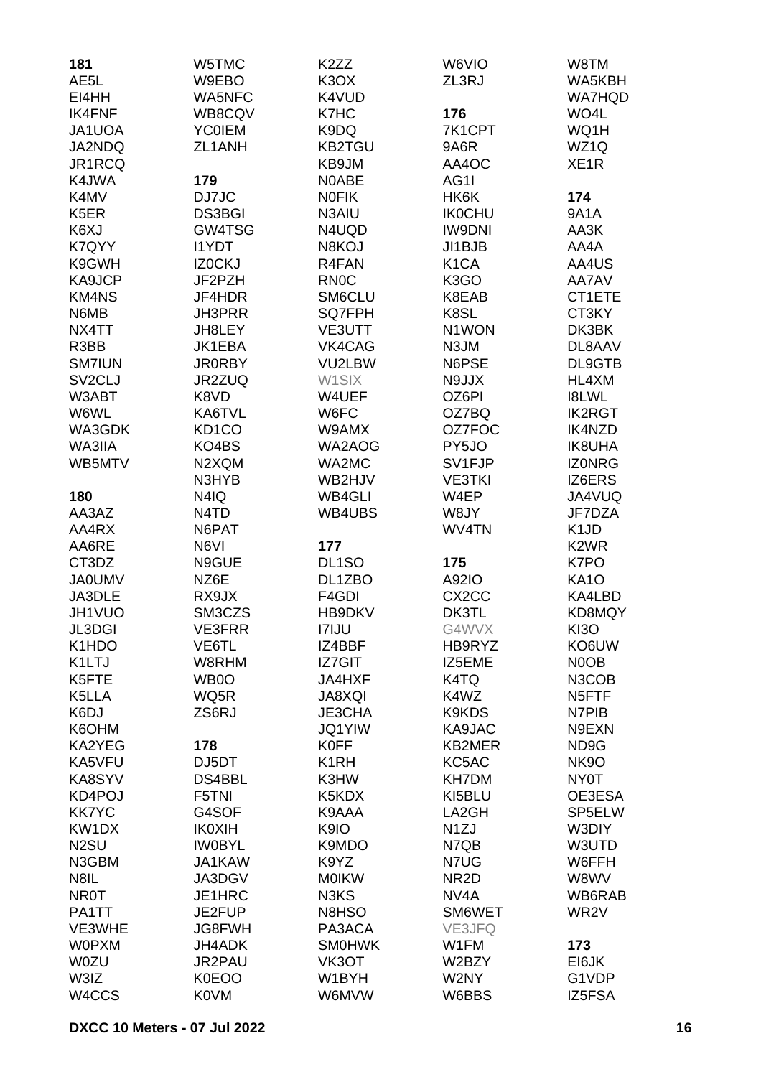| 181                             | W5TMC                         | K <sub>2</sub> ZZ  | W6VIO              | W8TM               |
|---------------------------------|-------------------------------|--------------------|--------------------|--------------------|
| AE5L                            | W9EBO                         | K <sub>3</sub> OX  | ZL3RJ              | WA5KBH             |
| EI4HH                           | WA5NFC                        | K4VUD              |                    | <b>WA7HQD</b>      |
| <b>IK4FNF</b>                   | WB8CQV                        | K7HC               | 176                | WO4L               |
| JA1UOA                          | <b>YC0IEM</b>                 | K9DQ               | 7K1CPT             | WQ1H               |
| JA2NDQ                          | ZL1ANH                        | <b>KB2TGU</b>      | 9A6R               | WZ1Q               |
| JR1RCQ                          |                               | KB9JM              | AA4OC              | XE <sub>1</sub> R  |
| K4JWA                           | 179                           | N0ABE              |                    |                    |
|                                 |                               |                    | AG1I               |                    |
| K4MV                            | DJ7JC                         | <b>NOFIK</b>       | HK6K               | 174                |
| K <sub>5</sub> ER               | <b>DS3BGI</b>                 | N3AIU              | <b>IK0CHU</b>      | 9A1A               |
| K6XJ                            | GW4TSG                        | N4UQD              | <b>IW9DNI</b>      | AA3K               |
| K7QYY                           | <b>I1YDT</b>                  | N8KOJ              | JI1BJB             | AA4A               |
| K9GWH                           | IZ0CKJ                        | R4FAN              | K <sub>1</sub> CA  | AA4US              |
| KA9JCP                          | JF2PZH                        | <b>RN0C</b>        | K <sub>3</sub> GO  | AA7AV              |
| <b>KM4NS</b>                    | JF4HDR                        | SM6CLU             | K8EAB              | CT1ETE             |
| N6MB                            | <b>JH3PRR</b>                 | <b>SQ7FPH</b>      | K8SL               | CT3KY              |
| NX4TT                           | JH8LEY                        | VE3UTT             | N1WON              | DK3BK              |
| R3BB                            | JK1EBA                        | VK4CAG             | N3JM               | DL8AAV             |
| <b>SM7IUN</b>                   | <b>JR0RBY</b>                 | VU2LBW             | N6PSE              | DL9GTB             |
| SV <sub>2</sub> CLJ             | JR2ZUQ                        | W1SIX              | N9JJX              | HL4XM              |
| W3ABT                           | K8VD                          | W4UEF              | OZ6PI              | <b>I8LWL</b>       |
| W6WL                            | KA6TVL                        | W6FC               | OZ7BQ              | <b>IK2RGT</b>      |
| WA3GDK                          | KD <sub>1</sub> CO            | W9AMX              | OZ7FOC             | IK4NZD             |
| WA3IIA                          | KO4BS                         | WA2AOG             | PY5JO              | <b>IK8UHA</b>      |
| WB5MTV                          | N2XQM                         | WA2MC              | SV1FJP             | <b>IZONRG</b>      |
|                                 | N3HYB                         | WB2HJV             | <b>VE3TKI</b>      | IZ6ERS             |
| 180                             | N4IQ                          | <b>WB4GLI</b>      | W4EP               | JA4VUQ             |
| AA3AZ                           | N <sub>4</sub> T <sub>D</sub> | WB4UBS             | W8JY               | JF7DZA             |
| AA4RX                           | N6PAT                         |                    | WV4TN              | K <sub>1</sub> JD  |
| AA6RE                           | N6VI                          | 177                |                    | K <sub>2</sub> WR  |
| CT3DZ                           | N9GUE                         | DL <sub>1</sub> SO | 175                | K7PO               |
| <b>JA0UMV</b>                   | NZ6E                          | DL1ZBO             | A92IO              | <b>KA10</b>        |
| JA3DLE                          | RX9JX                         | F4GDI              | CX <sub>2</sub> CC | KA4LBD             |
| JH1VUO                          | SM3CZS                        | HB9DKV             | DK3TL              | KD8MQY             |
| JL3DGI                          | <b>VE3FRR</b>                 | <b>I7IJU</b>       | G4WVX              | KI3O               |
| K <sub>1</sub> H <sub>D</sub> O | VE6TL                         | IZ4BBF             | HB9RYZ             | KO6UW              |
| K1LTJ                           | W8RHM                         | <b>IZ7GIT</b>      | IZ5EME             | N0OB               |
|                                 |                               |                    |                    |                    |
| K5FTE                           | WB0O                          | JA4HXF             | K4TQ               | N3COB              |
| K5LLA                           | WQ5R                          | <b>JA8XQI</b>      | K4WZ               | N <sub>5</sub> FTF |
| K6DJ                            | ZS6RJ                         | JE3CHA             | K9KDS              | N7PIB              |
| K6OHM                           |                               | <b>JQ1YIW</b>      | KA9JAC             | N9EXN              |
| KA2YEG                          | 178                           | <b>K0FF</b>        | <b>KB2MER</b>      | ND9G               |
| KA5VFU                          | DJ5DT                         | K <sub>1</sub> RH  | KC5AC              | <b>NK9O</b>        |
| KA8SYV                          | DS4BBL                        | K3HW               | <b>KH7DM</b>       | NY0T               |
| KD4POJ                          | F5TNI                         | K5KDX              | KI5BLU             | OE3ESA             |
| <b>KK7YC</b>                    | G4SOF                         | K9AAA              | LA2GH              | SP5ELW             |
| KW1DX                           | <b>IK0XIH</b>                 | K9IO               | N <sub>1</sub> ZJ  | W3DIY              |
| N <sub>2</sub> SU               | <b>IWOBYL</b>                 | K9MDO              | N7QB               | W3UTD              |
| N3GBM                           | JA1KAW                        | K9YZ               | N7UG               | W6FFH              |
| N8IL                            | JA3DGV                        | <b>MOIKW</b>       | NR <sub>2</sub> D  | W8WV               |
| <b>NR0T</b>                     | JE1HRC                        | N3KS               | NV <sub>4</sub> A  | WB6RAB             |
| PA1TT                           | JE2FUP                        | N8HSO              | SM6WET             | WR <sub>2</sub> V  |
| VE3WHE                          | JG8FWH                        | PA3ACA             | VE3JFQ             |                    |
| <b>W0PXM</b>                    | JH4ADK                        | <b>SM0HWK</b>      | W1FM               | 173                |
| <b>W0ZU</b>                     | JR2PAU                        | VK3OT              | W2BZY              | EI6JK              |
| W3IZ                            | <b>K0EOO</b>                  | W1BYH              | W2NY               | G1VDP              |
| W4CCS                           | <b>K0VM</b>                   | W6MVW              | W6BBS              | IZ5FSA             |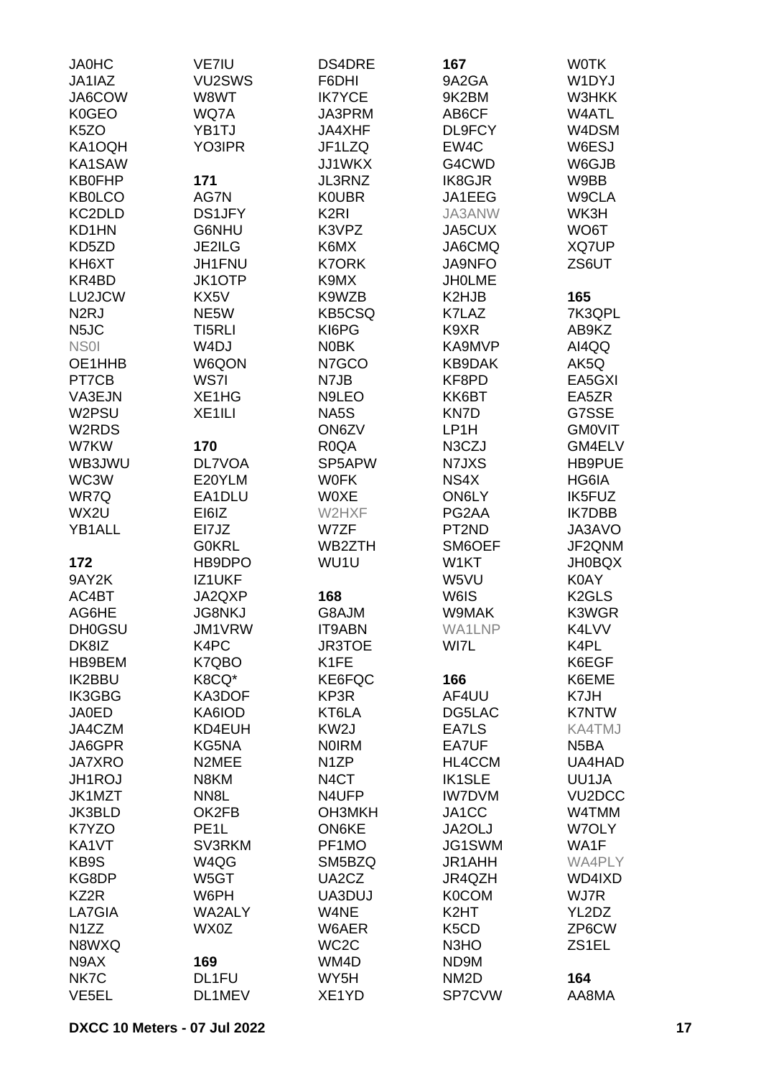| <b>JA0HC</b>      | VE7IU             | DS4DRE            | 167                           | <b>WOTK</b>         |
|-------------------|-------------------|-------------------|-------------------------------|---------------------|
| JA1IAZ            | VU2SWS            | F6DHI             | 9A2GA                         | W1DYJ               |
| JA6COW            | W8WT              | <b>IK7YCE</b>     | 9K2BM                         | W3HKK               |
| K0GEO             | WQ7A              | JA3PRM            | AB6CF                         | W4ATL               |
| K <sub>5</sub> ZO | YB1TJ             | JA4XHF            | DL9FCY                        | W4DSM               |
| KA1OQH            | YO3IPR            | JF1LZQ            | EW4C                          | W6ESJ               |
| KA1SAW            |                   | JJ1WKX            | G4CWD                         | W6GJB               |
| <b>KB0FHP</b>     |                   |                   | IK8GJR                        |                     |
|                   | 171               | JL3RNZ            |                               | W9BB                |
| <b>KB0LCO</b>     | AG7N              | <b>KOUBR</b>      | JA1EEG                        | W9CLA               |
| KC2DLD            | <b>DS1JFY</b>     | K <sub>2RI</sub>  | JA3ANW                        | WK3H                |
| KD1HN             | G6NHU             | K3VPZ             | JA5CUX                        | WO6T                |
| KD5ZD             | <b>JE2ILG</b>     | K6MX              | JA6CMQ                        | XQ7UP               |
| KH6XT             | <b>JH1FNU</b>     | <b>K7ORK</b>      | <b>JA9NFO</b>                 | ZS6UT               |
| KR4BD             | JK1OTP            | K9MX              | <b>JHOLME</b>                 |                     |
| LU2JCW            | KX5V              | K9WZB             | K2HJB                         | 165                 |
| N <sub>2</sub> RJ | NE5W              | <b>KB5CSQ</b>     | K7LAZ                         | 7K3QPL              |
| N <sub>5</sub> JC | TI5RLI            | KI6PG             | K9XR                          | AB9KZ               |
| NS <sub>0</sub>   | W <sub>4</sub> DJ | <b>NOBK</b>       | KA9MVP                        | AI4QQ               |
| OE1HHB            | W6QON             | N7GCO             | KB9DAK                        | AK5Q                |
| PT7CB             | WS7I              | N7JB              | KF8PD                         | EA5GXI              |
| VA3EJN            | XE1HG             | N9LEO             | KK6BT                         | EA5ZR               |
| W2PSU             | XE1ILI            | NA5S              | KN7D                          | G7SSE               |
| W2RDS             |                   | ON6ZV             | LP1H                          | <b>GMOVIT</b>       |
| W7KW              | 170               | R <sub>0</sub> QA | N3CZJ                         | GM4ELV              |
| WB3JWU            | <b>DL7VOA</b>     | SP5APW            | N7JXS                         | HB9PUE              |
| WC3W              | E20YLM            | <b>WOFK</b>       | NS4X                          | HG6IA               |
| WR7Q              | EA1DLU            | <b>WOXE</b>       | ON6LY                         | IK5FUZ              |
| WX2U              | EI6IZ             | W2HXF             | PG2AA                         | <b>IK7DBB</b>       |
| YB1ALL            | EI7JZ             | W7ZF              | PT2ND                         | JA3AVO              |
|                   |                   |                   |                               |                     |
|                   | <b>G0KRL</b>      | WB2ZTH            | SM6OEF                        | JF2QNM              |
| 172               | HB9DPO            | WU1U              | W1KT                          | <b>JH0BQX</b>       |
| 9AY2K             | <b>IZ1UKF</b>     |                   | W5VU                          | K0AY                |
| AC4BT             | JA2QXP            | 168               | W6IS                          | K <sub>2</sub> GLS  |
| AG6HE             | <b>JG8NKJ</b>     | G8AJM             | W9MAK                         | K3WGR               |
| <b>DH0GSU</b>     | JM1VRW            | IT9ABN            | WA1LNP                        | K4LVV               |
| DK8IZ             | K4PC              | <b>JR3TOE</b>     | WI7L                          | K4PL                |
| HB9BEM            | K7QBO             | K1FE              |                               | K6EGF               |
| <b>IK2BBU</b>     | K8CQ*             | KE6FQC            | 166                           | K6EME               |
| <b>IK3GBG</b>     | KA3DOF            | KP3R              | AF4UU                         | K7JH                |
| <b>JA0ED</b>      | KA6IOD            | KT6LA             | DG5LAC                        | <b>K7NTW</b>        |
| JA4CZM            | KD4EUH            | KW <sub>2</sub> J | EA7LS                         | <b>KA4TMJ</b>       |
| JA6GPR            | KG5NA             | <b>NOIRM</b>      | EA7UF                         | N <sub>5</sub> BA   |
| <b>JA7XRO</b>     | N2MEE             | N <sub>1</sub> ZP | HL4CCM                        | UA4HAD              |
| JH1ROJ            | N8KM              | N <sub>4</sub> CT | <b>IK1SLE</b>                 | UU1JA               |
| JK1MZT            | NN8L              | N4UFP             | <b>IW7DVM</b>                 | VU <sub>2</sub> DCC |
| <b>JK3BLD</b>     | OK2FB             | OH3MKH            | JA1CC                         | W4TMM               |
| K7YZO             | PE <sub>1</sub> L | ON6KE             | JA2OLJ                        | W7OLY               |
| KA1VT             | SV3RKM            | PF1MO             | JG1SWM                        | WA1F                |
| KB9S              | W4QG              | SM5BZQ            | <b>JR1AHH</b>                 | WA4PLY              |
| KG8DP             | W5GT              | UA2CZ             | JR4QZH                        | WD4IXD              |
| KZ2R              | W6PH              | UA3DUJ            | <b>K0COM</b>                  | WJ7R                |
| LA7GIA            | WA2ALY            | W4NE              | K <sub>2</sub> HT             | YL2DZ               |
| N <sub>1</sub> ZZ | WX0Z              | W6AER             | K <sub>5</sub> C <sub>D</sub> | ZP6CW               |
| N8WXQ             |                   | WC <sub>2</sub> C | N <sub>3</sub> H <sub>O</sub> | ZS1EL               |
| N9AX              | 169               | WM4D              | ND9M                          |                     |
| NK7C              | DL1FU             | WY5H              | NM <sub>2</sub> D             | 164                 |
| VE <sub>5EL</sub> | DL1MEV            | XE1YD             | SP7CVW                        | AA8MA               |
|                   |                   |                   |                               |                     |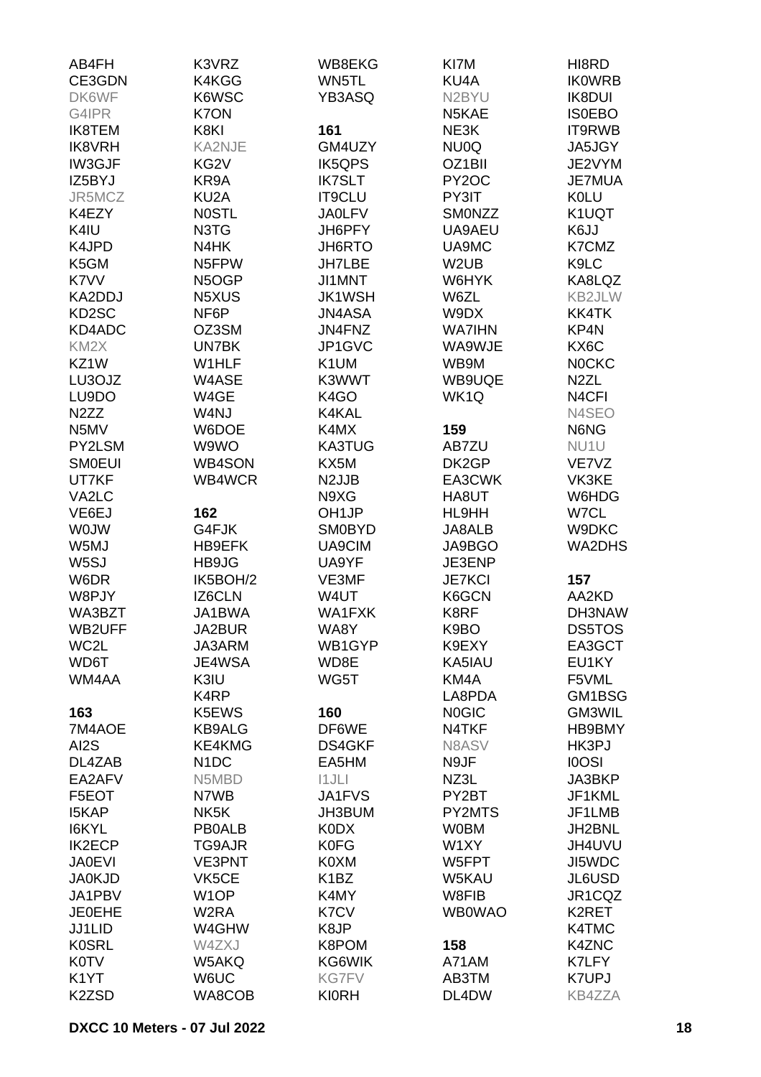| AB4FH              | K3VRZ             | WB8EKG             | KI7M              | HI8RD              |
|--------------------|-------------------|--------------------|-------------------|--------------------|
| CE3GDN             | K4KGG             | WN5TL              | KU4A              | <b>IKOWRB</b>      |
| DK6WF              | K6WSC             | YB3ASQ             | N2BYU             | <b>IK8DUI</b>      |
| G4IPR              | K7ON              |                    | N5KAE             | <b>ISOEBO</b>      |
|                    |                   |                    |                   |                    |
| <b>IK8TEM</b>      | K8KI              | 161                | NE3K              | IT9RWB             |
| <b>IK8VRH</b>      | <b>KA2NJE</b>     | GM4UZY             | NU0Q              | JA5JGY             |
| <b>IW3GJF</b>      | KG <sub>2</sub> V | <b>IK5QPS</b>      | OZ1BII            | JE2VYM             |
| IZ5BYJ             | KR9A              | <b>IK7SLT</b>      | PY2OC             | <b>JE7MUA</b>      |
| JR5MCZ             | KU <sub>2</sub> A | <b>IT9CLU</b>      | PY3IT             | <b>K0LU</b>        |
| K4EZY              | <b>NOSTL</b>      | <b>JA0LFV</b>      | SMONZZ            | K1UQT              |
| K4IU               | N3TG              | JH6PFY             | UA9AEU            | K6JJ               |
| K4JPD              | N4HK              | JH6RTO             | UA9MC             | K7CMZ              |
| K5GM               | N5FPW             | <b>JH7LBE</b>      | W <sub>2</sub> UB | K9LC               |
| K7VV               | N5OGP             | JI1MNT             | W6HYK             | KA8LQZ             |
| KA2DDJ             | N5XUS             | <b>JK1WSH</b>      | W6ZL              | KB2JLW             |
| KD <sub>2</sub> SC | NF6P              | <b>JN4ASA</b>      | W9DX              | KK4TK              |
| KD4ADC             | OZ3SM             | JN4FNZ             | <b>WA7IHN</b>     | KP4N               |
|                    | <b>UN7BK</b>      | JP1GVC             |                   |                    |
| KM <sub>2</sub> X  |                   |                    | WA9WJE            | KX6C               |
| KZ1W               | W1HLF             | K1UM               | WB9M              | <b>NOCKC</b>       |
| LU3OJZ             | W4ASE             | K3WWT              | WB9UQE            | N <sub>2</sub> ZL  |
| LU9DO              | W4GE              | K4GO               | WK1Q              | N <sub>4</sub> CFI |
| N <sub>2</sub> ZZ  | W4NJ              | K4KAL              |                   | N4SEO              |
| N5MV               | W6DOE             | K4MX               | 159               | N6NG               |
| PY2LSM             | W9WO              | <b>KA3TUG</b>      | AB7ZU             | NU1U               |
| <b>SMOEUI</b>      | <b>WB4SON</b>     | KX5M               | DK2GP             | VE7VZ              |
| UT7KF              | WB4WCR            | N <sub>2</sub> JJB | EA3CWK            | VK3KE              |
| VA2LC              |                   | N9XG               | HA8UT             | W6HDG              |
| VE6EJ              | 162               | OH <sub>1</sub> JP | HL9HH             | W7CL               |
| <b>WOJW</b>        | G4FJK             | <b>SM0BYD</b>      | <b>JA8ALB</b>     | W9DKC              |
| W5MJ               | HB9EFK            | UA9CIM             | JA9BGO            | WA2DHS             |
| W <sub>5</sub> SJ  | HB9JG             | UA9YF              | JE3ENP            |                    |
| W6DR               | IK5BOH/2          | VE3MF              | <b>JE7KCI</b>     | 157                |
| W8PJY              |                   | W4UT               |                   | AA2KD              |
|                    | IZ6CLN            | <b>WA1FXK</b>      | K6GCN             |                    |
| WA3BZT             | JA1BWA            |                    | K8RF              | DH3NAW             |
| WB2UFF             | JA2BUR            | WA8Y               | K9BO              | <b>DS5TOS</b>      |
| WC2L               | JA3ARM            | WB1GYP             | K9EXY             | EA3GCT             |
| WD6T               | JE4WSA            | WD8E               | KA5IAU            | EU1KY              |
| WM4AA              | K3IU              | WG5T               | KM4A              | F5VML              |
|                    | K4RP              |                    | LA8PDA            | GM1BSG             |
| 163                | K5EWS             | 160                | <b>NOGIC</b>      | GM3WIL             |
| 7M4AOE             | <b>KB9ALG</b>     | DF6WE              | N4TKF             | HB9BMY             |
| AI <sub>2</sub> S  | KE4KMG            | <b>DS4GKF</b>      | N8ASV             | HK3PJ              |
| DL4ZAB             | N <sub>1</sub> DC | EA5HM              | N9JF              | <b>IOOSI</b>       |
| EA2AFV             | N5MBD             | 11JLI              | NZ3L              | JA3BKP             |
| F5EOT              | N7WB              | JA1FVS             | PY2BT             | JF1KML             |
| <b>I5KAP</b>       | NK <sub>5</sub> K | JH3BUM             | PY2MTS            | JF1LMB             |
| I6KYL              | <b>PB0ALB</b>     | <b>K0DX</b>        | <b>WOBM</b>       | JH2BNL             |
| <b>IK2ECP</b>      | TG9AJR            | K0FG               | W1XY              | JH4UVU             |
| <b>JA0EVI</b>      | <b>VE3PNT</b>     | K0XM               | W5FPT             | JI5WDC             |
| <b>JA0KJD</b>      | VK5CE             | K1BZ               | W5KAU             | JL6USD             |
|                    |                   |                    |                   |                    |
| JA1PBV             | W <sub>1</sub> OP | K4MY               | W8FIB             | JR1CQZ             |
| <b>JE0EHE</b>      | W2RA              | K7CV               | <b>WB0WAO</b>     | K2RET              |
| JJ1LID             | W4GHW             | K8JP               |                   | K4TMC              |
| <b>K0SRL</b>       | W4ZXJ             | K8POM              | 158               | K4ZNC              |
| <b>K0TV</b>        | W5AKQ             | KG6WIK             | A71AM             | K7LFY              |
| K <sub>1</sub> YT  | W6UC              | <b>KG7FV</b>       | AB3TM             | K7UPJ              |
| K <sub>2</sub> ZSD | WA8COB            | <b>KI0RH</b>       | DL4DW             | <b>KB4ZZA</b>      |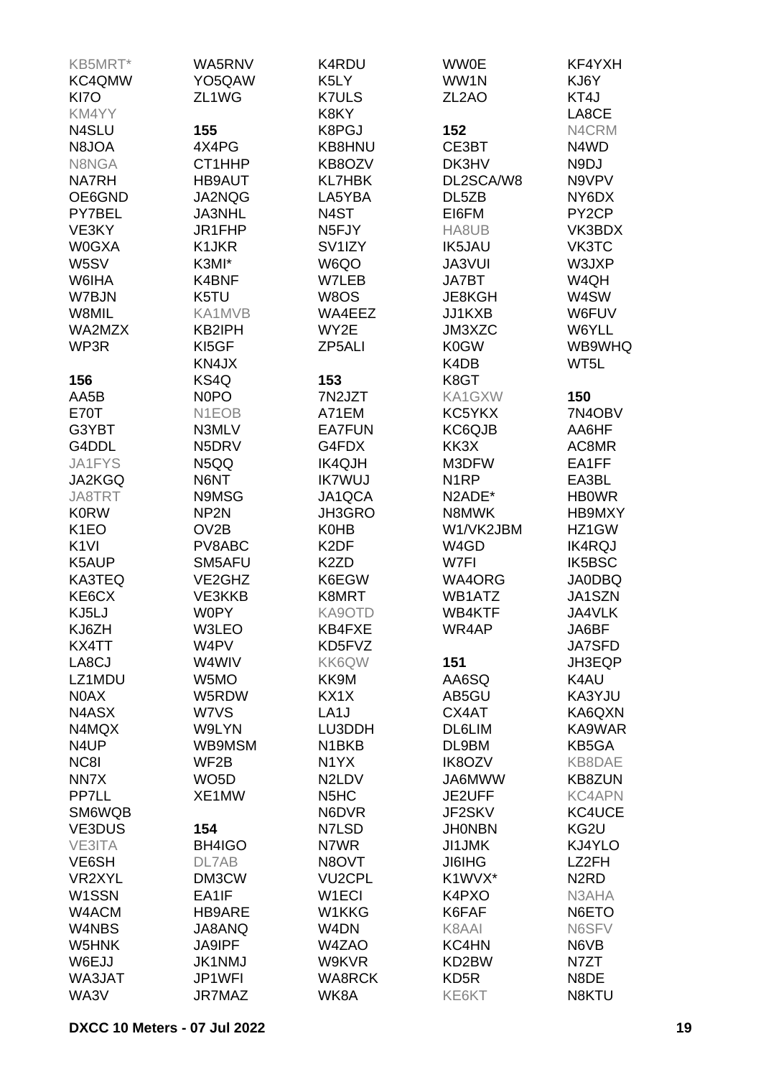| KB5MRT*           | WA5RNV             | K4RDU                          | <b>WW0E</b>        | KF4YXH                        |
|-------------------|--------------------|--------------------------------|--------------------|-------------------------------|
| KC4QMW            | YO5QAW             | K5LY                           | WW1N               | KJ6Y                          |
| KI7O              | ZL1WG              | <b>K7ULS</b>                   | ZL <sub>2</sub> AO | KT4J                          |
| KM4YY             |                    | K8KY                           |                    | LA8CE                         |
| N4SLU             | 155                | K8PGJ                          | 152                | N4CRM                         |
|                   |                    |                                |                    |                               |
| N8JOA             | 4X4PG              | KB8HNU                         | CE3BT              | N4WD                          |
| N8NGA             | CT1HHP             | KB8OZV                         | DK3HV              | N9DJ                          |
| <b>NA7RH</b>      | <b>HB9AUT</b>      | <b>KL7HBK</b>                  | DL2SCA/W8          | N9VPV                         |
| OE6GND            | JA2NQG             | LA5YBA                         | DL5ZB              | NY6DX                         |
| PY7BEL            | JA3NHL             | N4ST                           | EI6FM              | PY <sub>2</sub> CP            |
| VE3KY             | JR1FHP             | N5FJY                          | HA8UB              | VK3BDX                        |
| <b>W0GXA</b>      | K1JKR              | SV <sub>1</sub> IZY            | <b>IK5JAU</b>      | VK3TC                         |
| W5SV              | K3MI*              | W6QO                           | JA3VUI             | W3JXP                         |
| W6IHA             | K4BNF              | W7LEB                          | <b>JA7BT</b>       | W4QH                          |
| W7BJN             | K5TU               | W8OS                           | JE8KGH             | W4SW                          |
| W8MIL             | KA1MVB             | WA4EEZ                         | JJ1KXB             | W6FUV                         |
| WA2MZX            | KB2IPH             | WY2E                           | JM3XZC             | W6YLL                         |
| WP3R              | KI5GF              | ZP5ALI                         | K0GW               | WB9WHQ                        |
|                   | KN4JX              |                                | K4DB               | WT5L                          |
|                   |                    |                                |                    |                               |
| 156               | KS4Q               | 153                            | K8GT               |                               |
| AA5B              | N <sub>0</sub> PO  | 7N2JZT                         | KA1GXW             | 150                           |
| E70T              | N <sub>1</sub> EOB | A71EM                          | KC5YKX             | 7N4OBV                        |
| G3YBT             | N3MLV              | <b>EA7FUN</b>                  | KC6QJB             | AA6HF                         |
| G4DDL             | N5DRV              | G4FDX                          | KK3X               | AC8MR                         |
| JA1FYS            | N5QQ               | <b>IK4QJH</b>                  | M3DFW              | EA1FF                         |
| <b>JA2KGQ</b>     | N6NT               | <b>IK7WUJ</b>                  | N <sub>1</sub> RP  | EA3BL                         |
| <b>JA8TRT</b>     | N9MSG              | JA1QCA                         | N2ADE*             | <b>HBOWR</b>                  |
| <b>K0RW</b>       | NP <sub>2N</sub>   | JH3GRO                         | N8MWK              | HB9MXY                        |
| K <sub>1</sub> EO | OV <sub>2</sub> B  | <b>K0HB</b>                    | W1/VK2JBM          | HZ1GW                         |
| K <sub>1VI</sub>  | PV8ABC             | K <sub>2</sub> DF              | W4GD               | <b>IK4RQJ</b>                 |
| K5AUP             | SM5AFU             | K <sub>2</sub> ZD              | W7FI               | IK5BSC                        |
| KA3TEQ            | VE2GHZ             | K6EGW                          | WA4ORG             | <b>JA0DBQ</b>                 |
| KE6CX             | VE3KKB             | K8MRT                          | WB1ATZ             | JA1SZN                        |
| KJ5LJ             | <b>W0PY</b>        | KA9OTD                         | WB4KTF             | JA4VLK                        |
|                   |                    |                                |                    |                               |
| KJ6ZH             | W3LEO              | KB4FXE                         | WR4AP              | JA6BF                         |
| KX4TT             | W4PV               | KD5FVZ                         |                    | <b>JA7SFD</b>                 |
| LA8CJ             | W4WIV              | KK6QW                          | 151                | JH3EQP                        |
| LZ1MDU            | W5MO               | KK9M                           | AA6SQ              | K4AU                          |
| N0AX              | W5RDW              | KX1X                           | AB5GU              | KA3YJU                        |
| N4ASX             | W7VS               | LA <sub>1</sub> J              | CX4AT              | KA6QXN                        |
| N4MQX             | W9LYN              | LU3DDH                         | DL6LIM             | KA9WAR                        |
| N4UP              | WB9MSM             | N1BKB                          | DL9BM              | KB5GA                         |
| NC8I              | WF2B               | N <sub>1</sub> YX              | <b>IK8OZV</b>      | KB8DAE                        |
| NN7X              | WO <sub>5</sub> D  | N <sub>2</sub> LD <sub>V</sub> | JA6MWW             | <b>KB8ZUN</b>                 |
| PP7LL             | XE1MW              | N <sub>5</sub> H <sub>C</sub>  | JE2UFF             | <b>KC4APN</b>                 |
| SM6WQB            |                    | N6DVR                          | JF2SKV             | KC4UCE                        |
| VE3DUS            | 154                | N7LSD                          | <b>JHONBN</b>      | KG2U                          |
| VE3ITA            | BH4IGO             | N7WR                           | <b>JI1JMK</b>      | KJ4YLO                        |
| VE6SH             | DL7AB              | N8OVT                          | <b>JI6IHG</b>      | LZ2FH                         |
| VR2XYL            | DM3CW              | <b>VU2CPL</b>                  | K1WVX*             | N <sub>2</sub> R <sub>D</sub> |
| W1SSN             | EA1IF              | W <sub>1</sub> ECI             | K4PXO              | N3AHA                         |
|                   |                    |                                |                    |                               |
| W4ACM             | HB9ARE             | W1KKG                          | K6FAF              | N6ETO                         |
| W4NBS             | JA8ANQ             | W4DN                           | K8AAI              | N6SFV                         |
| W5HNK             | <b>JA9IPF</b>      | W4ZAO                          | KC4HN              | N6VB                          |
| W6EJJ             | <b>JK1NMJ</b>      | W9KVR                          | KD2BW              | N7ZT                          |
| WA3JAT            | JP1WFI             | <b>WA8RCK</b>                  | KD <sub>5</sub> R  | N8DE                          |
| WA3V              | JR7MAZ             | WK8A                           | KE6KT              | N8KTU                         |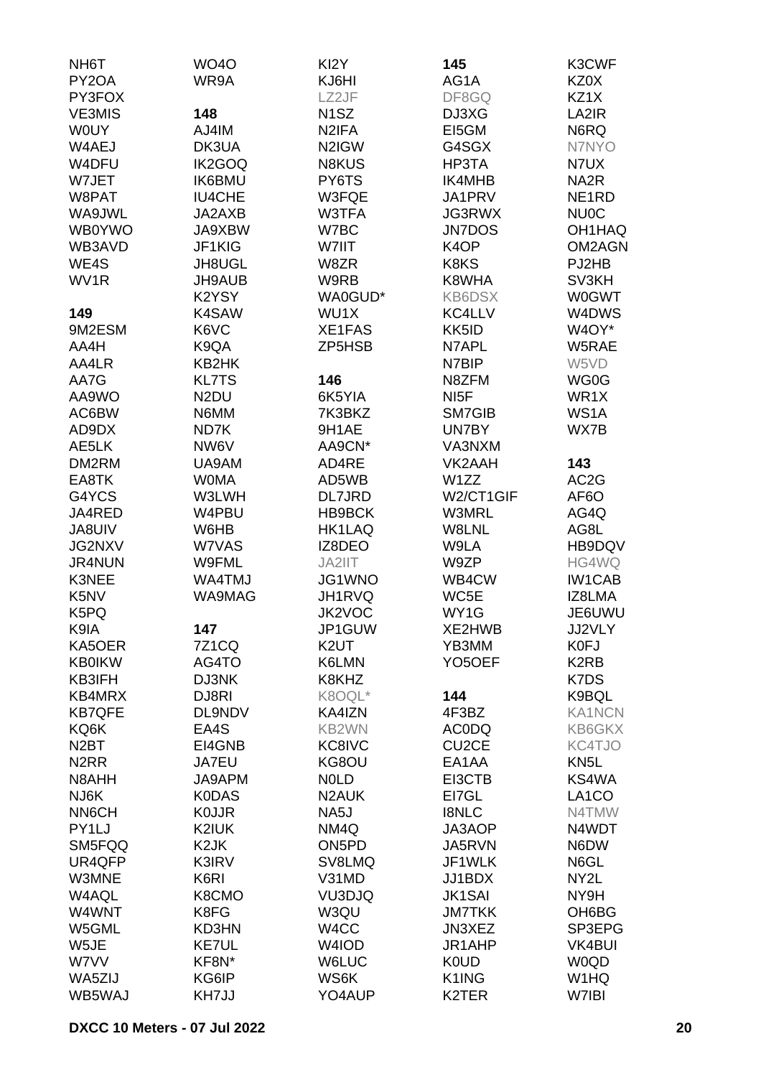| NH <sub>6</sub> T             | <b>WO40</b>       | KI <sub>2</sub> Y  | 145                 | K3CWF                         |
|-------------------------------|-------------------|--------------------|---------------------|-------------------------------|
| PY2OA                         | WR9A              | KJ6HI              | AG1A                | KZ0X                          |
| PY3FOX                        |                   | LZ2JF              | DF8GQ               | KZ1X                          |
| <b>VE3MIS</b>                 | 148               | N <sub>1</sub> SZ  | DJ3XG               | LA2IR                         |
| <b>WOUY</b>                   | AJ4IM             | N <sub>2</sub> IFA | EI5GM               | N6RQ                          |
| W4AEJ                         |                   |                    |                     | N7NYO                         |
|                               | DK3UA             | N2IGW              | G4SGX               |                               |
| W4DFU                         | IK2GOQ            | <b>N8KUS</b>       | HP3TA               | N7UX                          |
| W7JET                         | <b>IK6BMU</b>     | PY6TS              | IK4MHB              | NA <sub>2</sub> R             |
| W8PAT                         | <b>IU4CHE</b>     | W3FQE              | JA1PRV              | NE <sub>1</sub> RD            |
| WA9JWL                        | JA2AXB            | W3TFA              | <b>JG3RWX</b>       | <b>NU0C</b>                   |
| WB0YWO                        | JA9XBW            | W7BC               | <b>JN7DOS</b>       | OH1HAQ                        |
| WB3AVD                        | JF1KIG            | W7IIT              | K <sub>4</sub> OP   | OM2AGN                        |
| WE4S                          | <b>JH8UGL</b>     | W8ZR               | K8KS                | PJ2HB                         |
| WV1R                          | <b>JH9AUB</b>     | W9RB               | K8WHA               | SV3KH                         |
|                               | K2YSY             | WA0GUD*            | <b>KB6DSX</b>       | <b>W0GWT</b>                  |
| 149                           | K4SAW             | WU1X               | KC4LLV              | W4DWS                         |
| 9M2ESM                        | K6VC              | XE1FAS             | KK5ID               | W4OY*                         |
| AA4H                          | K9QA              | ZP5HSB             | N7APL               | W5RAE                         |
|                               |                   |                    |                     |                               |
| AA4LR                         | KB2HK             |                    | N7BIP               | W5VD                          |
| AA7G                          | <b>KL7TS</b>      | 146                | N8ZFM               | WG0G                          |
| AA9WO                         | N <sub>2</sub> DU | 6K5YIA             | NI <sub>5</sub> F   | WR1X                          |
| AC6BW                         | N6MM              | 7K3BKZ             | SM7GIB              | WS1A                          |
| AD9DX                         | ND7K              | 9H1AE              | UN7BY               | WX7B                          |
| AE5LK                         | NW6V              | AA9CN*             | VA3NXM              |                               |
| DM2RM                         | UA9AM             | AD4RE              | VK2AAH              | 143                           |
| EA8TK                         | <b>WOMA</b>       | AD5WB              | W <sub>1</sub> ZZ   | AC <sub>2</sub> G             |
| G4YCS                         | W3LWH             | <b>DL7JRD</b>      | W2/CT1GIF           | AF <sub>6</sub> O             |
| JA4RED                        | W4PBU             | HB9BCK             | W3MRL               | AG4Q                          |
| JA8UIV                        | W6HB              | <b>HK1LAQ</b>      | W8LNL               | AG8L                          |
| <b>JG2NXV</b>                 | W7VAS             | IZ8DEO             | W9LA                | HB9DQV                        |
| JR4NUN                        | W9FML             | JA2IIT             | W9ZP                | HG4WQ                         |
| K3NEE                         | WA4TMJ            | JG1WNO             | WB4CW               | <b>IW1CAB</b>                 |
| K <sub>5</sub> N <sub>V</sub> | WA9MAG            | JH1RVQ             | WC5E                | IZ8LMA                        |
|                               |                   |                    |                     |                               |
| K5PQ                          |                   | JK2VOC             | WY1G                | JE6UWU                        |
| K9IA                          | 147               | JP1GUW             | XE2HWB              | <b>JJ2VLY</b>                 |
| KA5OER                        | 7Z1CQ             | K <sub>2</sub> UT  | YB3MM               | K0FJ                          |
| <b>KB0IKW</b>                 | AG4TO             | K6LMN              | YO <sub>5</sub> OEF | K <sub>2</sub> R <sub>B</sub> |
| KB3IFH                        | DJ3NK             | K8KHZ              |                     | K7DS                          |
| KB4MRX                        | DJ8RI             | K8OQL*             | 144                 | K9BQL                         |
| <b>KB7QFE</b>                 | DL9NDV            | KA4IZN             | 4F3BZ               | <b>KA1NCN</b>                 |
| KQ6K                          | EA4S              | KB2WN              | <b>AC0DQ</b>        | KB6GKX                        |
| N <sub>2</sub> BT             | EI4GNB            | KC8IVC             | CU <sub>2</sub> CE  | KC4TJO                        |
| N <sub>2</sub> RR             | <b>JA7EU</b>      | KG8OU              | EA1AA               | KN <sub>5</sub> L             |
| N8AHH                         | JA9APM            | <b>NOLD</b>        | EI3CTB              | KS4WA                         |
| NJ6K                          | <b>K0DAS</b>      | N <sub>2</sub> AUK | EI7GL               | LA <sub>1</sub> CO            |
| <b>NN6CH</b>                  | <b>KOJJR</b>      | NA5J               | <b>I8NLC</b>        | N4TMW                         |
| PY1LJ                         | K2IUK             | NM4Q               | JA3AOP              | N4WDT                         |
| SM5FQQ                        | K <sub>2</sub> JK | ON <sub>5</sub> PD | JA5RVN              | N6DW                          |
| UR4QFP                        | K3IRV             | SV8LMQ             | JF1WLK              | N6GL                          |
| W3MNE                         | K6RI              | V31MD              | JJ1BDX              | NY2L                          |
|                               |                   |                    |                     |                               |
| W4AQL                         | K8CMO             | VU3DJQ             | <b>JK1SAI</b>       | NY9H                          |
| W4WNT                         | K8FG              | W3QU               | <b>JM7TKK</b>       | OH6BG                         |
| W5GML                         | KD3HN             | W <sub>4</sub> CC  | JN3XEZ              | SP3EPG                        |
| W5JE                          | KE7UL             | W4IOD              | JR1AHP              | <b>VK4BUI</b>                 |
| W7VV                          | KF8N*             | <b>W6LUC</b>       | <b>K0UD</b>         | <b>W0QD</b>                   |
| WA5ZIJ                        | KG6IP             | WS6K               | K1ING               | W1HQ                          |
| WB5WAJ                        | KH7JJ             | YO4AUP             | K2TER               | W7IBI                         |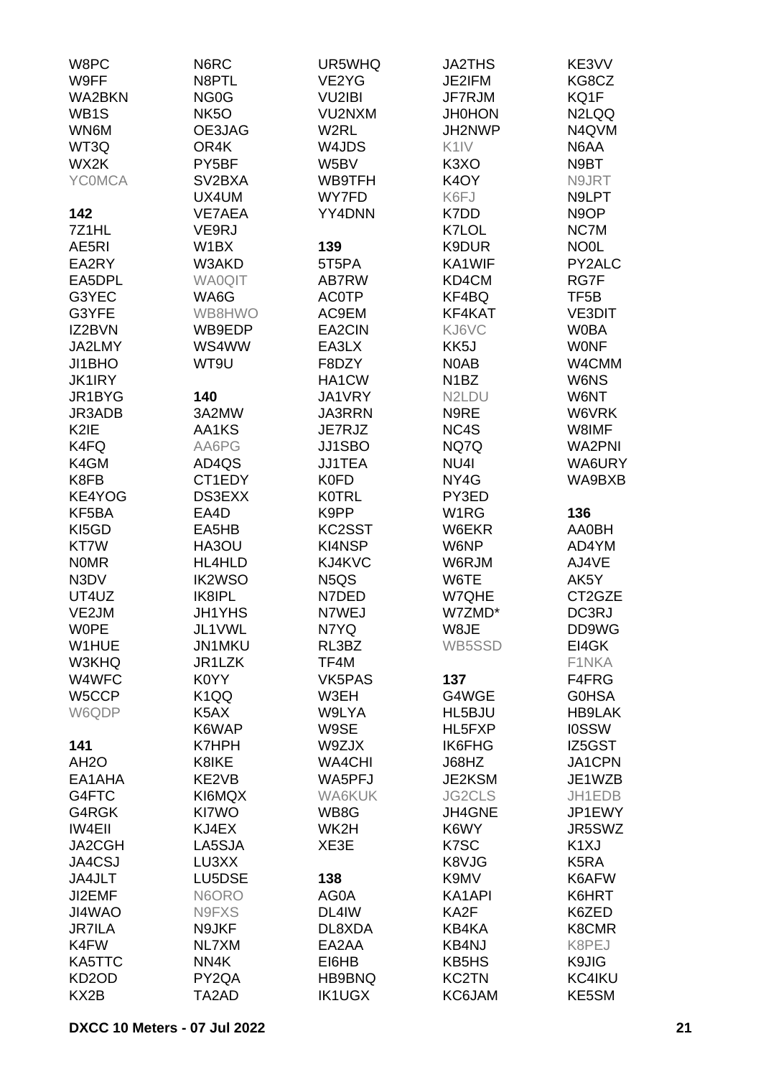| W8PC               | N6RC                | UR5WHQ                        | <b>JA2THS</b>                  | KE3VV             |
|--------------------|---------------------|-------------------------------|--------------------------------|-------------------|
| W9FF               | N8PTL               | VE2YG                         | JE2IFM                         | KG8CZ             |
| <b>WA2BKN</b>      | NG <sub>0</sub> G   | <b>VU2IBI</b>                 | JF7RJM                         | KQ1F              |
| WB <sub>1</sub> S  | NK <sub>5</sub> O   | VU2NXM                        | <b>JH0HON</b>                  | N2LQQ             |
| WN6M               | OE3JAG              | W <sub>2</sub> RL             | JH2NWP                         | N4QVM             |
|                    |                     |                               | K <sub>1</sub> IV              |                   |
| WT3Q               | OR4K                | W4JDS                         |                                | N6AA              |
| WX2K               | PY5BF               | W5BV                          | K <sub>3</sub> XO              | N9BT              |
| <b>YCOMCA</b>      | SV <sub>2</sub> BXA | WB9TFH                        | K <sub>4</sub> OY              | N9JRT             |
|                    | UX4UM               | WY7FD                         | K6FJ                           | N9LPT             |
| 142                | VE7AEA              | YY4DNN                        | K7DD                           | N9OP              |
| 7Z1HL              | VE9RJ               |                               | K7LOL                          | NC7M              |
| AE5RI              | W1BX                | 139                           | K9DUR                          | NO <sub>OL</sub>  |
| EA2RY              | W3AKD               | 5T5PA                         | KA1WIF                         | PY2ALC            |
| EA5DPL             | <b>WA0QIT</b>       | AB7RW                         | KD4CM                          | RG7F              |
| G3YEC              | WA6G                | <b>AC0TP</b>                  | KF4BQ                          | TF5B              |
| G3YFE              | WB8HWO              | AC9EM                         | KF4KAT                         | <b>VE3DIT</b>     |
| IZ2BVN             | WB9EDP              | EA2CIN                        | KJ6VC                          | <b>WOBA</b>       |
| JA2LMY             | WS4WW               |                               |                                |                   |
|                    |                     | EA3LX                         | KK5J                           | <b>WONF</b>       |
| JI1BHO             | WT9U                | F8DZY                         | N0AB                           | W4CMM             |
| <b>JK1IRY</b>      |                     | HA1CW                         | N <sub>1</sub> BZ              | W6NS              |
| JR1BYG             | 140                 | JA1VRY                        | N <sub>2</sub> L <sub>DU</sub> | W6NT              |
| JR3ADB             | 3A2MW               | JA3RRN                        | N9RE                           | W6VRK             |
| K <sub>2</sub> IE  | AA1KS               | JE7RJZ                        | NC4S                           | W8IMF             |
| K4FQ               | AA6PG               | JJ1SBO                        | NQ7Q                           | <b>WA2PNI</b>     |
| K4GM               | AD4QS               | <b>JJ1TEA</b>                 | NU4I                           | WA6URY            |
| K8FB               | CT1EDY              | <b>K0FD</b>                   | NY4G                           | WA9BXB            |
| KE4YOG             | DS3EXX              | <b>K0TRL</b>                  | PY3ED                          |                   |
| KF5BA              | EA4D                | K9PP                          | W <sub>1</sub> RG              | 136               |
| KI5GD              | EA5HB               | KC2SST                        | W6EKR                          | AA0BH             |
| KT7W               | HA3OU               | KI4NSP                        | W6NP                           | AD4YM             |
|                    |                     |                               | W6RJM                          |                   |
| <b>NOMR</b>        | HL4HLD              | KJ4KVC                        |                                | AJ4VE             |
| N3DV               | <b>IK2WSO</b>       | N <sub>5</sub> Q <sub>S</sub> | W6TE                           | AK5Y              |
| UT4UZ              | IK8IPL              | N7DED                         | W7QHE                          | CT2GZE            |
| VE2JM              | <b>JH1YHS</b>       | N7WEJ                         | W7ZMD*                         | DC3RJ             |
| <b>WOPE</b>        | JL1VWL              | N7YQ                          | W8JE                           | DD9WG             |
| W1HUE              | JN1MKU              | RL3BZ                         | WB5SSD                         | EI4GK             |
| W3KHQ              | JR1LZK              | TF4M                          |                                | F1NKA             |
| W4WFC              | K0YY                | VK5PAS                        | 137                            | F4FRG             |
| W5CCP              | K <sub>1</sub> QQ   | W3EH                          | G4WGE                          | <b>GOHSA</b>      |
| W6QDP              | K5AX                | W9LYA                         | HL5BJU                         | <b>HB9LAK</b>     |
|                    | K6WAP               | W9SE                          | HL5FXP                         | <b>IOSSW</b>      |
| 141                | <b>K7HPH</b>        | W9ZJX                         | <b>IK6FHG</b>                  | IZ5GST            |
| AH <sub>2</sub> O  | K8IKE               | <b>WA4CHI</b>                 | J68HZ                          | JA1CPN            |
| EA1AHA             | KE2VB               | WA5PFJ                        | JE2KSM                         | JE1WZB            |
| G4FTC              | KI6MQX              | WA6KUK                        | <b>JG2CLS</b>                  | JH1EDB            |
| G4RGK              | KI7WO               | WB8G                          | JH4GNE                         | JP1EWY            |
|                    |                     |                               |                                |                   |
| <b>IW4EII</b>      | KJ4EX               | WK2H                          | K6WY                           | JR5SWZ            |
| JA2CGH             | LA5SJA              | XE3E                          | K7SC                           | K <sub>1</sub> XJ |
| JA4CSJ             | LU3XX               |                               | K8VJG                          | K <sub>5</sub> RA |
| JA4JLT             | LU5DSE              | 138                           | K9MV                           | K6AFW             |
| JI2EMF             | N6ORO               | AG0A                          | KA1API                         | K6HRT             |
| JI4WAO             | N9FXS               | DL4IW                         | KA2F                           | K6ZED             |
| <b>JR7ILA</b>      | N9JKF               | DL8XDA                        | KB4KA                          | K8CMR             |
| K4FW               | NL7XM               | EA2AA                         | KB4NJ                          | K8PEJ             |
| KA5TTC             | NN4K                | EI6HB                         | KB5HS                          | K9JIG             |
| KD <sub>2</sub> OD | PY2QA               | HB9BNQ                        | <b>KC2TN</b>                   | KC4IKU            |
| KX <sub>2</sub> B  | TA2AD               | <b>IK1UGX</b>                 | KC6JAM                         | KE5SM             |
|                    |                     |                               |                                |                   |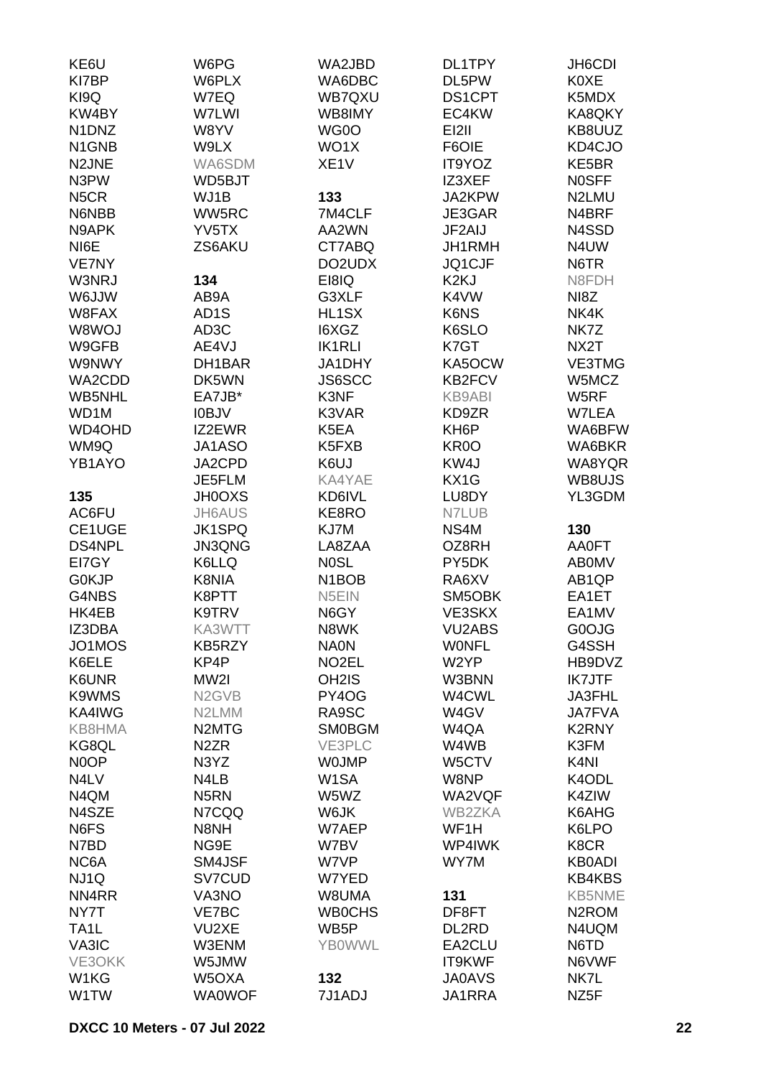| KE6U              | W6PG                           | WA2JBD                         | DL1TPY            | JH6CDI             |
|-------------------|--------------------------------|--------------------------------|-------------------|--------------------|
| KI7BP             | W6PLX                          | WA6DBC                         | DL5PW             | <b>K0XE</b>        |
| KI9Q              | W7EQ                           | WB7QXU                         | DS1CPT            | K5MDX              |
| KW4BY             | W7LWI                          | WB8IMY                         | EC4KW             | KA8QKY             |
| N1DNZ             | W8YV                           | WG0O                           | <b>EI2II</b>      | KB8UUZ             |
| N1GNB             | W9LX                           | WO1X                           | F6OIE             | KD4CJO             |
| N2JNE             | WA6SDM                         | XE <sub>1</sub> V              | IT9YOZ            | KE5BR              |
| N3PW              | WD5BJT                         |                                | IZ3XEF            | <b>NOSFF</b>       |
| N <sub>5</sub> CR | WJ1B                           | 133                            | JA2KPW            | N2LMU              |
| N6NBB             | WW5RC                          | 7M4CLF                         | JE3GAR            | N4BRF              |
| N9APK             | YV <sub>5</sub> TX             | AA2WN                          | JF2AIJ            | N4SSD              |
| NI6E              | ZS6AKU                         | CT7ABQ                         | JH1RMH            | N4UW               |
| <b>VE7NY</b>      |                                | DO2UDX                         | JQ1CJF            | N6TR               |
| W3NRJ             | 134                            | EI8IQ                          | K <sub>2</sub> KJ | N8FDH              |
| WUJJW             | AB9A                           | G3XLF                          | K4VW              | NI8Z               |
| W8FAX             | AD <sub>1</sub> S              | HL1SX                          | K6NS              | NK4K               |
| W8WOJ             | AD3C                           | I6XGZ                          | K6SLO             | NK7Z               |
| W9GFB             | AE4VJ                          | <b>IK1RLI</b>                  | K7GT              | NX <sub>2</sub> T  |
| W9NWY             | DH1BAR                         | JA1DHY                         | KA5OCW            | VE3TMG             |
| WA2CDD            | DK5WN                          | JS6SCC                         | <b>KB2FCV</b>     | W5MCZ              |
| WB5NHL            | EA7JB*                         | K3NF                           | <b>KB9ABI</b>     | W5RF               |
| WD1M              | <b>IOBJV</b>                   | K3VAR                          | KD9ZR             | W7LEA              |
| WD4OHD            | IZ2EWR                         | K5EA                           | KH <sub>6</sub> P | WA6BFW             |
| WM9Q              | JA1ASO                         | K5FXB                          | KR <sub>0</sub> O | WA6BKR             |
| YB1AYO            | JA2CPD                         | K6UJ                           | KW4J              | WA8YQR             |
|                   | JE5FLM                         | KA4YAE                         | KX1G              | WB8UJS             |
|                   |                                |                                |                   | YL3GDM             |
| 135               | <b>JH0OXS</b>                  | KD6IVL                         | LU8DY             |                    |
| AC6FU             | <b>JH6AUS</b>                  | KE8RO                          | N7LUB             |                    |
| CE1UGE            | <b>JK1SPQ</b>                  | KJ7M                           | NS4M              | 130                |
| <b>DS4NPL</b>     | <b>JN3QNG</b>                  | LA8ZAA                         | OZ8RH             | AA0FT              |
| EI7GY             | K6LLQ                          | <b>NOSL</b>                    | PY5DK             | <b>ABOMV</b>       |
| G0KJP             | K8NIA                          | N <sub>1</sub> BO <sub>B</sub> | RA6XV             | AB1QP              |
| G4NBS             | K8PTT                          | N5EIN                          | SM5OBK            | EA1ET              |
| HK4EB             | K9TRV                          | N6GY                           | VE3SKX            | EA1MV              |
| IZ3DBA            | KA3WTT                         | N8WK                           | <b>VU2ABS</b>     | G0OJG              |
| JO1MOS            | KB5RZY                         | <b>NA0N</b>                    | <b>WONFL</b>      | G4SSH              |
| K6ELE             | KP4P                           | NO <sub>2</sub> EL             | W <sub>2</sub> YP | HB9DVZ             |
| K6UNR             | MW2I                           | OH <sub>2</sub> IS             | W3BNN             | <b>IK7JTF</b>      |
| K9WMS             | N <sub>2</sub> G <sub>VB</sub> | PY4OG                          | W4CWL             | JA3FHL             |
| KA4IWG            | N2LMM                          | RA9SC                          | W4GV              | <b>JA7FVA</b>      |
| KB8HMA            | N <sub>2</sub> MT <sub>G</sub> | <b>SM0BGM</b>                  | W4QA              | K2RNY              |
| KG8QL             | N <sub>2</sub> ZR              | VE3PLC                         | W4WB              | K3FM               |
| N <sub>0</sub> OP | N3YZ                           | <b>WOJMP</b>                   | W5CTV             | K <sub>4NI</sub>   |
| N4LV              | N4LB                           | W <sub>1</sub> SA              | W8NP              | K4ODL              |
| N4QM              | N <sub>5</sub> RN              | W5WZ                           | WA2VQF            | K4ZIW              |
| N4SZE             | N7CQQ                          | W6JK                           | WB2ZKA            | K6AHG              |
| N6FS              | N8NH                           | W7AEP                          | WF1H              | K6LPO              |
| N7BD              | NG9E                           | W7BV                           | WP4IWK            | K8CR               |
| NC6A              | SM4JSF                         | W7VP                           | WY7M              | <b>KB0ADI</b>      |
| NJ1Q              | SV7CUD                         | W7YED                          |                   | <b>KB4KBS</b>      |
| NN4RR             | VA3NO                          | W8UMA                          | 131               | <b>KB5NME</b>      |
| NY7T              | VE7BC                          | <b>WB0CHS</b>                  | DF8FT             | N <sub>2</sub> ROM |
| TA <sub>1</sub> L | VU2XE                          | WB5P                           | DL2RD             | N4UQM              |
| VA3IC             | W3ENM                          | <b>YBOWWL</b>                  | EA2CLU            | N6TD               |
| VE3OKK            | W5JMW                          |                                | IT9KWF            | N6VWF              |
| W1KG              | W5OXA                          | 132                            | <b>JA0AVS</b>     | NK7L               |
| W1TW              | <b>WA0WOF</b>                  | 7J1ADJ                         | JA1RRA            | NZ5F               |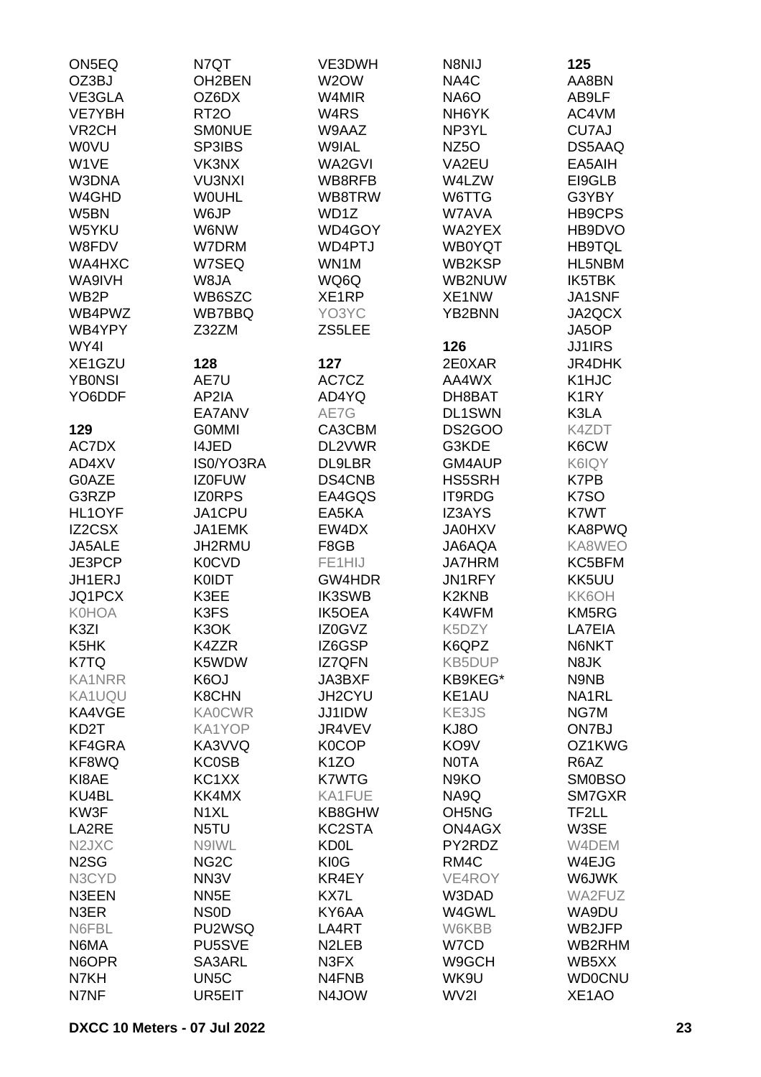| ON5EQ                         | N7QT              | VE3DWH             | N8NIJ                          | 125               |
|-------------------------------|-------------------|--------------------|--------------------------------|-------------------|
| OZ3BJ                         | OH2BEN            | W2OW               | NA4C                           | AA8BN             |
| VE3GLA                        | OZ6DX             | W4MIR              | <b>NA6O</b>                    | AB9LF             |
| VE7YBH                        | RT <sub>20</sub>  | W <sub>4</sub> RS  | NH <sub>6</sub> YK             | AC4VM             |
| VR <sub>2</sub> CH            | <b>SMONUE</b>     | W9AAZ              | NP3YL                          | CU7AJ             |
| <b>WOVU</b>                   | SP3IBS            | W9IAL              | NZ <sub>50</sub>               | DS5AAQ            |
| W1VE                          | VK3NX             | WA2GVI             | VA2EU                          | EA5AIH            |
| W3DNA                         | <b>VU3NXI</b>     | WB8RFB             | W4LZW                          | EI9GLB            |
| W4GHD                         | <b>WOUHL</b>      | WB8TRW             | W6TTG                          | G3YBY             |
| W5BN                          | W6JP              | WD1Z               | W7AVA                          | HB9CPS            |
| W5YKU                         | W6NW              | WD4GOY             | WA2YEX                         | HB9DVO            |
| W8FDV                         | W7DRM             | WD4PTJ             | <b>WB0YQT</b>                  | <b>HB9TQL</b>     |
| WA4HXC                        | W7SEQ             | WN1M               | WB2KSP                         | HL5NBM            |
| WA9IVH                        | W8JA              | WQ6Q               | WB2NUW                         | IK5TBK            |
| WB <sub>2</sub> P             | WB6SZC            | XE1RP              | XE1NW                          | JA1SNF            |
| WB4PWZ                        | WB7BBQ            | YO3YC              | YB2BNN                         | JA2QCX            |
| WB4YPY                        | Z32ZM             | ZS5LEE             |                                | JA5OP             |
| WY4I                          |                   |                    | 126                            | <b>JJ1IRS</b>     |
| XE1GZU                        | 128               | 127                | 2E0XAR                         | JR4DHK            |
| <b>YBONSI</b>                 | AE7U              | AC7CZ              | AA4WX                          | K1HJC             |
| YO6DDF                        | AP2IA             | AD4YQ              | DH8BAT                         | K <sub>1</sub> RY |
|                               | EA7ANV            | AE7G               | <b>DL1SWN</b>                  | K3LA              |
| 129                           | <b>GOMMI</b>      | CA3CBM             | DS2GOO                         | K4ZDT             |
| AC7DX                         | <b>I4JED</b>      | DL2VWR             | G3KDE                          | K6CW              |
| AD4XV                         | IS0/YO3RA         | DL9LBR             | GM4AUP                         |                   |
|                               |                   |                    |                                | K6IQY             |
| G0AZE                         | <b>IZ0FUW</b>     | DS4CNB             | HS5SRH                         | K7PB              |
| G3RZP                         | <b>IZORPS</b>     | EA4GQS             | IT9RDG                         | K7SO              |
| HL1OYF                        | JA1CPU            | EA5KA              | <b>IZ3AYS</b>                  | K7WT              |
| <b>IZ2CSX</b>                 | JA1EMK            | EW4DX              | <b>JA0HXV</b>                  | KA8PWQ            |
| JA5ALE                        | JH2RMU            | F8GB               | JA6AQA                         | KA8WEO            |
| JE3PCP                        | K0CVD             | FE1HIJ             | <b>JA7HRM</b>                  | KC5BFM            |
| JH1ERJ                        | <b>K0IDT</b>      | GW4HDR             | JN1RFY                         | KK5UU             |
| JQ1PCX                        | K3EE              | <b>IK3SWB</b>      | K <sub>2</sub> KN <sub>B</sub> | KK6OH             |
| <b>K0HOA</b>                  | K3FS              | <b>IK5OEA</b>      | K4WFM                          | KM5RG             |
| K3ZI                          | K3OK              | IZ0GVZ             | K5DZY                          | LA7EIA            |
| K <sub>5</sub> HK             | K4ZZR             | IZ6GSP             | K6QPZ                          | N6NKT             |
| K7TQ                          | K5WDW             | <b>IZ7QFN</b>      | <b>KB5DUP</b>                  | N8JK              |
| <b>KA1NRR</b>                 | K6OJ              | JA3BXF             | KB9KEG*                        | N9NB              |
| KA1UQU                        | K8CHN             | JH2CYU             | KE1AU                          | NA1RL             |
| KA4VGE                        | <b>KA0CWR</b>     | JJ1IDW             | KE3JS                          | NG7M              |
| KD <sub>2</sub> T             | KA1YOP            | JR4VEV             | KJ8O                           | ON7BJ             |
| KF4GRA                        | KA3VVQ            | <b>K0COP</b>       | KO <sub>9</sub> V              | OZ1KWG            |
| KF8WQ                         | <b>KC0SB</b>      | K <sub>1</sub> ZO  | <b>NOTA</b>                    | R6AZ              |
| KI8AE                         | KC1XX             | <b>K7WTG</b>       | N9KO                           | <b>SM0BSO</b>     |
| KU4BL                         | KK4MX             | KA1FUE             | NA9Q                           | SM7GXR            |
| KW3F                          | N <sub>1</sub> XL | KB8GHW             | OH <sub>5</sub> N <sub>G</sub> | TF2LL             |
| LA2RE                         | N5TU              | KC2STA             | ON4AGX                         | W3SE              |
| N <sub>2</sub> JXC            | N9IWL             | <b>KD0L</b>        | PY2RDZ                         | W4DEM             |
| N <sub>2</sub> S <sub>G</sub> | NG <sub>2</sub> C | <b>KI0G</b>        | RM4C                           | W4EJG             |
| N3CYD                         | NN <sub>3</sub> V | KR4EY              | VE4ROY                         | W6JWK             |
| N3EEN                         | NN <sub>5</sub> E | KX7L               | W3DAD                          | WA2FUZ            |
| N3ER                          | <b>NSOD</b>       | KY6AA              | W4GWL                          | WA9DU             |
| N6FBL                         | PU2WSQ            | LA4RT              | W6KBB                          | WB2JFP            |
| N6MA                          | PU5SVE            | N <sub>2</sub> LEB | W7CD                           | WB2RHM            |
| N6OPR                         | SA3ARL            | N3FX               | W9GCH                          | WB5XX             |
| N7KH                          | UN <sub>5</sub> C | N4FNB              | WK9U                           | <b>WD0CNU</b>     |
| N7NF                          | UR5EIT            | N4JOW              | WV2I                           | XE1AO             |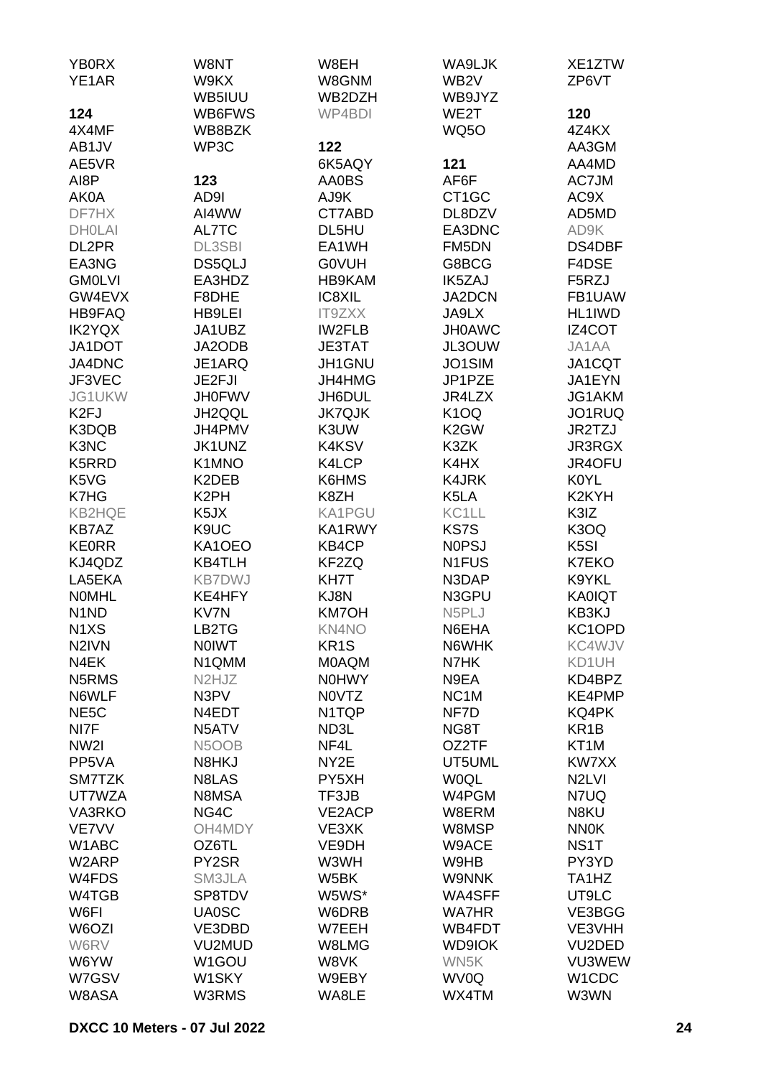| <b>YB0RX</b>                  | W8NT                           | W8EH              | WA9LJK                 | XE1ZTW                         |
|-------------------------------|--------------------------------|-------------------|------------------------|--------------------------------|
| YE1AR                         | W9KX                           | W8GNM             | WB <sub>2V</sub>       | ZP6VT                          |
|                               | WB5IUU                         | WB2DZH            | WB9JYZ                 |                                |
| 124                           | WB6FWS                         | WP4BDI            | WE2T                   | 120                            |
| 4X4MF                         | WB8BZK                         |                   | <b>WQ5O</b>            | 4Z4KX                          |
| AB1JV<br>AE5VR                | WP3C                           | 122<br>6K5AQY     | 121                    | AA3GM<br>AA4MD                 |
| AI8P                          | 123                            | <b>AA0BS</b>      | AF6F                   | AC7JM                          |
| AK0A                          | AD9I                           | AJ9K              | CT <sub>1</sub> GC     | AC9X                           |
| DF7HX                         | AI4WW                          | CT7ABD            | DL8DZV                 | AD5MD                          |
| <b>DHOLAI</b>                 | AL7TC                          | DL5HU             | EA3DNC                 | AD9K                           |
| DL2PR                         | <b>DL3SBI</b>                  | EA1WH             | FM5DN                  | DS4DBF                         |
| EA3NG                         | DS5QLJ                         | <b>GOVUH</b>      | G8BCG                  | F4DSE                          |
| <b>GM0LVI</b>                 | EA3HDZ                         | HB9KAM            | <b>IK5ZAJ</b>          | F5RZJ                          |
| GW4EVX                        | F8DHE                          | IC8XIL            | <b>JA2DCN</b>          | FB1UAW                         |
| <b>HB9FAQ</b>                 | <b>HB9LEI</b>                  | <b>IT9ZXX</b>     | JA9LX                  | HL1IWD                         |
| <b>IK2YQX</b>                 | JA1UBZ                         | <b>IW2FLB</b>     | <b>JH0AWC</b>          | IZ4COT                         |
| JA1DOT                        | JA2ODB                         | <b>JE3TAT</b>     | JL3OUW                 | JA1AA                          |
| JA4DNC                        | JE1ARQ                         | JH1GNU            | JO1SIM                 | JA1CQT                         |
| JF3VEC                        | JE2FJI                         | JH4HMG            | JP1PZE                 | JA1EYN                         |
| JG1UKW                        | <b>JH0FWV</b>                  | JH6DUL            | JR4LZX                 | JG1AKM                         |
| K <sub>2FJ</sub>              | JH2QQL                         | <b>JK7QJK</b>     | <b>K10Q</b>            | JO1RUQ                         |
| K3DQB                         | JH4PMV                         | K3UW              | K <sub>2</sub> GW      | JR2TZJ                         |
| K3NC                          | JK1UNZ                         | K4KSV             | K3ZK                   | JR3RGX                         |
| K5RRD                         | K1MNO                          | K4LCP             | K4HX                   | JR4OFU                         |
| K5VG                          | K2DEB                          | K6HMS             | <b>K4JRK</b>           | <b>K0YL</b>                    |
| K7HG                          | K <sub>2</sub> PH              | K8ZH              | K5LA                   | K <sub>2</sub> KYH             |
| <b>KB2HQE</b>                 | K <sub>5</sub> JX              | <b>KA1PGU</b>     | KC1LL                  | K3IZ                           |
| <b>KB7AZ</b><br><b>KE0RR</b>  | K9UC                           | KA1RWY<br>KB4CP   | KS7S                   | K3OQ<br>K <sub>5</sub> SI      |
| KJ4QDZ                        | KA1OEO<br><b>KB4TLH</b>        | KF2ZQ             | <b>NOPSJ</b><br>N1FUS  | K7EKO                          |
| LA5EKA                        | <b>KB7DWJ</b>                  | KH7T              | N3DAP                  | K9YKL                          |
| <b>NOMHL</b>                  | KE4HFY                         | KJ8N              | N3GPU                  | <b>KA0IQT</b>                  |
| N <sub>1</sub> N <sub>D</sub> | KV7N                           | <b>KM7OH</b>      | N5PLJ                  | KB3KJ                          |
| N <sub>1</sub> X <sub>S</sub> | LB2TG                          | KN4NO             | N6EHA                  | KC1OPD                         |
| N <sub>2</sub> IVN            | <b>NOIWT</b>                   | KR <sub>1</sub> S | N6WHK                  | KC4WJV                         |
| N4EK                          | N1QMM                          | <b>MOAQM</b>      | N7HK                   | KD1UH                          |
| N5RMS                         | N <sub>2</sub> HJ <sub>Z</sub> | <b>N0HWY</b>      | N9EA                   | KD4BPZ                         |
| N6WLF                         | N3PV                           | N0VTZ             | NC <sub>1</sub> M      | KE4PMP                         |
| NE <sub>5</sub> C             | N4EDT                          | N1TQP             | NF7D                   | KQ4PK                          |
| NI7F                          | N5ATV                          | ND3L              | NG8T                   | KR <sub>1</sub> B              |
| NW <sub>2</sub>               | N5OOB                          | NF4L              | OZ2TF                  | KT <sub>1</sub> M              |
| PP5VA                         | N8HKJ                          | NY <sub>2</sub> E | UT5UML                 | KW7XX                          |
| SM7TZK                        | N8LAS                          | PY5XH             | <b>WOQL</b>            | N <sub>2</sub> LVI             |
| UT7WZA                        | N8MSA                          | TF3JB             | W4PGM                  | N7UQ                           |
| VA3RKO                        | NG4C                           | VE2ACP            | W8ERM                  | N8KU                           |
| VE7VV                         | OH4MDY                         | VE3XK             | W8MSP                  | <b>NN0K</b>                    |
| W1ABC                         | OZ6TL                          | VE9DH             | W9ACE                  | NS <sub>1</sub> T              |
| W2ARP                         | PY2SR                          | W3WH              | W9HB                   | PY3YD                          |
| W4FDS                         | SM3JLA                         | W5BK              | <b>W9NNK</b>           | TA <sub>1</sub> H <sub>Z</sub> |
| W4TGB<br>W6FI                 | SP8TDV                         | W5WS*             | WA4SFF<br><b>WA7HR</b> | UT9LC                          |
| W6OZI                         | <b>UA0SC</b><br>VE3DBD         | W6DRB<br>W7EEH    | WB4FDT                 | VE3BGG<br>VE3VHH               |
| W6RV                          | VU2MUD                         | W8LMG             | <b>WD9IOK</b>          | VU2DED                         |
| W6YW                          | W1GOU                          | W8VK              | WN5K                   | VU3WEW                         |
| W7GSV                         | W1SKY                          | W9EBY             | WV0Q                   | W1CDC                          |
| W8ASA                         | W3RMS                          | WA8LE             | WX4TM                  | W3WN                           |
|                               |                                |                   |                        |                                |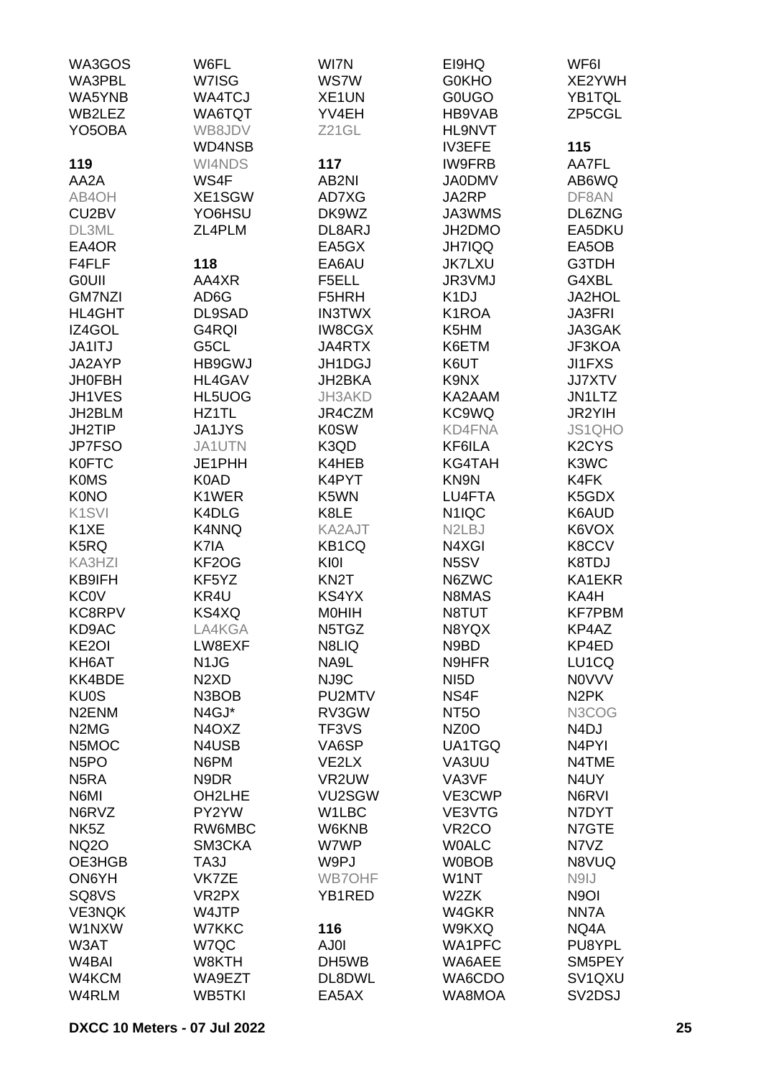| WA3GOS                         | W6FL                          | WI7N              | EI9HQ                           | WF6I                            |
|--------------------------------|-------------------------------|-------------------|---------------------------------|---------------------------------|
| WA3PBL                         | W7ISG                         | <b>WS7W</b>       | <b>G0KHO</b>                    | XE2YWH                          |
| WA5YNB                         | <b>WA4TCJ</b>                 | XE1UN             | <b>GOUGO</b>                    | YB1TQL                          |
|                                |                               |                   |                                 |                                 |
| WB2LEZ                         | WA6TQT                        | YV4EH             | HB9VAB                          | ZP5CGL                          |
| YO <sub>5</sub> OBA            | WB8JDV                        | Z21GL             | HL9NVT                          |                                 |
|                                | WD4NSB                        |                   | <b>IV3EFE</b>                   | 115                             |
| 119                            | WI4NDS                        | 117               | <b>IW9FRB</b>                   | AA7FL                           |
| AA2A                           | WS4F                          | AB2NI             | <b>JA0DMV</b>                   | AB6WQ                           |
| AB4OH                          | XE1SGW                        | AD7XG             | JA2RP                           | DF8AN                           |
| CU <sub>2</sub> BV             | YO6HSU                        | DK9WZ             | JA3WMS                          | DL6ZNG                          |
| DL3ML                          | ZL4PLM                        | DL8ARJ            | JH2DMO                          | EA5DKU                          |
| EA4OR                          |                               | EA5GX             | <b>JH7IQQ</b>                   | EA5OB                           |
| F4FLF                          | 118                           | EA6AU             | <b>JK7LXU</b>                   | G3TDH                           |
| <b>GOUII</b>                   | AA4XR                         | F5ELL             | JR3VMJ                          | G4XBL                           |
| <b>GM7NZI</b>                  | AD6G                          | F5HRH             | K <sub>1</sub> DJ               | <b>JA2HOL</b>                   |
| <b>HL4GHT</b>                  | DL9SAD                        | <b>IN3TWX</b>     | K1ROA                           | <b>JA3FRI</b>                   |
| IZ4GOL                         | G4RQI                         | <b>IW8CGX</b>     | K5HM                            | JA3GAK                          |
|                                | G5CL                          |                   |                                 | JF3KOA                          |
| JA1ITJ                         |                               | JA4RTX            | K6ETM                           |                                 |
| JA2AYP                         | <b>HB9GWJ</b>                 | JH1DGJ            | K6UT                            | <b>JI1FXS</b>                   |
| <b>JH0FBH</b>                  | HL4GAV                        | JH2BKA            | K9NX                            | <b>JJ7XTV</b>                   |
| JH1VES                         | HL5UOG                        | JH3AKD            | KA2AAM                          | JN1LTZ                          |
| JH2BLM                         | HZ1TL                         | JR4CZM            | KC9WQ                           | JR2YIH                          |
| JH2TIP                         | <b>JA1JYS</b>                 | <b>K0SW</b>       | <b>KD4FNA</b>                   | JS1QHO                          |
| JP7FSO                         | JA1UTN                        | K3QD              | KF6ILA                          | K <sub>2</sub> CY <sub>S</sub>  |
| <b>K0FTC</b>                   | JE1PHH                        | K4HEB             | <b>KG4TAH</b>                   | K3WC                            |
| <b>K0MS</b>                    | K0AD                          | K4PYT             | KN9N                            | K4FK                            |
| <b>K0NO</b>                    | K1WER                         | K5WN              | LU4FTA                          | K5GDX                           |
| K <sub>1</sub> SVI             | K4DLG                         | K8LE              | N <sub>1</sub> IQC              | K6AUD                           |
| K <sub>1</sub> XE              | K4NNQ                         | KA2AJT            | N <sub>2</sub> L <sub>B</sub> J | K6VOX                           |
| K5RQ                           | K7IA                          | KB1CQ             | N4XGI                           | K8CCV                           |
| KA3HZI                         | KF2OG                         | KI0I              | N5SV                            | K8TDJ                           |
| KB9IFH                         | KF5YZ                         | KN <sub>2</sub> T | N6ZWC                           | KA1EKR                          |
|                                |                               |                   |                                 |                                 |
| <b>KC0V</b>                    | KR4U                          | KS4YX             | N8MAS                           | KA4H                            |
| <b>KC8RPV</b>                  | KS4XQ                         | <b>MOHIH</b>      | N8TUT                           | <b>KF7PBM</b>                   |
| KD9AC                          | LA4KGA                        | N5TGZ             | N8YQX                           | KP4AZ                           |
| KE <sub>2</sub> OI             | LW8EXF                        | N8LIQ             | N9BD                            | KP4ED                           |
| KH6AT                          | N <sub>1</sub> J <sub>G</sub> | NA9L              | N9HFR                           | LU1CQ                           |
| KK4BDE                         | N <sub>2</sub> X <sub>D</sub> | NJ9C              | NI <sub>5</sub> D               | <b>NOVVV</b>                    |
| <b>KU0S</b>                    | N3BOB                         | PU2MTV            | NS4F                            | N <sub>2</sub> PK               |
| N <sub>2</sub> EN <sub>M</sub> | N4GJ*                         | RV3GW             | NT <sub>5</sub> O               | N3COG                           |
| N <sub>2</sub> M <sub>G</sub>  | N4OXZ                         | TF3VS             | NZ <sub>0</sub> O               | N <sub>4</sub> DJ               |
| N5MOC                          | N4USB                         | VA6SP             | UA1TGQ                          | N4PYI                           |
| N <sub>5</sub> PO              | N6PM                          | VE2LX             | VA3UU                           | N4TME                           |
| N <sub>5</sub> RA              | N9DR                          | VR2UW             | VA3VF                           | N4UY                            |
| N6MI                           | OH2LHE                        | VU2SGW            | VE3CWP                          | N6RVI                           |
| N6RVZ                          | PY2YW                         | W1LBC             | VE3VTG                          | N7DYT                           |
| NK <sub>5</sub> Z              | RW6MBC                        | W6KNB             | VR <sub>2</sub> CO              | N7GTE                           |
| <b>NQ2O</b>                    | SM3CKA                        | W7WP              | <b>WOALC</b>                    | N7VZ                            |
| OE3HGB                         | TA3J                          | W9PJ              | <b>W0BOB</b>                    | N8VUQ                           |
| ON6YH                          | VK7ZE                         | <b>WB7OHF</b>     | W1NT                            | N9IJ                            |
| SQ8VS                          | VR <sub>2</sub> PX            | YB1RED            | W2ZK                            | N <sub>9</sub> OI               |
|                                |                               |                   |                                 |                                 |
| <b>VE3NQK</b>                  | W4JTP                         |                   | W4GKR                           | NN7A                            |
| W1NXW                          | W7KKC                         | 116               | W9KXQ                           | NQ4A                            |
| W3AT                           | W7QC                          | AJ0I              | WA1PFC                          | PU8YPL                          |
| W <sub>4</sub> BAI             | W8KTH                         | DH5WB             | WA6AEE                          | SM5PEY                          |
| W4KCM                          | WA9EZT                        | DL8DWL            | WA6CDO                          | SV <sub>1</sub> Q <sub>XU</sub> |
| W4RLM                          | WB5TKI                        | EA5AX             | WA8MOA                          | SV <sub>2</sub> D <sub>SJ</sub> |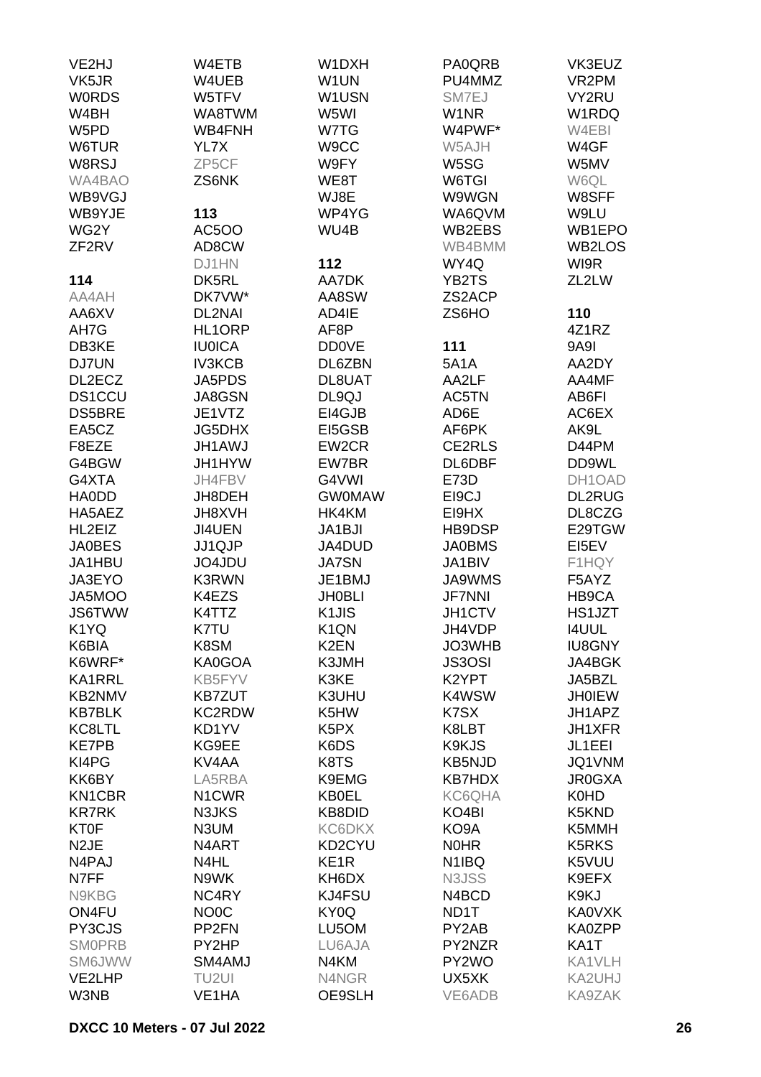| VE2HJ             | W4ETB              | W1DXH                         | PA0QRB             | VK3EUZ             |
|-------------------|--------------------|-------------------------------|--------------------|--------------------|
| VK5JR             | W4UEB              | W1UN                          | PU4MMZ             | VR <sub>2</sub> PM |
| <b>WORDS</b>      | W5TFV              | W1USN                         | SM7EJ              | VY2RU              |
| W4BH              | WA8TWM             | W5WI                          | W1NR               | W1RDQ              |
| W5PD              | WB4FNH             | W7TG                          | W4PWF*             | W4EBI              |
| W6TUR             | YL7X               | W9CC                          | W5AJH              | W4GF               |
| W8RSJ             | ZP5CF              | W9FY                          | W5SG               | W5MV               |
| WA4BAO            | ZS6NK              | WE8T                          | W6TGI              | W6QL               |
| WB9VGJ            |                    | WJ8E                          | W9WGN              | W8SFF              |
| WB9YJE            | 113                | WP4YG                         | WA6QVM             | W9LU               |
| WG2Y              | <b>AC5OO</b>       | WU4B                          | WB2EBS             | WB1EPO             |
| ZF <sub>2RV</sub> | AD8CW              |                               | WB4BMM             | WB2LOS             |
|                   | DJ1HN              | 112                           | WY4Q               | WI9R               |
| 114               | DK5RL              | AA7DK                         | YB2TS              | ZL2LW              |
| AA4AH             | DK7VW*             | AA8SW                         | ZS2ACP             |                    |
| AA6XV             | <b>DL2NAI</b>      | AD4IE                         | ZS6HO              | 110                |
| AH7G              | HL1ORP             | AF8P                          |                    | 4Z1RZ              |
| DB3KE             | <b>IU0ICA</b>      | <b>DD0VE</b>                  | 111                | <b>9A9I</b>        |
| DJ7UN             | <b>IV3KCB</b>      | DL6ZBN                        | <b>5A1A</b>        | AA2DY              |
| DL2ECZ            | JA5PDS             | DL8UAT                        | AA2LF              | AA4MF              |
| <b>DS1CCU</b>     | <b>JA8GSN</b>      | DL9QJ                         | AC5TN              | AB6FI              |
| <b>DS5BRE</b>     | JE1VTZ             | EI4GJB                        | AD6E               | AC6EX              |
| EA5CZ             | <b>JG5DHX</b>      | EI5GSB                        | AF6PK              | AK9L               |
| F8EZE             | JH1AWJ             | EW2CR                         | CE2RLS             | D44PM              |
| G4BGW             | JH1HYW             | EW7BR                         | DL6DBF             | DD9WL              |
| G4XTA             | JH4FBV             | G4VWI                         | E73D               | DH1OAD             |
| <b>HAODD</b>      | JH8DEH             | <b>GW0MAW</b>                 | EI9CJ              | <b>DL2RUG</b>      |
| HA5AEZ            | JH8XVH             | HK4KM                         | EI9HX              | DL8CZG             |
| HL2EIZ            | JI4UEN             | JA1BJI                        | HB9DSP             | E29TGW             |
| <b>JA0BES</b>     | <b>JJ1QJP</b>      | JA4DUD                        | <b>JA0BMS</b>      | EI5EV              |
| JA1HBU            | JO4JDU             | <b>JA7SN</b>                  | JA1BIV             | F1HQY              |
| JA3EYO            | <b>K3RWN</b>       | JE1BMJ                        | JA9WMS             | F5AYZ              |
| JA5MOO            | K4EZS              | <b>JH0BLI</b>                 | <b>JF7NNI</b>      | HB9CA              |
| <b>JS6TWW</b>     | K4TTZ              | K <sub>1</sub> JIS            | JH1CTV             | HS1JZT             |
| K1YQ              | K7TU               | K <sub>1</sub> QN             | JH4VDP             | <b>I4UUL</b>       |
| K6BIA             | K8SM               | K <sub>2</sub> EN             | JO3WHB             | <b>IU8GNY</b>      |
| K6WRF*            | KA0GOA             | K3JMH                         | <b>JS3OSI</b>      | JA4BGK             |
| KA1RRL            | KB5FYV             | K3KE                          | K2YPT              | JA5BZL             |
| <b>KB2NMV</b>     | <b>KB7ZUT</b>      | K3UHU                         | K4WSW              | <b>JH0IEW</b>      |
| <b>KB7BLK</b>     | KC2RDW             | K5HW                          | K7SX               | JH1APZ             |
| KC8LTL            | KD1YV              | K <sub>5</sub> P <sub>X</sub> | K8LBT              | JH1XFR             |
| <b>KE7PB</b>      | KG9EE              | K6DS                          | K9KJS              | JL1EEI             |
| KI4PG             | KV4AA              | K8TS                          | <b>KB5NJD</b>      | JQ1VNM             |
| KK6BY             | LA5RBA             | K9EMG                         | <b>KB7HDX</b>      | <b>JR0GXA</b>      |
| <b>KN1CBR</b>     | N <sub>1</sub> CWR | <b>KB0EL</b>                  | KC6QHA             | K0HD               |
| <b>KR7RK</b>      | N3JKS              | KB8DID                        | KO <sub>4</sub> BI | K5KND              |
| <b>KT0F</b>       | N3UM               | KC6DKX                        | KO9A               | K5MMH              |
| N <sub>2</sub> JE | N4ART              | KD2CYU                        | <b>NOHR</b>        | <b>K5RKS</b>       |
| N4PAJ             | N4HL               | KE <sub>1</sub> R             | N <sub>1</sub> IBQ | K5VUU              |
| N7FF              | N9WK               | KH6DX                         | N3JSS              | K9EFX              |
| N9KBG             | NC4RY              | KJ4FSU                        | N4BCD              | K9KJ               |
| ON4FU             | NO <sub>0</sub> C  | KY0Q                          | ND1T               | <b>KA0VXK</b>      |
| PY3CJS            | PP <sub>2FN</sub>  | LU5OM                         | PY2AB              | KA0ZPP             |
| <b>SMOPRB</b>     | PY2HP              | LU6AJA                        | PY2NZR             | KA1T               |
| <b>SM6JWW</b>     | SM4AMJ             | N4KM                          | PY2WO              | KA1VLH             |
| VE2LHP            | TU2UI              | N4NGR                         | UX5XK              | KA2UHJ             |
| W3NB              | VE1HA              | OE9SLH                        | VE6ADB             | KA9ZAK             |
|                   |                    |                               |                    |                    |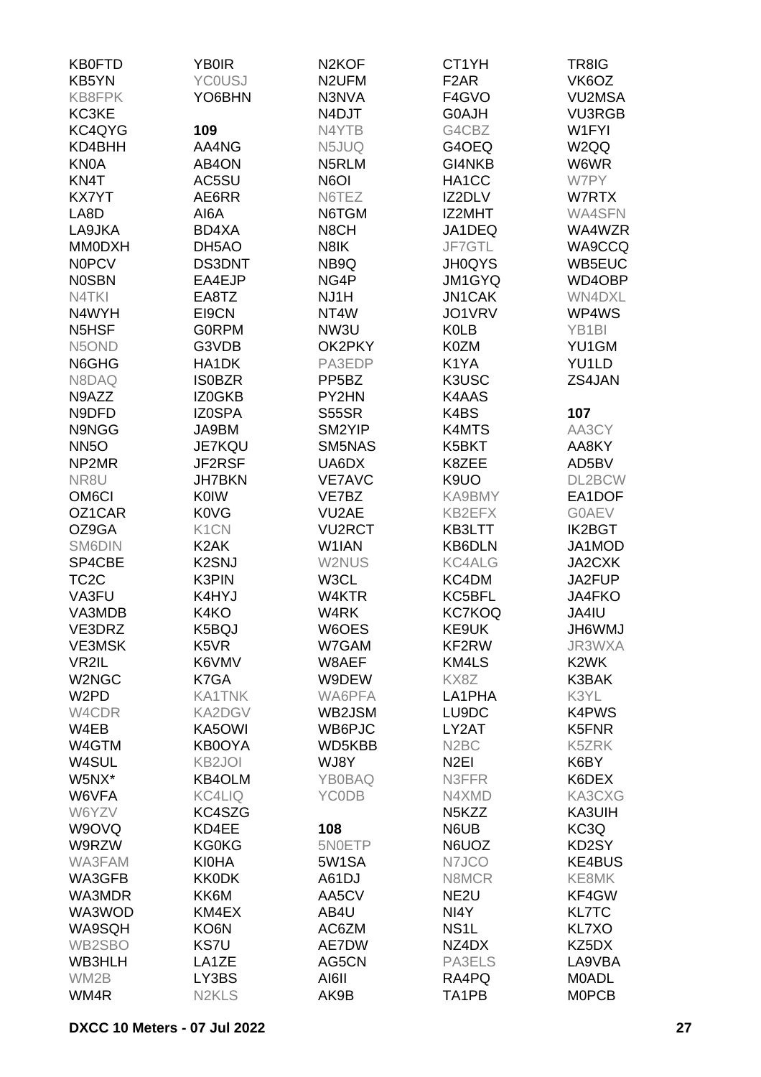| <b>KB0FTD</b>                  | <b>YB0IR</b>                   | N <sub>2</sub> KOF | CT1YH                          | TR8IG              |
|--------------------------------|--------------------------------|--------------------|--------------------------------|--------------------|
| KB5YN                          | <b>YCOUSJ</b>                  | N <sub>2</sub> UFM | F <sub>2</sub> AR              | VK6OZ              |
| KB8FPK                         | YO6BHN                         | N3NVA              | F4GVO                          | <b>VU2MSA</b>      |
| KC3KE                          |                                | N4DJT              | <b>G0AJH</b>                   | <b>VU3RGB</b>      |
| KC4QYG                         | 109                            | N4YTB              | G4CBZ                          | W1FYI              |
| KD4BHH                         | AA4NG                          | N5JUQ              | G4OEQ                          | W2QQ               |
| <b>KN0A</b>                    | AB4ON                          | N5RLM              | GI4NKB                         | W6WR               |
| KN4T                           | AC5SU                          | N6OI               | HA1CC                          | W7PY               |
| <b>KX7YT</b>                   | AE6RR                          | N6TEZ              | IZ2DLV                         | W7RTX              |
| LA8D                           | AI6A                           | N6TGM              | IZ2MHT                         | <b>WA4SFN</b>      |
| LA9JKA                         | BD4XA                          | N8CH               | JA1DEQ                         | WA4WZR             |
| <b>MM0DXH</b>                  | DH5AO                          | N8IK               | JF7GTL                         | WA9CCQ             |
| <b>NOPCV</b>                   | <b>DS3DNT</b>                  | NB9Q               | <b>JH0QYS</b>                  | WB5EUC             |
| <b>NOSBN</b>                   | EA4EJP                         | NG4P               |                                | WD4OBP             |
|                                |                                |                    | JM1GYQ                         |                    |
| N4TKI                          | EA8TZ                          | NJ1H               | <b>JN1CAK</b>                  | WN4DXL             |
| N4WYH                          | EI9CN                          | NT4W               | JO1VRV                         | WP4WS              |
| N <sub>5</sub> H <sub>SF</sub> | <b>GORPM</b>                   | NW3U               | <b>K0LB</b>                    | YB <sub>1</sub> BI |
| N5OND                          | G3VDB                          | OK2PKY             | K0ZM                           | YU1GM              |
| N6GHG                          | HA1DK                          | PA3EDP             | K1YA                           | YU1LD              |
| N8DAQ                          | <b>ISOBZR</b>                  | PP <sub>5</sub> BZ | K3USC                          | ZS4JAN             |
| N9AZZ                          | IZ0GKB                         | PY2HN              | K4AAS                          |                    |
| N9DFD                          | <b>IZ0SPA</b>                  | <b>S55SR</b>       | K4BS                           | 107                |
| N9NGG                          | JA9BM                          | SM2YIP             | K4MTS                          | AA3CY              |
| <b>NN5O</b>                    | <b>JE7KQU</b>                  | SM5NAS             | K5BKT                          | AA8KY              |
| NP2MR                          | JF2RSF                         | UA6DX              | K8ZEE                          | AD5BV              |
| NR8U                           | <b>JH7BKN</b>                  | <b>VE7AVC</b>      | K9UO                           | DL2BCW             |
| OM <sub>6</sub> CI             | <b>K0IW</b>                    | VE7BZ              | KA9BMY                         | EA1DOF             |
| OZ1CAR                         | <b>K0VG</b>                    | VU <sub>2</sub> AE | KB2EFX                         | <b>GOAEV</b>       |
| OZ9GA                          | K <sub>1</sub> CN              | <b>VU2RCT</b>      | KB3LTT                         | <b>IK2BGT</b>      |
| SM6DIN                         | K <sub>2</sub> AK              | W1IAN              | <b>KB6DLN</b>                  | JA1MOD             |
| SP4CBE                         | K <sub>2</sub> SNJ             | W2NUS              | <b>KC4ALG</b>                  | JA2CXK             |
| TC <sub>2</sub> C              | K3PIN                          | W3CL               | KC4DM                          | JA2FUP             |
| VA3FU                          | K4HYJ                          | W4KTR              | KC5BFL                         | <b>JA4FKO</b>      |
| VA3MDB                         | K4KO                           | W4RK               | <b>KC7KOQ</b>                  | JA4IU              |
| VE3DRZ                         | K5BQJ                          | W6OES              | KE9UK                          | <b>JH6WMJ</b>      |
| <b>VE3MSK</b>                  | K5VR                           | W7GAM              | KF2RW                          | JR3WXA             |
| VR2IL                          | K6VMV                          | W8AEF              | KM4LS                          | K <sub>2</sub> WK  |
| W2NGC                          | K7GA                           | W9DEW              | KX8Z                           | K3BAK              |
| W <sub>2</sub> PD              | <b>KA1TNK</b>                  | WA6PFA             | LA1PHA                         | K3YL               |
| W4CDR                          | KA2DGV                         | WB2JSM             | LU9DC                          | <b>K4PWS</b>       |
| W4EB                           | KA5OWI                         | WB6PJC             | LY2AT                          | K5FNR              |
| W4GTM                          | KB0OYA                         | WD5KBB             | N <sub>2</sub> BC              | K5ZRK              |
| W4SUL                          | KB <sub>2JOI</sub>             | WJ8Y               | N <sub>2</sub> EI              | K6BY               |
| W5NX*                          | KB4OLM                         | <b>YB0BAQ</b>      | N3FFR                          | K6DEX              |
| W6VFA                          | <b>KC4LIQ</b>                  | <b>YCODB</b>       | N4XMD                          | KA3CXG             |
| W6YZV                          | KC4SZG                         |                    | N <sub>5</sub> K <sub>ZZ</sub> | KA3UIH             |
| W9OVQ                          | KD4EE                          | 108                | N6UB                           | KC3Q               |
| W9RZW                          | <b>KG0KG</b>                   | 5N0ETP             | N6UOZ                          | KD2SY              |
| WA3FAM                         | <b>KI0HA</b>                   | 5W1SA              | N7JCO                          | <b>KE4BUS</b>      |
| WA3GFB                         | <b>KK0DK</b>                   | A61DJ              | N8MCR                          | KE8MK              |
| WA3MDR                         | KK6M                           | AA5CV              | NE <sub>2U</sub>               | KF4GW              |
|                                |                                |                    |                                |                    |
| WA3WOD                         | KM4EX                          | AB4U               | NI4Y                           | <b>KL7TC</b>       |
| WA9SQH                         | KO6N                           | AC6ZM              | NS <sub>1</sub> L              | KL7XO              |
| WB2SBO                         | <b>KS7U</b>                    | AE7DW              | NZ4DX                          | KZ5DX              |
| WB3HLH                         | LA1ZE                          | AG5CN              | PA3ELS                         | LA9VBA             |
| WM2B                           | LY3BS                          | AI6II              | RA4PQ                          | <b>MOADL</b>       |
| WM4R                           | N <sub>2</sub> KL <sub>S</sub> | AK9B               | TA1PB                          | <b>MOPCB</b>       |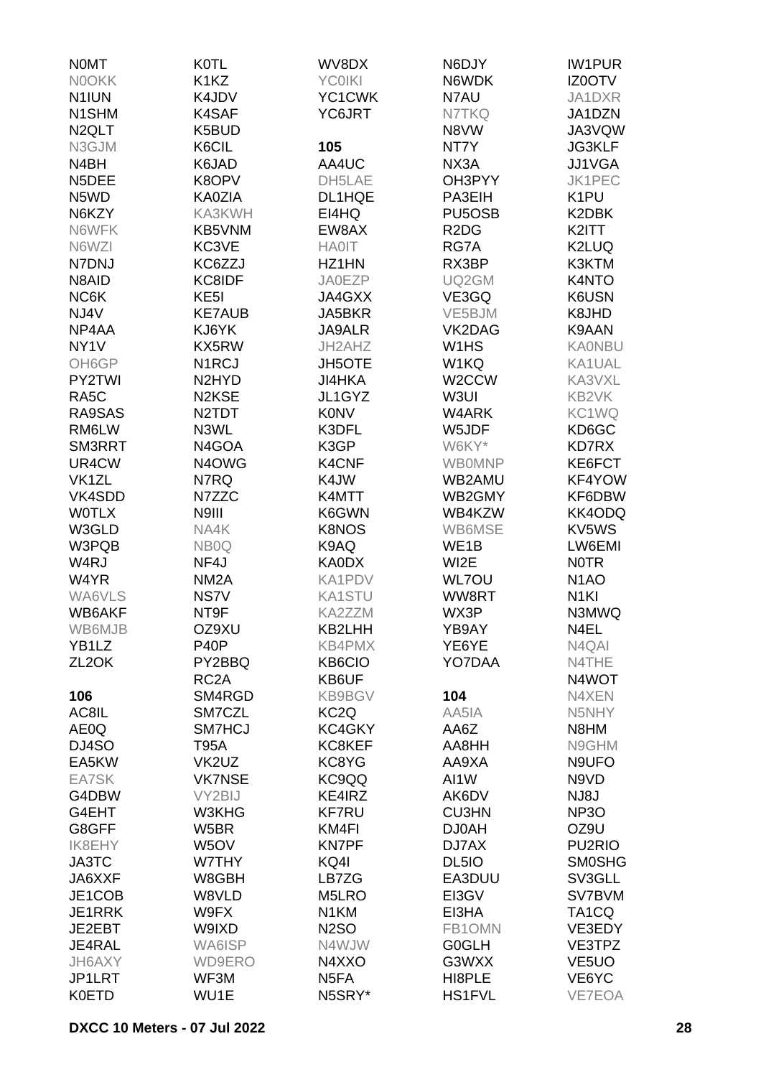| <b>NOMT</b>        | <b>K0TL</b>                     | WV8DX             | N6DJY                           | <b>IW1PUR</b>       |
|--------------------|---------------------------------|-------------------|---------------------------------|---------------------|
| <b>NOOKK</b>       | K <sub>1</sub> K <sub>Z</sub>   | <b>YC0IKI</b>     | N6WDK                           | IZ0OTV              |
| N1IUN              | K4JDV                           | YC1CWK            | N7AU                            | JA1DXR              |
|                    |                                 |                   |                                 |                     |
| N1SHM              | K4SAF                           | YC6JRT            | N7TKQ                           | JA1DZN              |
| N <sub>2</sub> QLT | K5BUD                           |                   | N8VW                            | JA3VQW              |
| N3GJM              | K6CIL                           | 105               | NT7Y                            | <b>JG3KLF</b>       |
| N4BH               | K6JAD                           | AA4UC             | NX3A                            | JJ1VGA              |
| N5DEE              | K8OPV                           | DH5LAE            | OH3PYY                          | <b>JK1PEC</b>       |
| N5WD               | KA0ZIA                          | DL1HQE            | PA3EIH                          | K <sub>1</sub> PU   |
| N6KZY              | KA3KWH                          | EI4HQ             | PU <sub>5</sub> O <sub>SB</sub> | K2DBK               |
| N6WFK              | KB5VNM                          | EW8AX             | R <sub>2</sub> D <sub>G</sub>   | K2ITT               |
| N6WZI              | KC3VE                           | <b>HA0IT</b>      | RG7A                            | K2LUQ               |
| N7DNJ              | KC6ZZJ                          | HZ1HN             | RX3BP                           | K3KTM               |
| N8AID              | KC8IDF                          | <b>JA0EZP</b>     | UQ2GM                           | K4NTO               |
| NC6K               | KE <sub>5</sub> I               | JA4GXX            | VE3GQ                           | K6USN               |
| NJ4V               | <b>KE7AUB</b>                   | JA5BKR            | VE5BJM                          | K8JHD               |
| NP4AA              | KJ6YK                           | <b>JA9ALR</b>     | VK2DAG                          | K9AAN               |
| NY <sub>1</sub> V  | KX5RW                           | JH2AHZ            | W <sub>1</sub> H <sub>S</sub>   | <b>KA0NBU</b>       |
|                    |                                 |                   |                                 |                     |
| OH6GP              | N <sub>1</sub> RCJ              | <b>JH5OTE</b>     | W1KQ                            | KA1UAL              |
| PY2TWI             | N <sub>2</sub> HY <sub>D</sub>  | JI4HKA            | W2CCW                           | KA3VXL              |
| RA <sub>5</sub> C  | N <sub>2</sub> K <sub>SE</sub>  | JL1GYZ            | W3UI                            | KB2VK               |
| RA9SAS             | N <sub>2</sub> T <sub>D</sub> T | <b>K0NV</b>       | W4ARK                           | KC1WQ               |
| RM6LW              | N3WL                            | K3DFL             | W5JDF                           | KD6GC               |
| SM3RRT             | N4GOA                           | K3GP              | W6KY*                           | KD7RX               |
| UR4CW              | N4OWG                           | K4CNF             | <b>WBOMNP</b>                   | KE6FCT              |
| VK <sub>1</sub> ZL | N7RQ                            | K4JW              | WB2AMU                          | KF4YOW              |
| VK4SDD             | N7ZZC                           | K4MTT             | WB2GMY                          | KF6DBW              |
| <b>WOTLX</b>       | N9III                           | K6GWN             | WB4KZW                          | KK4ODQ              |
| W3GLD              | NA4K                            | <b>K8NOS</b>      | WB6MSE                          | KV5WS               |
| W3PQB              | NB <sub>0</sub> Q               | K9AQ              | WE1B                            | LW6EMI              |
| W <sub>4</sub> RJ  | NF4J                            | KA0DX             | WI2E                            | <b>NOTR</b>         |
| W4YR               | NM <sub>2</sub> A               | KA1PDV            | <b>WL7OU</b>                    | N <sub>1</sub> AO   |
| WA6VLS             | NS7V                            | <b>KA1STU</b>     | WW8RT                           | N <sub>1KI</sub>    |
| WB6AKF             | NT9F                            | KA2ZZM            | WX3P                            | N3MWQ               |
|                    |                                 | KB2LHH            |                                 |                     |
| WB6MJB             | OZ9XU                           |                   | YB9AY                           | N4EL                |
| YB1LZ              | P <sub>40</sub> P               | <b>KB4PMX</b>     | YE6YE                           | N4QAI               |
| ZL <sub>2</sub> OK | PY2BBQ                          | <b>KB6CIO</b>     | YO7DAA                          | N4THE               |
|                    | RC <sub>2</sub> A               | KB6UF             |                                 | N4WOT               |
| 106                | SM4RGD                          | <b>KB9BGV</b>     | 104                             | N4XEN               |
| AC8IL              | SM7CZL                          | KC <sub>2</sub> Q | AA5IA                           | N5NHY               |
| AE0Q               | SM7HCJ                          | KC4GKY            | AA6Z                            | N8HM                |
| DJ4SO              | <b>T95A</b>                     | KC8KEF            | AA8HH                           | N9GHM               |
| EA5KW              | VK2UZ                           | KC8YG             | AA9XA                           | N9UFO               |
| EA7SK              | <b>VK7NSE</b>                   | KC9QQ             | AI1W                            | N9VD                |
| G4DBW              | VY2BIJ                          | KE4IRZ            | AK6DV                           | <b>NJ8J</b>         |
| G4EHT              | W3KHG                           | <b>KF7RU</b>      | <b>CU3HN</b>                    | NP <sub>3</sub> O   |
| G8GFF              | W5BR                            | KM4FI             | <b>DJ0AH</b>                    | OZ9U                |
| <b>IK8EHY</b>      | W <sub>5</sub> OV               | <b>KN7PF</b>      | DJ7AX                           | PU <sub>2</sub> RIO |
| JA3TC              | W7THY                           | KQ4I              | DL5IO                           | <b>SMOSHG</b>       |
| JA6XXF             | W8GBH                           | LB7ZG             | EA3DUU                          | SV3GLL              |
| JE1COB             | W8VLD                           | M5LRO             | EI3GV                           | SV7BVM              |
| JE1RRK             | W9FX                            | N <sub>1</sub> KM | EI3HA                           | TA1CQ               |
|                    | W9IXD                           | <b>N2SO</b>       | FB1OMN                          |                     |
| JE2EBT             |                                 |                   |                                 | VE3EDY              |
| JE4RAL             | WA6ISP                          | N4WJW             | <b>G0GLH</b>                    | VE3TPZ              |
| JH6AXY             | <b>WD9ERO</b>                   | N4XXO             | G3WXX                           | VE <sub>5</sub> UO  |
| JP1LRT             | WF3M                            | N <sub>5</sub> FA | HI8PLE                          | VE6YC               |
| <b>K0ETD</b>       | WU1E                            | N5SRY*            | <b>HS1FVL</b>                   | <b>VE7EOA</b>       |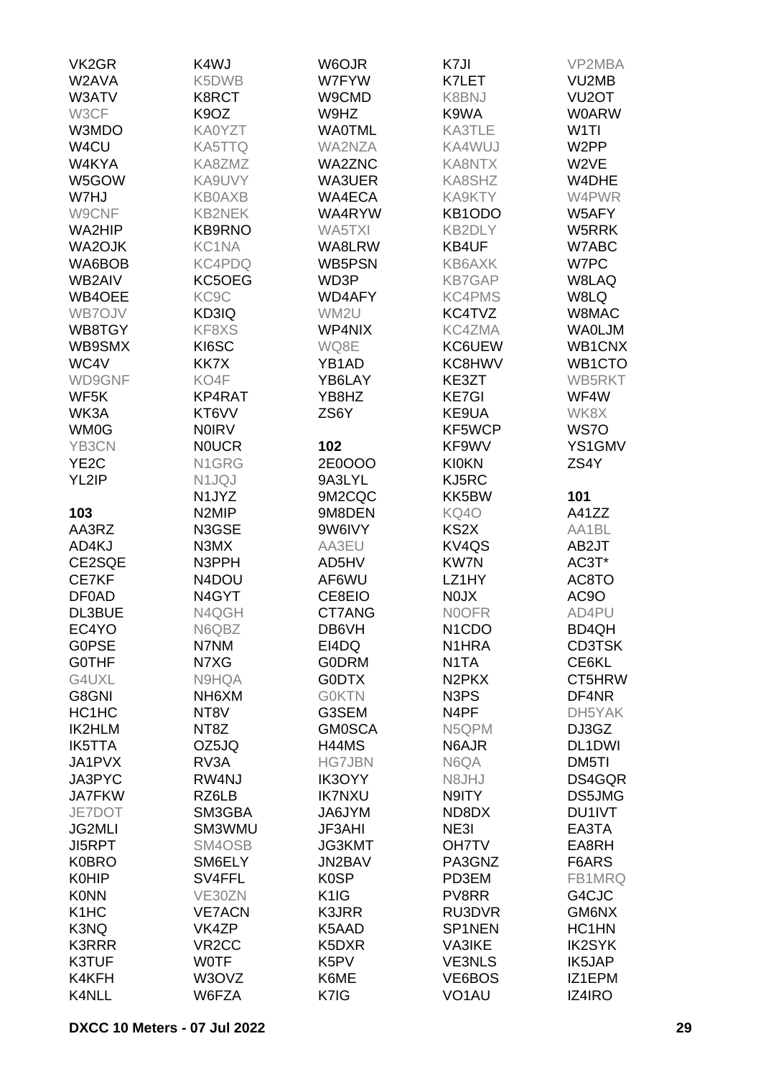| VK <sub>2</sub> GR            | K4WJ               | W6OJR             | K7JI                           | VP2MBA             |
|-------------------------------|--------------------|-------------------|--------------------------------|--------------------|
| W2AVA                         | K5DWB              | W7FYW             | K7LET                          | VU2MB              |
| W3ATV                         | K8RCT              | W9CMD             | K8BNJ                          | VU <sub>2</sub> OT |
| W3CF                          | K9OZ               | W9HZ              | K9WA                           | <b>W0ARW</b>       |
| W3MDO                         | KA0YZT             | <b>WAOTML</b>     | KA3TLE                         | W <sub>1</sub> TI  |
| W4CU                          | KA5TTQ             | WA2NZA            | KA4WUJ                         | W <sub>2</sub> PP  |
| W4KYA                         | KA8ZMZ             | <b>WA2ZNC</b>     | KA8NTX                         | W2VE               |
| W5GOW                         | KA9UVY             | WA3UER            | KA8SHZ                         | W4DHE              |
| W7HJ                          | <b>KB0AXB</b>      | WA4ECA            | KA9KTY                         | W4PWR              |
| W9CNF                         | <b>KB2NEK</b>      | WA4RYW            | KB1ODO                         | W5AFY              |
| WA2HIP                        | <b>KB9RNO</b>      | WA5TXI            | <b>KB2DLY</b>                  | W5RRK              |
| WA2OJK                        | KC1NA              | WA8LRW            | KB4UF                          | W7ABC              |
| WA6BOB                        | KC4PDQ             | WB5PSN            | KB6AXK                         | W7PC               |
| WB2AIV                        | KC5OEG             | WD3P              | <b>KB7GAP</b>                  | W8LAQ              |
| WB4OEE                        | KC9C               | WD4AFY            | <b>KC4PMS</b>                  | W8LQ               |
| WB7OJV                        | KD3IQ              | WM2U              | KC4TVZ                         | W8MAC              |
| WB8TGY                        | KF8XS              | WP4NIX            | KC4ZMA                         | <b>WAOLJM</b>      |
| WB9SMX                        | KI6SC              | WQ8E              | KC6UEW                         | WB1CNX             |
| WC4V                          | KK7X               | YB1AD             | KC8HWV                         | WB1CTO             |
|                               | KO4F               |                   |                                |                    |
| WD9GNF                        |                    | YB6LAY            | KE3ZT                          | WB5RKT             |
| WF5K                          | KP4RAT             | YB8HZ             | <b>KE7GI</b>                   | WF4W               |
| WK3A                          | KT6VV              | ZS6Y              | KE9UA                          | WK8X               |
| <b>WM0G</b>                   | <b>NOIRV</b>       |                   | KF5WCP                         | WS7O               |
| YB3CN                         | <b>NOUCR</b>       | 102               | KF9WV                          | YS1GMV             |
| YE <sub>2</sub> C             | N1GRG              | 2E0OOO            | <b>KI0KN</b>                   | ZS4Y               |
| YL2IP                         | N1JQJ              | 9A3LYL            | KJ5RC                          |                    |
|                               | N1JYZ              | 9M2CQC            | KK5BW                          | 101                |
| 103                           | N2MIP              | 9M8DEN            | KQ40                           | A41ZZ              |
| AA3RZ                         | N3GSE              | 9W6IVY            | KS2X                           | AA1BL              |
| AD4KJ                         | N3MX               | AA3EU             | KV <sub>4</sub> QS             | AB2JT              |
| CE2SQE                        | N3PPH              | AD5HV             | <b>KW7N</b>                    | AC3T*              |
| CE7KF                         | N4DOU              | AF6WU             | LZ1HY                          | AC8TO              |
| <b>DF0AD</b>                  | N4GYT              | CE8EIO            | <b>NOJX</b>                    | AC9O               |
| DL3BUE                        | N4QGH              | CT7ANG            | <b>NOOFR</b>                   | AD4PU              |
| EC4YO                         | N6QBZ              | DB6VH             | N <sub>1</sub> C <sub>DO</sub> | BD4QH              |
| <b>GOPSE</b>                  | N7NM               | EI4DQ             | N <sub>1</sub> HRA             | <b>CD3TSK</b>      |
| <b>GOTHF</b>                  | N7XG               | <b>GODRM</b>      | N <sub>1</sub> TA              | CE6KL              |
| G4UXL                         | N9HQA              | <b>GODTX</b>      | N <sub>2</sub> PK <sub>X</sub> | CT5HRW             |
| G8GNI                         | NH6XM              | <b>GOKTN</b>      | N <sub>3</sub> P <sub>S</sub>  | DF4NR              |
| HC1HC                         | NT <sub>8</sub> V  | G3SEM             | N <sub>4</sub> PF              | DH5YAK             |
| <b>IK2HLM</b>                 | NT <sub>8</sub> Z  | <b>GM0SCA</b>     | N5QPM                          | DJ3GZ              |
| <b>IK5TTA</b>                 | OZ5JQ              | H44MS             | N6AJR                          | DL1DWI             |
| JA1PVX                        | RV3A               | <b>HG7JBN</b>     | N6QA                           | DM5TI              |
| JA3PYC                        | RW4NJ              | IK3OYY            | N8JHJ                          | DS4GQR             |
| <b>JA7FKW</b>                 | RZ6LB              | <b>IK7NXU</b>     | N9ITY                          | DS5JMG             |
| JE7DOT                        | SM3GBA             | JA6JYM            | ND8DX                          | DU1IVT             |
| <b>JG2MLI</b>                 | SM3WMU             | JF3AHI            | NE3I                           | EA3TA              |
| <b>JI5RPT</b>                 | SM4OSB             | JG3KMT            | <b>OH7TV</b>                   | EA8RH              |
| <b>K0BRO</b>                  | SM6ELY             | JN2BAV            | PA3GNZ                         | F6ARS              |
| <b>K0HIP</b>                  | SV4FFL             | <b>K0SP</b>       | PD3EM                          | FB1MRQ             |
| <b>K0NN</b>                   | VE30ZN             | K <sub>1</sub> IG | PV8RR                          | G4CJC              |
| K <sub>1</sub> H <sub>C</sub> | <b>VE7ACN</b>      | K3JRR             | RU3DVR                         | GM6NX              |
| K3NQ                          | VK4ZP              | K5AAD             | SP1NEN                         | HC1HN              |
| <b>K3RRR</b>                  | VR <sub>2</sub> CC | K5DXR             | <b>VA3IKE</b>                  | <b>IK2SYK</b>      |
| K3TUF                         | <b>WOTF</b>        | K5PV              | <b>VE3NLS</b>                  | IK5JAP             |
| K4KFH                         | W3OVZ              | K6ME              | VE6BOS                         | IZ1EPM             |
| K4NLL                         | W6FZA              | K7IG              | VO <sub>1</sub> AU             | IZ4IRO             |
|                               |                    |                   |                                |                    |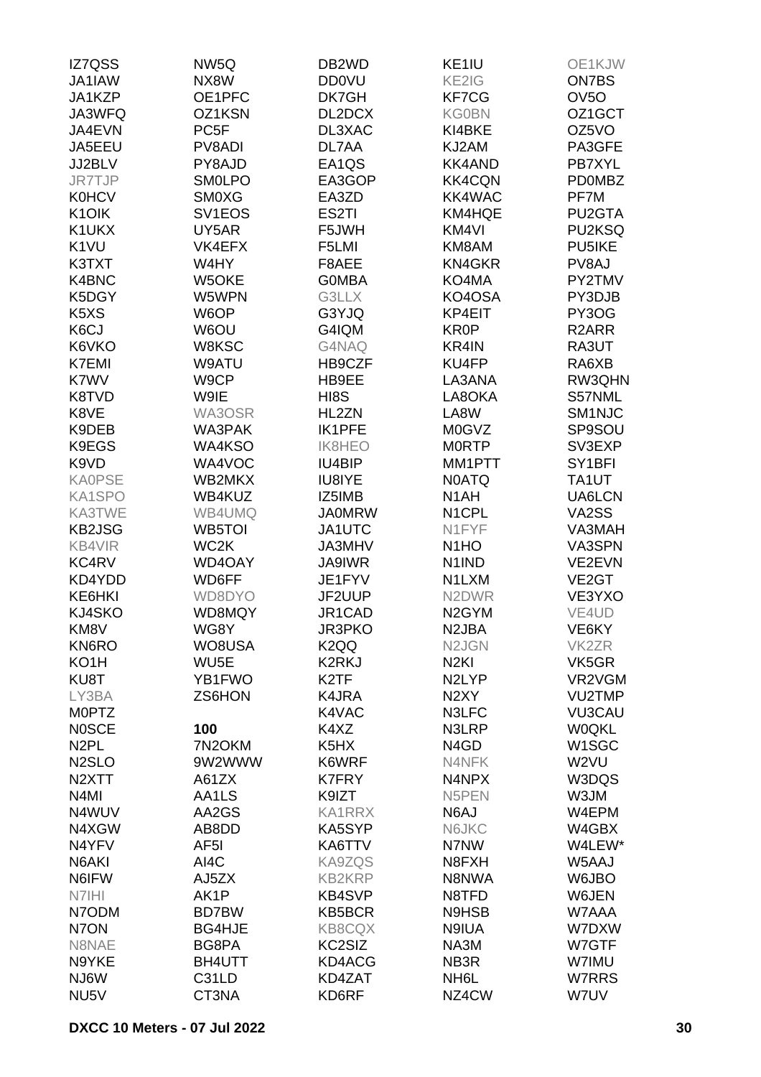| IZ7QSS                          | NW5Q                | DB <sub>2</sub> WD            | KE1IU                          | OE1KJW              |
|---------------------------------|---------------------|-------------------------------|--------------------------------|---------------------|
| JA1IAW                          | NX8W                | <b>DD0VU</b>                  | KE2IG                          | <b>ON7BS</b>        |
| JA1KZP                          | OE1PFC              | DK7GH                         | KF7CG                          | OV <sub>5</sub> O   |
| JA3WFQ                          | OZ1KSN              | DL2DCX                        | <b>KG0BN</b>                   | OZ1GCT              |
| JA4EVN                          | PC <sub>5F</sub>    | DL3XAC                        | KI4BKE                         | OZ5VO               |
| JA5EEU                          | PV8ADI              | DL7AA                         | KJ2AM                          | PA3GFE              |
| JJ2BLV                          | PY8AJD              | EA1QS                         | <b>KK4AND</b>                  | PB7XYL              |
| JR7TJP                          | <b>SMOLPO</b>       | EA3GOP                        | <b>KK4CQN</b>                  | <b>PD0MBZ</b>       |
| <b>K0HCV</b>                    | <b>SMOXG</b>        | EA3ZD                         | <b>KK4WAC</b>                  | PF7M                |
| K <sub>1</sub> O <sub>I</sub> K | SV <sub>1</sub> EOS | ES2TI                         | KM4HQE                         | PU <sub>2</sub> GTA |
| K1UKX                           | UY5AR               | F5JWH                         | KM4VI                          | PU2KSQ              |
| K <sub>1</sub> VU               | VK4EFX              | F5LMI                         | KM8AM                          | PU5IKE              |
| K3TXT                           | W4HY                | F8AEE                         | <b>KN4GKR</b>                  | PV8AJ               |
| K4BNC                           | W5OKE               | <b>GOMBA</b>                  | KO4MA                          | PY2TMV              |
|                                 |                     |                               |                                |                     |
| K5DGY                           | W5WPN               | G3LLX                         | KO4OSA                         | PY3DJB              |
| K <sub>5</sub> X <sub>S</sub>   | W6OP                | G3YJQ                         | KP4EIT                         | PY3OG               |
| K6CJ                            | W6OU                | G4IQM                         | KR0P                           | R <sub>2</sub> ARR  |
| K6VKO                           | W8KSC               | G4NAQ                         | KR4IN                          | RA3UT               |
| K7EMI                           | W9ATU               | HB9CZF                        | KU4FP                          | RA6XB               |
| K7WV                            | W9CP                | HB9EE                         | LA3ANA                         | RW3QHN              |
| K8TVD                           | W9IE                | HI8S                          | LA8OKA                         | S57NML              |
| K8VE                            | WA3OSR              | HL2ZN                         | LA8W                           | SM1NJC              |
| K9DEB                           | WA3PAK              | IK1PFE                        | M0GVZ                          | SP9SOU              |
| K9EGS                           | WA4KSO              | <b>IK8HEO</b>                 | <b>MORTP</b>                   | SV3EXP              |
| K9VD                            | WA4VOC              | IU4BIP                        | MM1PTT                         | SY <sub>1</sub> BFI |
| <b>KA0PSE</b>                   | WB2MKX              | <b>IU8IYE</b>                 | <b>N0ATQ</b>                   | TA1UT               |
| KA1SPO                          | WB4KUZ              | IZ5IMB                        | N <sub>1</sub> AH              | UA6LCN              |
| KA3TWE                          | WB4UMQ              | <b>JA0MRW</b>                 | N <sub>1</sub> CPL             | VA2SS               |
| <b>KB2JSG</b>                   | <b>WB5TOI</b>       | JA1UTC                        | N1FYF                          | VA3MAH              |
| <b>KB4VIR</b>                   | WC2K                | JA3MHV                        | N <sub>1</sub> HO              | VA3SPN              |
| KC4RV                           | WD4OAY              | JA9IWR                        | N <sub>1</sub> IND             | VE2EVN              |
| KD4YDD                          | WD6FF               | JE1FYV                        | N1LXM                          | VE <sub>2</sub> GT  |
| KE6HKI                          | WD8DYO              | JF2UUP                        | N <sub>2</sub> DWR             | VE3YXO              |
| KJ4SKO                          | WD8MQY              | JR1CAD                        | N <sub>2</sub> GYM             | VE4UD               |
| KM8V                            | WG8Y                | JR3PKO                        | N <sub>2</sub> JBA             | VE6KY               |
| <b>KN6RO</b>                    | WO8USA              | K <sub>2</sub> QQ             | N <sub>2</sub> J <sub>GN</sub> | VK <sub>2</sub> ZR  |
| KO <sub>1</sub> H               | WU <sub>5</sub> E   | K2RKJ                         | N <sub>2KI</sub>               | VK5GR               |
| KU8T                            | YB1FWO              | K <sub>2</sub> TF             | N <sub>2</sub> LYP             | VR2VGM              |
| LY3BA                           | ZS6HON              | K4JRA                         | N <sub>2</sub> XY              | VU2TMP              |
| <b>MOPTZ</b>                    |                     | K4VAC                         | N3LFC                          | <b>VU3CAU</b>       |
| <b>NOSCE</b>                    | 100                 | K4XZ                          | N3LRP                          | <b>W0QKL</b>        |
| N <sub>2</sub> PL               | 7N2OKM              | K <sub>5</sub> H <sub>X</sub> | N <sub>4</sub> G <sub>D</sub>  | W1SGC               |
| N <sub>2</sub> SLO              | 9W2WWW              | K6WRF                         | N4NFK                          | W2VU                |
| N <sub>2</sub> XTT              | A61ZX               | <b>K7FRY</b>                  | N4NPX                          | W3DQS               |
| N <sub>4</sub> MI               | AA1LS               | K9IZT                         | N5PEN                          | W3JM                |
| N4WUV                           | AA2GS               | <b>KA1RRX</b>                 | N6AJ                           | W4EPM               |
| N4XGW                           | AB8DD               | KA5SYP                        | N6JKC                          | W4GBX               |
| N4YFV                           | AF5I                | KA6TTV                        | N7NW                           | W4LEW*              |
| N6AKI                           | AI4C                | KA9ZQS                        | N8FXH                          | W5AAJ               |
| N6IFW                           | AJ5ZX               | <b>KB2KRP</b>                 | N8NWA                          | W6JBO               |
| N7IHI                           | AK1P                | <b>KB4SVP</b>                 | N8TFD                          | W6JEN               |
| N7ODM                           | BD7BW               | KB5BCR                        | N9HSB                          | W7AAA               |
| N7ON                            | <b>BG4HJE</b>       | <b>KB8CQX</b>                 | N9IUA                          | W7DXW               |
|                                 |                     |                               |                                |                     |
| N8NAE                           | BG8PA               | KC2SIZ                        | NA3M                           | W7GTF               |
| N9YKE                           | BH4UTT              | KD4ACG                        | NB3R                           | W7IMU               |
| NJ6W                            | C31LD               | KD4ZAT                        | NH <sub>6</sub> L              | W7RRS               |
| NU <sub>5</sub> V               | CT3NA               | KD6RF                         | NZ4CW                          | W7UV                |